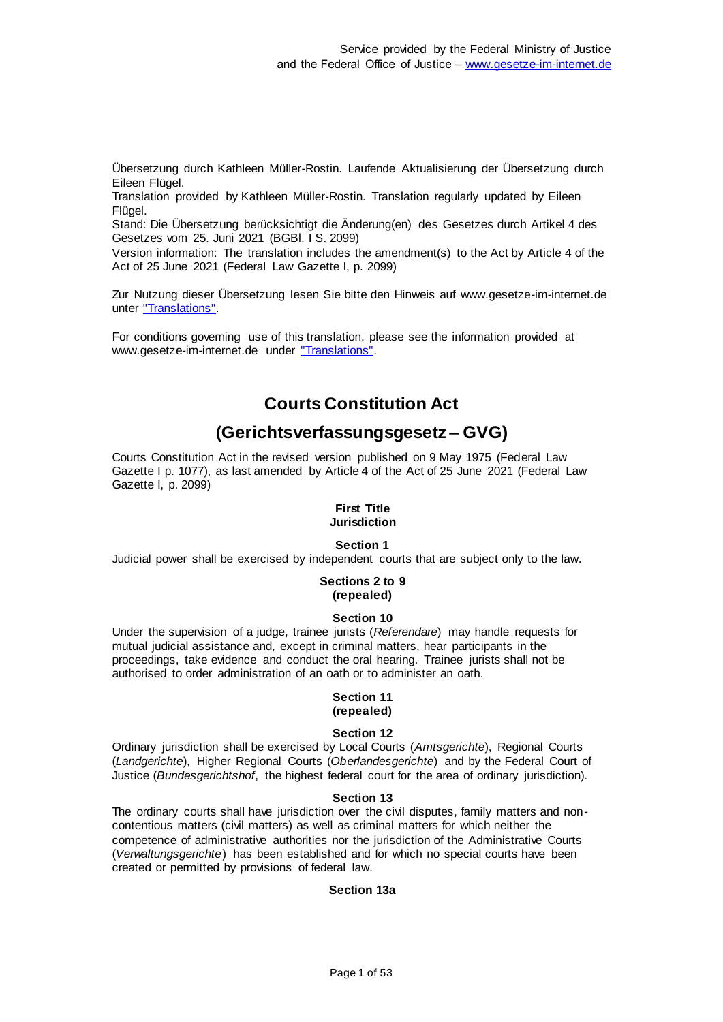Übersetzung durch Kathleen Müller-Rostin. Laufende Aktualisierung der Übersetzung durch Eileen Flügel.

Translation provided by Kathleen Müller-Rostin. Translation regularly updated by Eileen Flügel.

Stand: Die Übersetzung berücksichtigt die Änderung(en) des Gesetzes durch Artikel 4 des Gesetzes vom 25. Juni 2021 (BGBl. I S. 2099)

Version information: The translation includes the amendment(s) to the Act by Article 4 of the Act of 25 June 2021 (Federal Law Gazette I, p. 2099)

Zur Nutzung dieser Übersetzung lesen Sie bitte den Hinweis auf www.gesetze-im-internet.de unter ["Translations".](https://www.gesetze-im-internet.de/Teilliste_translations.html)

For conditions governing use of this translation, please see the information provided at www.gesetze-im-internet.de under ["Translations".](https://www.gesetze-im-internet.de/Teilliste_translations.html)

# **Courts Constitution Act**

# **(Gerichtsverfassungsgesetz – GVG)**

Courts Constitution Act in the revised version published on 9 May 1975 (Federal Law Gazette I p. 1077), as last amended by Article 4 of the Act of 25 June 2021 (Federal Law Gazette I, p. 2099)

#### **First Title Jurisdiction**

# **Section 1**

Judicial power shall be exercised by independent courts that are subject only to the law.

#### **Sections 2 to 9 (repealed)**

### **Section 10**

Under the supervision of a judge, trainee jurists (*Referendare*) may handle requests for mutual judicial assistance and, except in criminal matters, hear participants in the proceedings, take evidence and conduct the oral hearing. Trainee jurists shall not be authorised to order administration of an oath or to administer an oath.

### **Section 11 (repealed)**

### **Section 12**

Ordinary jurisdiction shall be exercised by Local Courts (*Amtsgerichte*), Regional Courts (*Landgerichte*), Higher Regional Courts (*Oberlandesgerichte*) and by the Federal Court of Justice (*Bundesgerichtshof*, the highest federal court for the area of ordinary jurisdiction).

### **Section 13**

The ordinary courts shall have jurisdiction over the civil disputes, family matters and noncontentious matters (civil matters) as well as criminal matters for which neither the competence of administrative authorities nor the jurisdiction of the Administrative Courts (*Verwaltungsgerichte*) has been established and for which no special courts have been created or permitted by provisions of federal law.

### **Section 13a**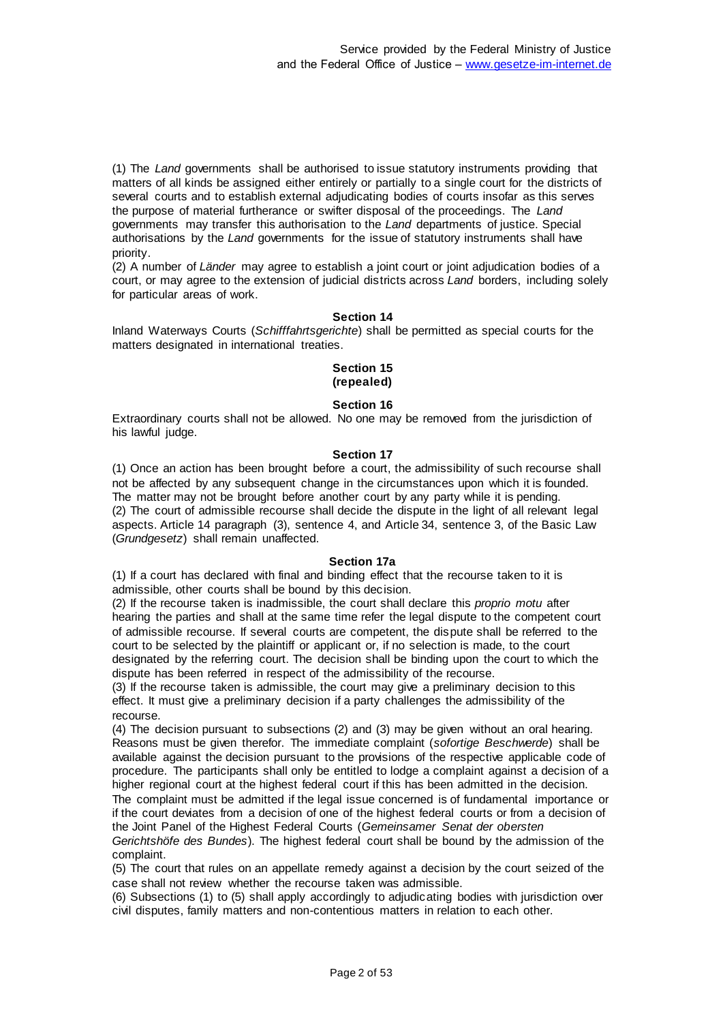(1) The *Land* governments shall be authorised to issue statutory instruments providing that matters of all kinds be assigned either entirely or partially to a single court for the districts of several courts and to establish external adjudicating bodies of courts insofar as this serves the purpose of material furtherance or swifter disposal of the proceedings. The *Land* governments may transfer this authorisation to the *Land* departments of justice. Special authorisations by the *Land* governments for the issue of statutory instruments shall have priority.

(2) A number of *Länder* may agree to establish a joint court or joint adjudication bodies of a court, or may agree to the extension of judicial districts across *Land* borders, including solely for particular areas of work.

### **Section 14**

Inland Waterways Courts (*Schifffahrtsgerichte*) shall be permitted as special courts for the matters designated in international treaties.

#### **Section 15 (repealed)**

### **Section 16**

Extraordinary courts shall not be allowed. No one may be removed from the jurisdiction of his lawful judge.

### **Section 17**

(1) Once an action has been brought before a court, the admissibility of such recourse shall not be affected by any subsequent change in the circumstances upon which it is founded. The matter may not be brought before another court by any party while it is pending. (2) The court of admissible recourse shall decide the dispute in the light of all relevant legal aspects. Article 14 paragraph (3), sentence 4, and Article 34, sentence 3, of the Basic Law (*Grundgesetz*) shall remain unaffected.

### **Section 17a**

(1) If a court has declared with final and binding effect that the recourse taken to it is admissible, other courts shall be bound by this decision.

(2) If the recourse taken is inadmissible, the court shall declare this *proprio motu* after hearing the parties and shall at the same time refer the legal dispute to the competent court of admissible recourse. If several courts are competent, the dispute shall be referred to the court to be selected by the plaintiff or applicant or, if no selection is made, to the court designated by the referring court. The decision shall be binding upon the court to which the dispute has been referred in respect of the admissibility of the recourse.

(3) If the recourse taken is admissible, the court may give a preliminary decision to this effect. It must give a preliminary decision if a party challenges the admissibility of the recourse.

(4) The decision pursuant to subsections (2) and (3) may be given without an oral hearing. Reasons must be given therefor. The immediate complaint (*sofortige Beschwerde*) shall be available against the decision pursuant to the provisions of the respective applicable code of procedure. The participants shall only be entitled to lodge a complaint against a decision of a higher regional court at the highest federal court if this has been admitted in the decision.

The complaint must be admitted if the legal issue concerned is of fundamental importance or if the court deviates from a decision of one of the highest federal courts or from a decision of the Joint Panel of the Highest Federal Courts (*Gemeinsamer Senat der obersten* 

*Gerichtshöfe des Bundes*). The highest federal court shall be bound by the admission of the complaint.

(5) The court that rules on an appellate remedy against a decision by the court seized of the case shall not review whether the recourse taken was admissible.

(6) Subsections (1) to (5) shall apply accordingly to adjudicating bodies with jurisdiction over civil disputes, family matters and non-contentious matters in relation to each other.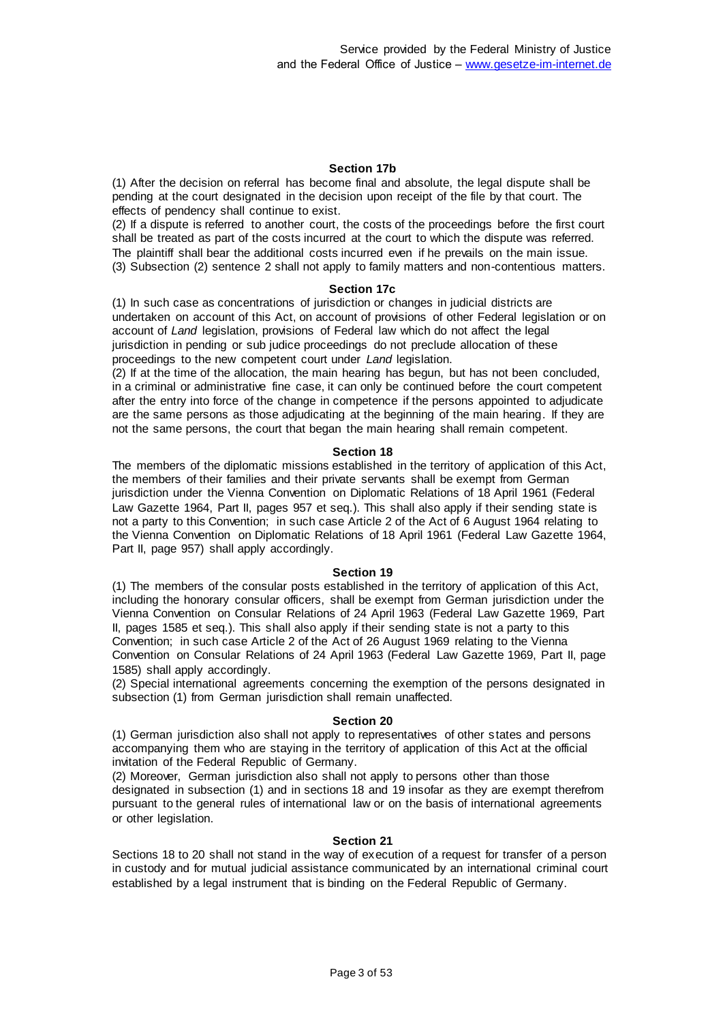#### **Section 17b**

(1) After the decision on referral has become final and absolute, the legal dispute shall be pending at the court designated in the decision upon receipt of the file by that court. The effects of pendency shall continue to exist.

(2) If a dispute is referred to another court, the costs of the proceedings before the first court shall be treated as part of the costs incurred at the court to which the dispute was referred. The plaintiff shall bear the additional costs incurred even if he prevails on the main issue. (3) Subsection (2) sentence 2 shall not apply to family matters and non-contentious matters.

#### **Section 17c**

(1) In such case as concentrations of jurisdiction or changes in judicial districts are undertaken on account of this Act, on account of provisions of other Federal legislation or on account of *Land* legislation, provisions of Federal law which do not affect the legal jurisdiction in pending or sub judice proceedings do not preclude allocation of these proceedings to the new competent court under *Land* legislation.

(2) If at the time of the allocation, the main hearing has begun, but has not been concluded, in a criminal or administrative fine case, it can only be continued before the court competent after the entry into force of the change in competence if the persons appointed to adjudicate are the same persons as those adjudicating at the beginning of the main hearing. If they are not the same persons, the court that began the main hearing shall remain competent.

#### **Section 18**

The members of the diplomatic missions established in the territory of application of this Act, the members of their families and their private servants shall be exempt from German jurisdiction under the Vienna Convention on Diplomatic Relations of 18 April 1961 (Federal Law Gazette 1964, Part II, pages 957 et seq.). This shall also apply if their sending state is not a party to this Convention; in such case Article 2 of the Act of 6 August 1964 relating to the Vienna Convention on Diplomatic Relations of 18 April 1961 (Federal Law Gazette 1964, Part II, page 957) shall apply accordingly.

#### **Section 19**

(1) The members of the consular posts established in the territory of application of this Act, including the honorary consular officers, shall be exempt from German jurisdiction under the Vienna Convention on Consular Relations of 24 April 1963 (Federal Law Gazette 1969, Part II, pages 1585 et seq.). This shall also apply if their sending state is not a party to this Convention; in such case Article 2 of the Act of 26 August 1969 relating to the Vienna Convention on Consular Relations of 24 April 1963 (Federal Law Gazette 1969, Part II, page 1585) shall apply accordingly.

(2) Special international agreements concerning the exemption of the persons designated in subsection (1) from German jurisdiction shall remain unaffected.

#### **Section 20**

(1) German jurisdiction also shall not apply to representatives of other states and persons accompanying them who are staying in the territory of application of this Act at the official invitation of the Federal Republic of Germany.

(2) Moreover, German jurisdiction also shall not apply to persons other than those designated in subsection (1) and in sections 18 and 19 insofar as they are exempt therefrom pursuant to the general rules of international law or on the basis of international agreements or other legislation.

#### **Section 21**

Sections 18 to 20 shall not stand in the way of execution of a request for transfer of a person in custody and for mutual judicial assistance communicated by an international criminal court established by a legal instrument that is binding on the Federal Republic of Germany.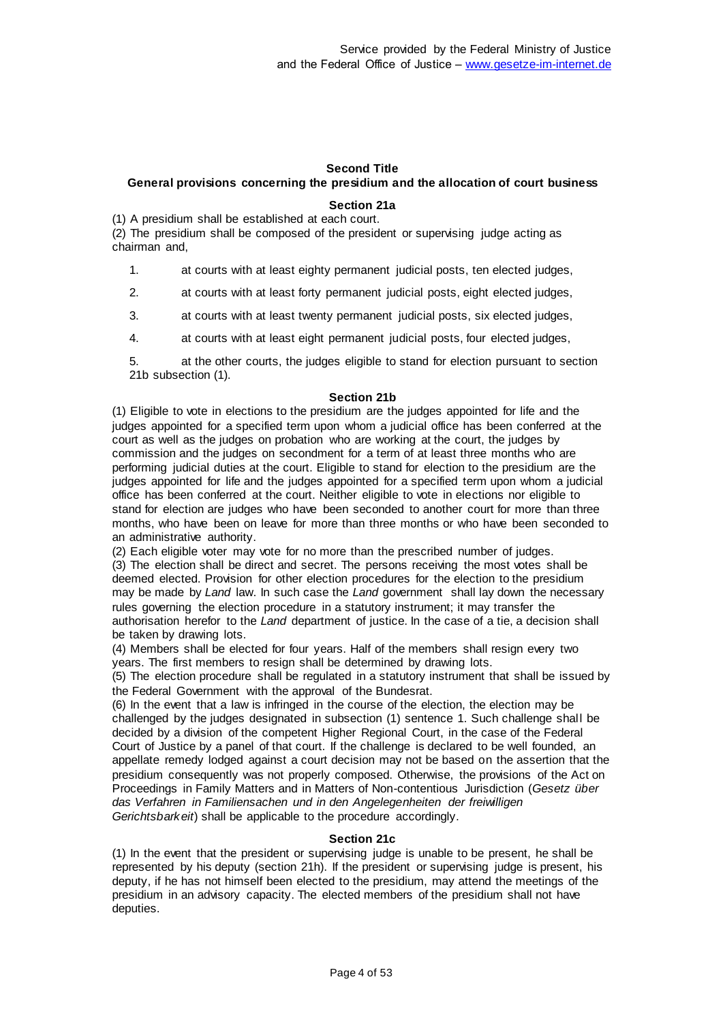### **Second Title**

# **General provisions concerning the presidium and the allocation of court business**

### **Section 21a**

(1) A presidium shall be established at each court.

(2) The presidium shall be composed of the president or supervising judge acting as chairman and,

- 1. at courts with at least eighty permanent judicial posts, ten elected judges,
- 2. at courts with at least forty permanent judicial posts, eight elected judges,
- 3. at courts with at least twenty permanent judicial posts, six elected judges,
- 4. at courts with at least eight permanent judicial posts, four elected judges,

at the other courts, the judges eligible to stand for election pursuant to section 21b subsection (1).

### **Section 21b**

(1) Eligible to vote in elections to the presidium are the judges appointed for life and the judges appointed for a specified term upon whom a judicial office has been conferred at the court as well as the judges on probation who are working at the court, the judges by commission and the judges on secondment for a term of at least three months who are performing judicial duties at the court. Eligible to stand for election to the presidium are the judges appointed for life and the judges appointed for a specified term upon whom a judicial office has been conferred at the court. Neither eligible to vote in elections nor eligible to stand for election are judges who have been seconded to another court for more than three months, who have been on leave for more than three months or who have been seconded to an administrative authority.

(2) Each eligible voter may vote for no more than the prescribed number of judges. (3) The election shall be direct and secret. The persons receiving the most votes shall be deemed elected. Provision for other election procedures for the election to the presidium may be made by *Land* law. In such case the *Land* government shall lay down the necessary rules governing the election procedure in a statutory instrument; it may transfer the authorisation herefor to the *Land* department of justice. In the case of a tie, a decision shall be taken by drawing lots.

(4) Members shall be elected for four years. Half of the members shall resign every two years. The first members to resign shall be determined by drawing lots.

(5) The election procedure shall be regulated in a statutory instrument that shall be issued by the Federal Government with the approval of the Bundesrat.

(6) In the event that a law is infringed in the course of the election, the election may be challenged by the judges designated in subsection (1) sentence 1. Such challenge shall be decided by a division of the competent Higher Regional Court, in the case of the Federal Court of Justice by a panel of that court. If the challenge is declared to be well founded, an appellate remedy lodged against a court decision may not be based on the assertion that the presidium consequently was not properly composed. Otherwise, the provisions of the Act on Proceedings in Family Matters and in Matters of Non-contentious Jurisdiction (*Gesetz über das Verfahren in Familiensachen und in den Angelegenheiten der freiwilligen Gerichtsbarkeit*) shall be applicable to the procedure accordingly.

### **Section 21c**

(1) In the event that the president or supervising judge is unable to be present, he shall be represented by his deputy (section 21h). If the president or supervising judge is present, his deputy, if he has not himself been elected to the presidium, may attend the meetings of the presidium in an advisory capacity. The elected members of the presidium shall not have deputies.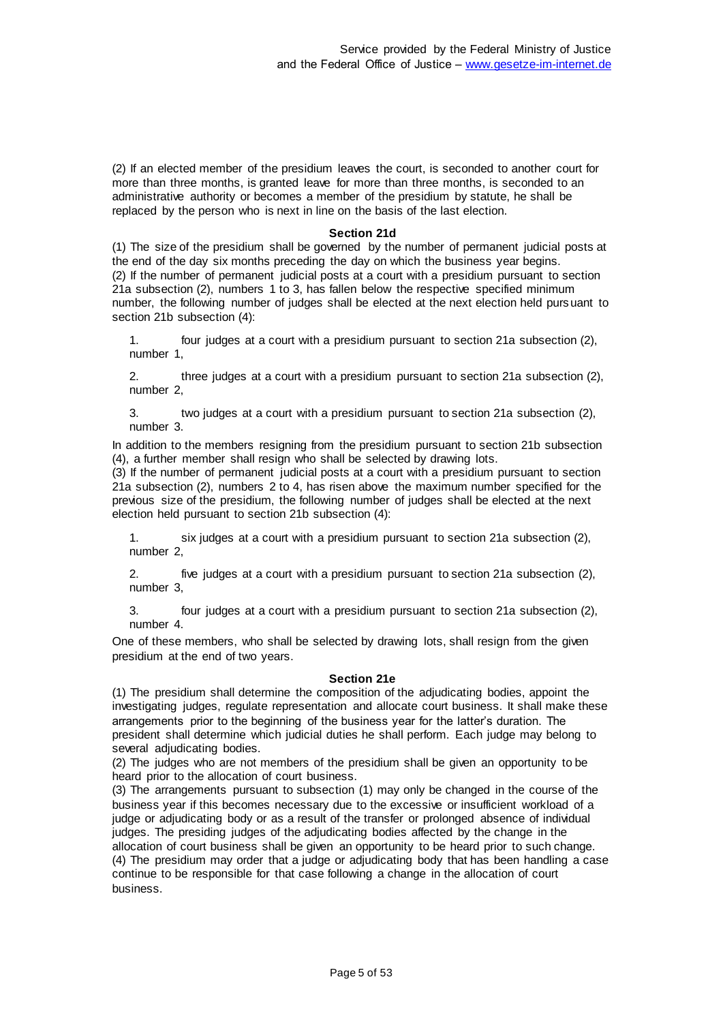(2) If an elected member of the presidium leaves the court, is seconded to another court for more than three months, is granted leave for more than three months, is seconded to an administrative authority or becomes a member of the presidium by statute, he shall be replaced by the person who is next in line on the basis of the last election.

### **Section 21d**

(1) The size of the presidium shall be governed by the number of permanent judicial posts at the end of the day six months preceding the day on which the business year begins. (2) If the number of permanent judicial posts at a court with a presidium pursuant to section 21a subsection (2), numbers 1 to 3, has fallen below the respective specified minimum number, the following number of judges shall be elected at the next election held pursuant to section 21b subsection (4):

1. four judges at a court with a presidium pursuant to section 21a subsection (2), number 1,

2. three judges at a court with a presidium pursuant to section 21a subsection (2), number 2,

3. two judges at a court with a presidium pursuant to section 21a subsection (2), number 3.

In addition to the members resigning from the presidium pursuant to section 21b subsection (4), a further member shall resign who shall be selected by drawing lots.

(3) If the number of permanent judicial posts at a court with a presidium pursuant to section 21a subsection (2), numbers 2 to 4, has risen above the maximum number specified for the previous size of the presidium, the following number of judges shall be elected at the next election held pursuant to section 21b subsection (4):

1. six judges at a court with a presidium pursuant to section 21a subsection (2), number 2,

2. five judges at a court with a presidium pursuant to section 21a subsection (2), number 3,

3. four judges at a court with a presidium pursuant to section 21a subsection (2), number 4.

One of these members, who shall be selected by drawing lots, shall resign from the given presidium at the end of two years.

#### **Section 21e**

(1) The presidium shall determine the composition of the adjudicating bodies, appoint the investigating judges, regulate representation and allocate court business. It shall make these arrangements prior to the beginning of the business year for the latter's duration. The president shall determine which judicial duties he shall perform. Each judge may belong to several adjudicating bodies.

(2) The judges who are not members of the presidium shall be given an opportunity to be heard prior to the allocation of court business.

(3) The arrangements pursuant to subsection (1) may only be changed in the course of the business year if this becomes necessary due to the excessive or insufficient workload of a judge or adjudicating body or as a result of the transfer or prolonged absence of individual judges. The presiding judges of the adjudicating bodies affected by the change in the allocation of court business shall be given an opportunity to be heard prior to such change. (4) The presidium may order that a judge or adjudicating body that has been handling a case continue to be responsible for that case following a change in the allocation of court business.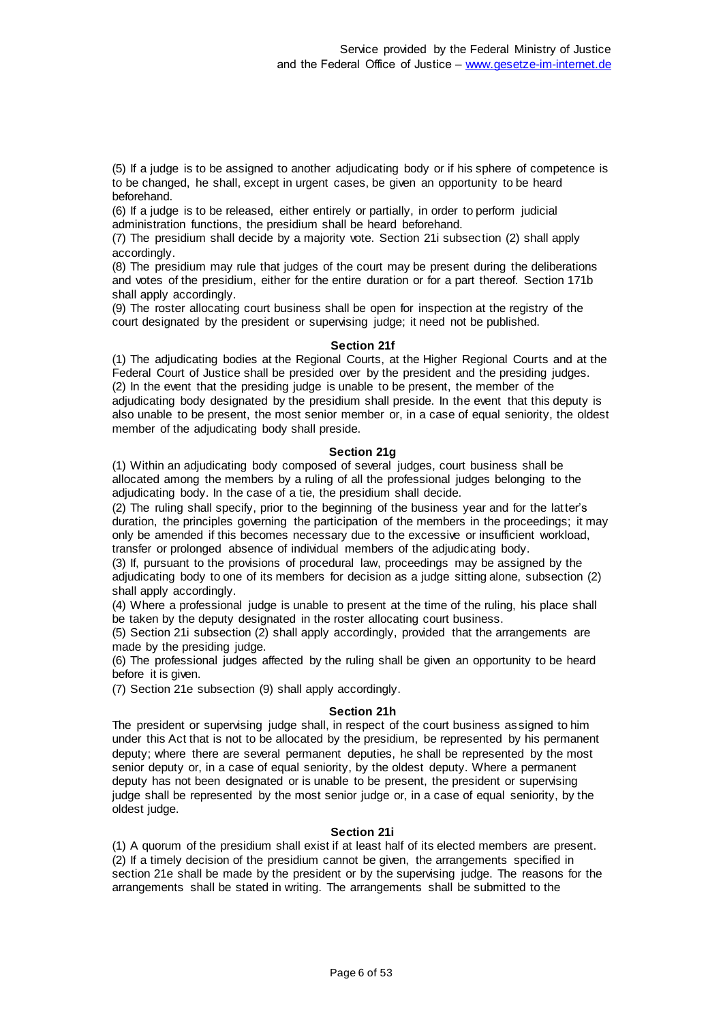(5) If a judge is to be assigned to another adjudicating body or if his sphere of competence is to be changed, he shall, except in urgent cases, be given an opportunity to be heard beforehand.

(6) If a judge is to be released, either entirely or partially, in order to perform judicial administration functions, the presidium shall be heard beforehand.

(7) The presidium shall decide by a majority vote. Section 21i subsection (2) shall apply accordingly.

(8) The presidium may rule that judges of the court may be present during the deliberations and votes of the presidium, either for the entire duration or for a part thereof. Section 171b shall apply accordingly.

(9) The roster allocating court business shall be open for inspection at the registry of the court designated by the president or supervising judge; it need not be published.

### **Section 21f**

(1) The adjudicating bodies at the Regional Courts, at the Higher Regional Courts and at the Federal Court of Justice shall be presided over by the president and the presiding judges. (2) In the event that the presiding judge is unable to be present, the member of the adjudicating body designated by the presidium shall preside. In the event that this deputy is also unable to be present, the most senior member or, in a case of equal seniority, the oldest member of the adjudicating body shall preside.

### **Section 21g**

(1) Within an adjudicating body composed of several judges, court business shall be allocated among the members by a ruling of all the professional judges belonging to the adjudicating body. In the case of a tie, the presidium shall decide.

(2) The ruling shall specify, prior to the beginning of the business year and for the latter's duration, the principles governing the participation of the members in the proceedings; it may only be amended if this becomes necessary due to the excessive or insufficient workload, transfer or prolonged absence of individual members of the adjudicating body.

(3) If, pursuant to the provisions of procedural law, proceedings may be assigned by the adjudicating body to one of its members for decision as a judge sitting alone, subsection (2) shall apply accordingly.

(4) Where a professional judge is unable to present at the time of the ruling, his place shall be taken by the deputy designated in the roster allocating court business.

(5) Section 21i subsection (2) shall apply accordingly, provided that the arrangements are made by the presiding judge.

(6) The professional judges affected by the ruling shall be given an opportunity to be heard before it is given.

(7) Section 21e subsection (9) shall apply accordingly.

### **Section 21h**

The president or supervising judge shall, in respect of the court business as signed to him under this Act that is not to be allocated by the presidium, be represented by his permanent deputy; where there are several permanent deputies, he shall be represented by the most senior deputy or, in a case of equal seniority, by the oldest deputy. Where a permanent deputy has not been designated or is unable to be present, the president or supervising judge shall be represented by the most senior judge or, in a case of equal seniority, by the oldest judge.

### **Section 21i**

(1) A quorum of the presidium shall exist if at least half of its elected members are present. (2) If a timely decision of the presidium cannot be given, the arrangements specified in section 21e shall be made by the president or by the supervising judge. The reasons for the arrangements shall be stated in writing. The arrangements shall be submitted to the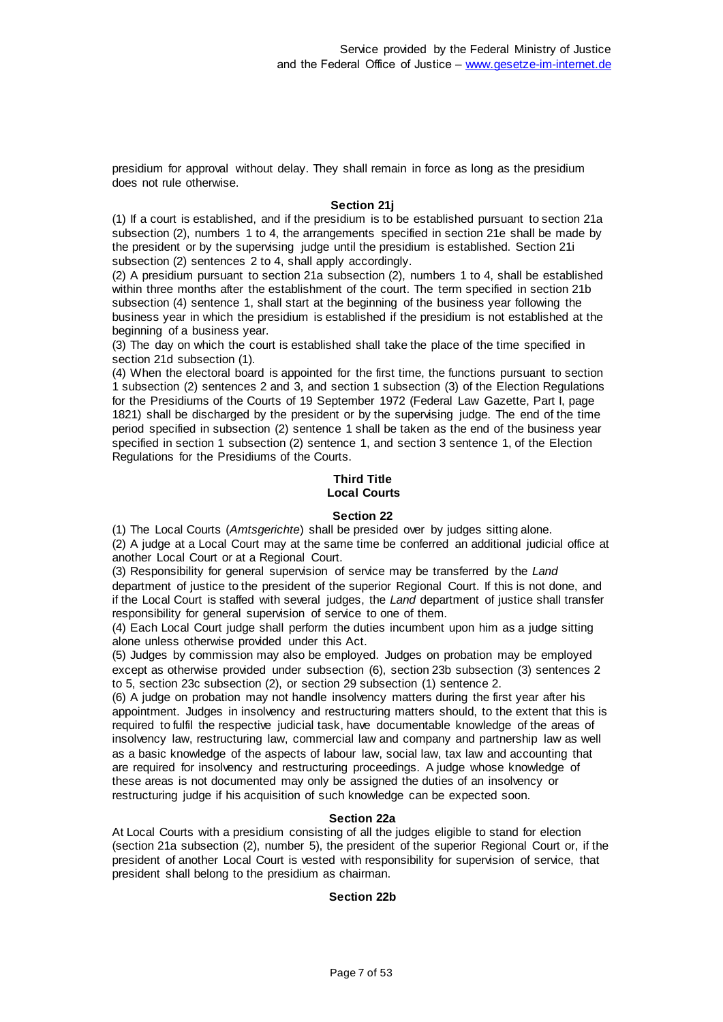presidium for approval without delay. They shall remain in force as long as the presidium does not rule otherwise.

### **Section 21j**

(1) If a court is established, and if the presidium is to be established pursuant to section 21a subsection (2), numbers 1 to 4, the arrangements specified in section 21e shall be made by the president or by the supervising judge until the presidium is established. Section 21i subsection (2) sentences 2 to 4, shall apply accordingly.

(2) A presidium pursuant to section 21a subsection (2), numbers 1 to 4, shall be established within three months after the establishment of the court. The term specified in section 21b subsection (4) sentence 1, shall start at the beginning of the business year following the business year in which the presidium is established if the presidium is not established at the beginning of a business year.

(3) The day on which the court is established shall take the place of the time specified in section 21d subsection (1).

(4) When the electoral board is appointed for the first time, the functions pursuant to section 1 subsection (2) sentences 2 and 3, and section 1 subsection (3) of the Election Regulations for the Presidiums of the Courts of 19 September 1972 (Federal Law Gazette, Part I, page 1821) shall be discharged by the president or by the supervising judge. The end of the time period specified in subsection (2) sentence 1 shall be taken as the end of the business year specified in section 1 subsection (2) sentence 1, and section 3 sentence 1, of the Election Regulations for the Presidiums of the Courts.

### **Third Title Local Courts**

### **Section 22**

(1) The Local Courts (*Amtsgerichte*) shall be presided over by judges sitting alone. (2) A judge at a Local Court may at the same time be conferred an additional judicial office at another Local Court or at a Regional Court.

(3) Responsibility for general supervision of service may be transferred by the *Land*  department of justice to the president of the superior Regional Court. If this is not done, and if the Local Court is staffed with several judges, the *Land* department of justice shall transfer responsibility for general supervision of service to one of them.

(4) Each Local Court judge shall perform the duties incumbent upon him as a judge sitting alone unless otherwise provided under this Act.

(5) Judges by commission may also be employed. Judges on probation may be employed except as otherwise provided under subsection (6), section 23b subsection (3) sentences 2 to 5, section 23c subsection (2), or section 29 subsection (1) sentence 2.

(6) A judge on probation may not handle insolvency matters during the first year after his appointment. Judges in insolvency and restructuring matters should, to the extent that this is required to fulfil the respective judicial task, have documentable knowledge of the areas of insolvency law, restructuring law, commercial law and company and partnership law as well as a basic knowledge of the aspects of labour law, social law, tax law and accounting that are required for insolvency and restructuring proceedings. A judge whose knowledge of these areas is not documented may only be assigned the duties of an insolvency or restructuring judge if his acquisition of such knowledge can be expected soon.

### **Section 22a**

At Local Courts with a presidium consisting of all the judges eligible to stand for election (section 21a subsection (2), number 5), the president of the superior Regional Court or, if the president of another Local Court is vested with responsibility for supervision of service, that president shall belong to the presidium as chairman.

### **Section 22b**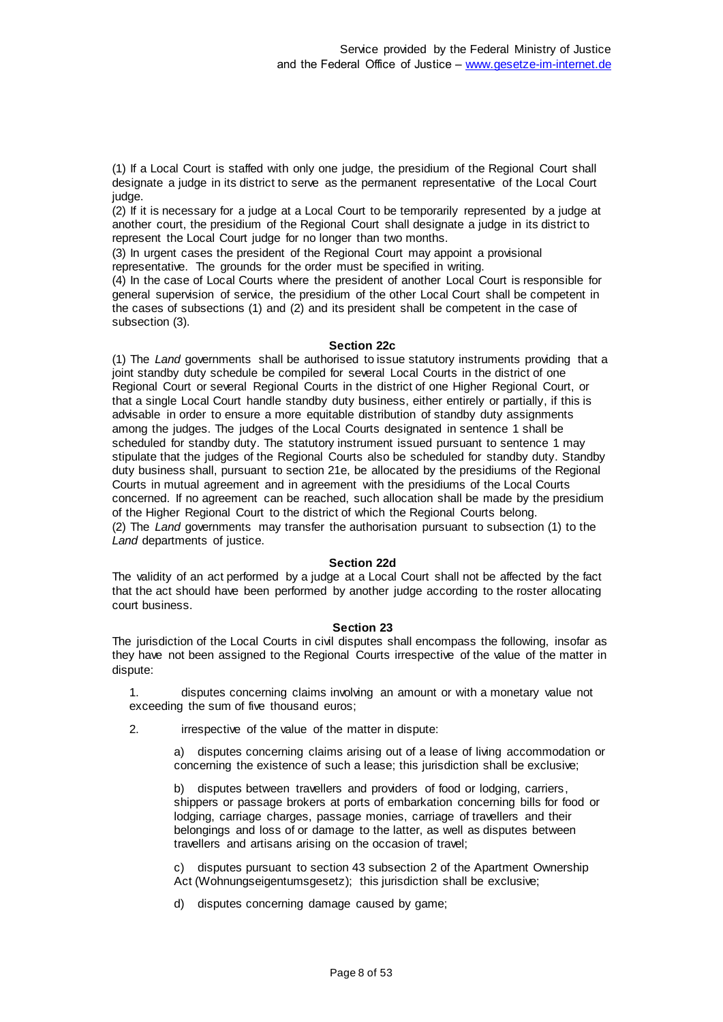(1) If a Local Court is staffed with only one judge, the presidium of the Regional Court shall designate a judge in its district to serve as the permanent representative of the Local Court judge.

(2) If it is necessary for a judge at a Local Court to be temporarily represented by a judge at another court, the presidium of the Regional Court shall designate a judge in its district to represent the Local Court judge for no longer than two months.

(3) In urgent cases the president of the Regional Court may appoint a provisional representative. The grounds for the order must be specified in writing.

(4) In the case of Local Courts where the president of another Local Court is responsible for general supervision of service, the presidium of the other Local Court shall be competent in the cases of subsections (1) and (2) and its president shall be competent in the case of subsection (3).

### **Section 22c**

(1) The *Land* governments shall be authorised to issue statutory instruments providing that a joint standby duty schedule be compiled for several Local Courts in the district of one Regional Court or several Regional Courts in the district of one Higher Regional Court, or that a single Local Court handle standby duty business, either entirely or partially, if this is advisable in order to ensure a more equitable distribution of standby duty assignments among the judges. The judges of the Local Courts designated in sentence 1 shall be scheduled for standby duty. The statutory instrument issued pursuant to sentence 1 may stipulate that the judges of the Regional Courts also be scheduled for standby duty. Standby duty business shall, pursuant to section 21e, be allocated by the presidiums of the Regional Courts in mutual agreement and in agreement with the presidiums of the Local Courts concerned. If no agreement can be reached, such allocation shall be made by the presidium of the Higher Regional Court to the district of which the Regional Courts belong. (2) The *Land* governments may transfer the authorisation pursuant to subsection (1) to the *Land* departments of justice.

### **Section 22d**

The validity of an act performed by a judge at a Local Court shall not be affected by the fact that the act should have been performed by another judge according to the roster allocating court business.

#### **Section 23**

The jurisdiction of the Local Courts in civil disputes shall encompass the following, insofar as they have not been assigned to the Regional Courts irrespective of the value of the matter in dispute:

1. disputes concerning claims involving an amount or with a monetary value not exceeding the sum of five thousand euros;

2. irrespective of the value of the matter in dispute:

a) disputes concerning claims arising out of a lease of living accommodation or concerning the existence of such a lease; this jurisdiction shall be exclusive;

b) disputes between travellers and providers of food or lodging, carriers, shippers or passage brokers at ports of embarkation concerning bills for food or lodging, carriage charges, passage monies, carriage of travellers and their belongings and loss of or damage to the latter, as well as disputes between travellers and artisans arising on the occasion of travel;

c) disputes pursuant to section 43 subsection 2 of the Apartment Ownership Act (Wohnungseigentumsgesetz); this jurisdiction shall be exclusive;

d) disputes concerning damage caused by game;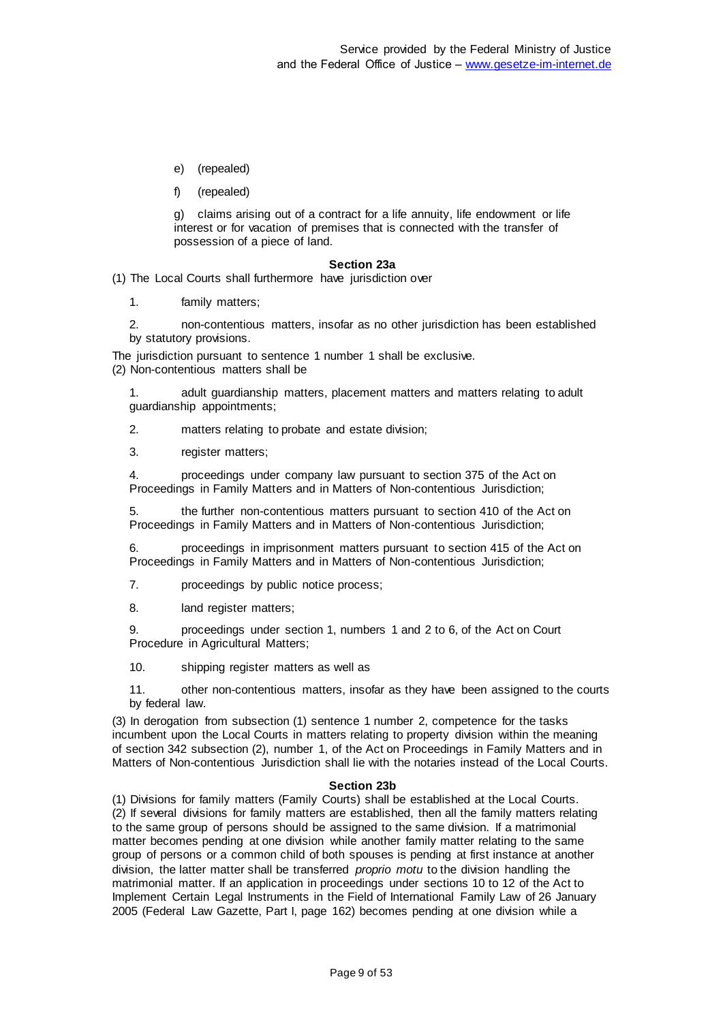- e) (repealed)
- f) (repealed)

g) claims arising out of a contract for a life annuity, life endowment or life interest or for vacation of premises that is connected with the transfer of possession of a piece of land.

### **Section 23a**

(1) The Local Courts shall furthermore have jurisdiction over

1. family matters;

2. non-contentious matters, insofar as no other jurisdiction has been established by statutory provisions.

The jurisdiction pursuant to sentence 1 number 1 shall be exclusive. (2) Non-contentious matters shall be

1. adult guardianship matters, placement matters and matters relating to adult guardianship appointments;

2. matters relating to probate and estate division;

3. register matters;

4. proceedings under company law pursuant to section 375 of the Act on Proceedings in Family Matters and in Matters of Non-contentious Jurisdiction;

5. the further non-contentious matters pursuant to section 410 of the Act on Proceedings in Family Matters and in Matters of Non-contentious Jurisdiction;

6. proceedings in imprisonment matters pursuant to section 415 of the Act on Proceedings in Family Matters and in Matters of Non-contentious Jurisdiction;

7. proceedings by public notice process;

8. land register matters;

9. proceedings under section 1, numbers 1 and 2 to 6, of the Act on Court Procedure in Agricultural Matters;

10. shipping register matters as well as

11. other non-contentious matters, insofar as they have been assigned to the courts by federal law.

(3) In derogation from subsection (1) sentence 1 number 2, competence for the tasks incumbent upon the Local Courts in matters relating to property division within the meaning of section 342 subsection (2), number 1, of the Act on Proceedings in Family Matters and in Matters of Non-contentious Jurisdiction shall lie with the notaries instead of the Local Courts.

#### **Section 23b**

(1) Divisions for family matters (Family Courts) shall be established at the Local Courts. (2) If several divisions for family matters are established, then all the family matters relating to the same group of persons should be assigned to the same division. If a matrimonial matter becomes pending at one division while another family matter relating to the same group of persons or a common child of both spouses is pending at first instance at another division, the latter matter shall be transferred *proprio motu* to the division handling the matrimonial matter. If an application in proceedings under sections 10 to 12 of the Act to Implement Certain Legal Instruments in the Field of International Family Law of 26 January 2005 (Federal Law Gazette, Part I, page 162) becomes pending at one division while a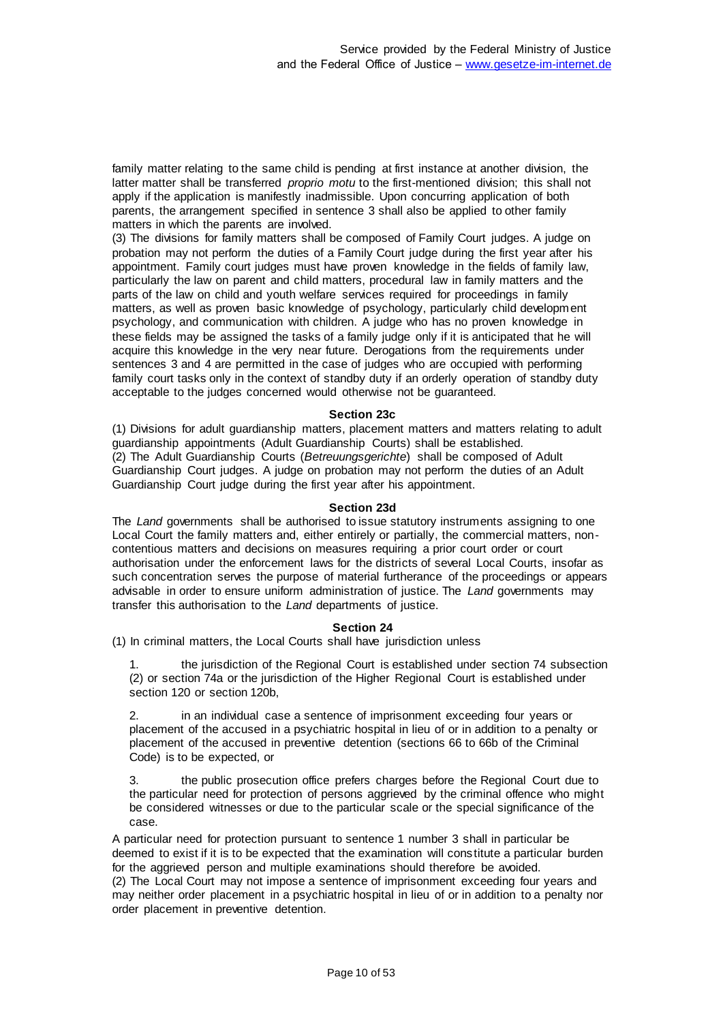family matter relating to the same child is pending at first instance at another division, the latter matter shall be transferred *proprio motu* to the first-mentioned division; this shall not apply if the application is manifestly inadmissible. Upon concurring application of both parents, the arrangement specified in sentence 3 shall also be applied to other family matters in which the parents are involved.

(3) The divisions for family matters shall be composed of Family Court judges. A judge on probation may not perform the duties of a Family Court judge during the first year after his appointment. Family court judges must have proven knowledge in the fields of family law, particularly the law on parent and child matters, procedural law in family matters and the parts of the law on child and youth welfare services required for proceedings in family matters, as well as proven basic knowledge of psychology, particularly child development psychology, and communication with children. A judge who has no proven knowledge in these fields may be assigned the tasks of a family judge only if it is anticipated that he will acquire this knowledge in the very near future. Derogations from the requirements under sentences 3 and 4 are permitted in the case of judges who are occupied with performing family court tasks only in the context of standby duty if an orderly operation of standby duty acceptable to the judges concerned would otherwise not be guaranteed.

### **Section 23c**

(1) Divisions for adult guardianship matters, placement matters and matters relating to adult guardianship appointments (Adult Guardianship Courts) shall be established. (2) The Adult Guardianship Courts (*Betreuungsgerichte*) shall be composed of Adult Guardianship Court judges. A judge on probation may not perform the duties of an Adult Guardianship Court judge during the first year after his appointment.

#### **Section 23d**

The *Land* governments shall be authorised to issue statutory instruments assigning to one Local Court the family matters and, either entirely or partially, the commercial matters, noncontentious matters and decisions on measures requiring a prior court order or court authorisation under the enforcement laws for the districts of several Local Courts, insofar as such concentration serves the purpose of material furtherance of the proceedings or appears advisable in order to ensure uniform administration of justice. The *Land* governments may transfer this authorisation to the *Land* departments of justice.

### **Section 24**

(1) In criminal matters, the Local Courts shall have jurisdiction unless

1. the jurisdiction of the Regional Court is established under section 74 subsection (2) or section 74a or the jurisdiction of the Higher Regional Court is established under section 120 or section 120b,

2. in an individual case a sentence of imprisonment exceeding four years or placement of the accused in a psychiatric hospital in lieu of or in addition to a penalty or placement of the accused in preventive detention (sections 66 to 66b of the Criminal Code) is to be expected, or

3. the public prosecution office prefers charges before the Regional Court due to the particular need for protection of persons aggrieved by the criminal offence who might be considered witnesses or due to the particular scale or the special significance of the case.

A particular need for protection pursuant to sentence 1 number 3 shall in particular be deemed to exist if it is to be expected that the examination will constitute a particular burden for the aggrieved person and multiple examinations should therefore be avoided.

(2) The Local Court may not impose a sentence of imprisonment exceeding four years and may neither order placement in a psychiatric hospital in lieu of or in addition to a penalty nor order placement in preventive detention.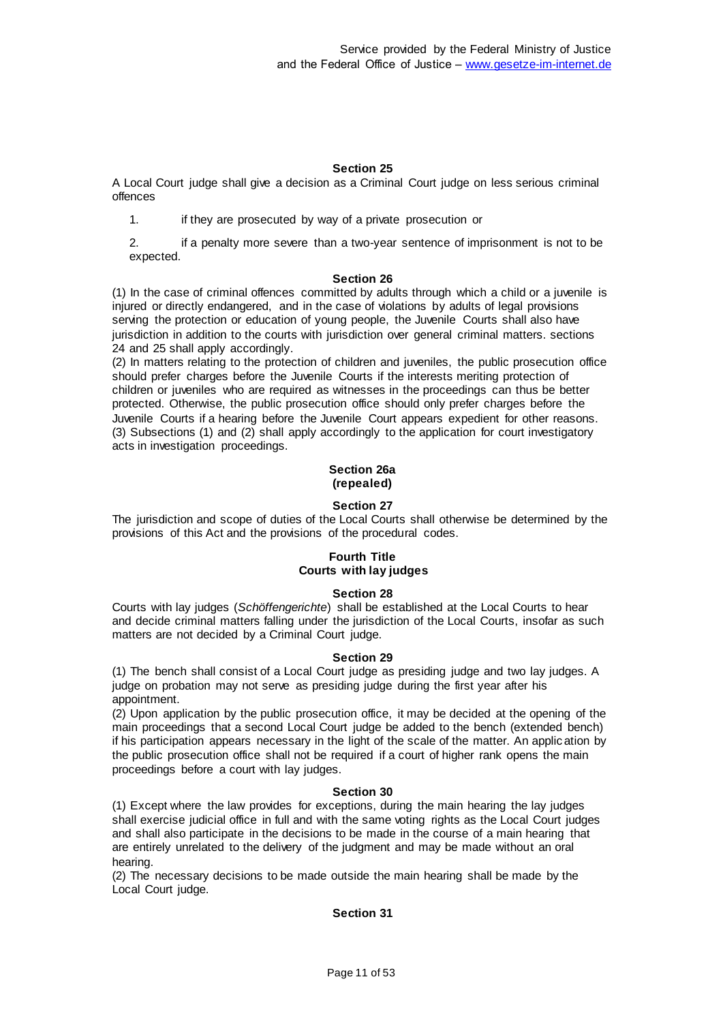A Local Court judge shall give a decision as a Criminal Court judge on less serious criminal offences

1. if they are prosecuted by way of a private prosecution or

2. if a penalty more severe than a two-year sentence of imprisonment is not to be expected.

#### **Section 26**

(1) In the case of criminal offences committed by adults through which a child or a juvenile is injured or directly endangered, and in the case of violations by adults of legal provisions serving the protection or education of young people, the Juvenile Courts shall also have jurisdiction in addition to the courts with jurisdiction over general criminal matters. sections 24 and 25 shall apply accordingly.

(2) In matters relating to the protection of children and juveniles, the public prosecution office should prefer charges before the Juvenile Courts if the interests meriting protection of children or juveniles who are required as witnesses in the proceedings can thus be better protected. Otherwise, the public prosecution office should only prefer charges before the Juvenile Courts if a hearing before the Juvenile Court appears expedient for other reasons. (3) Subsections (1) and (2) shall apply accordingly to the application for court investigatory acts in investigation proceedings.

### **Section 26a (repealed)**

### **Section 27**

The jurisdiction and scope of duties of the Local Courts shall otherwise be determined by the provisions of this Act and the provisions of the procedural codes.

# **Fourth Title Courts with lay judges**

# **Section 28**

Courts with lay judges (*Schöffengerichte*) shall be established at the Local Courts to hear and decide criminal matters falling under the jurisdiction of the Local Courts, insofar as such matters are not decided by a Criminal Court judge.

#### **Section 29**

(1) The bench shall consist of a Local Court judge as presiding judge and two lay judges. A judge on probation may not serve as presiding judge during the first year after his appointment.

(2) Upon application by the public prosecution office, it may be decided at the opening of the main proceedings that a second Local Court judge be added to the bench (extended bench) if his participation appears necessary in the light of the scale of the matter. An applic ation by the public prosecution office shall not be required if a court of higher rank opens the main proceedings before a court with lay judges.

### **Section 30**

(1) Except where the law provides for exceptions, during the main hearing the lay judges shall exercise judicial office in full and with the same voting rights as the Local Court judges and shall also participate in the decisions to be made in the course of a main hearing that are entirely unrelated to the delivery of the judgment and may be made without an oral hearing.

(2) The necessary decisions to be made outside the main hearing shall be made by the Local Court judge.

### **Section 31**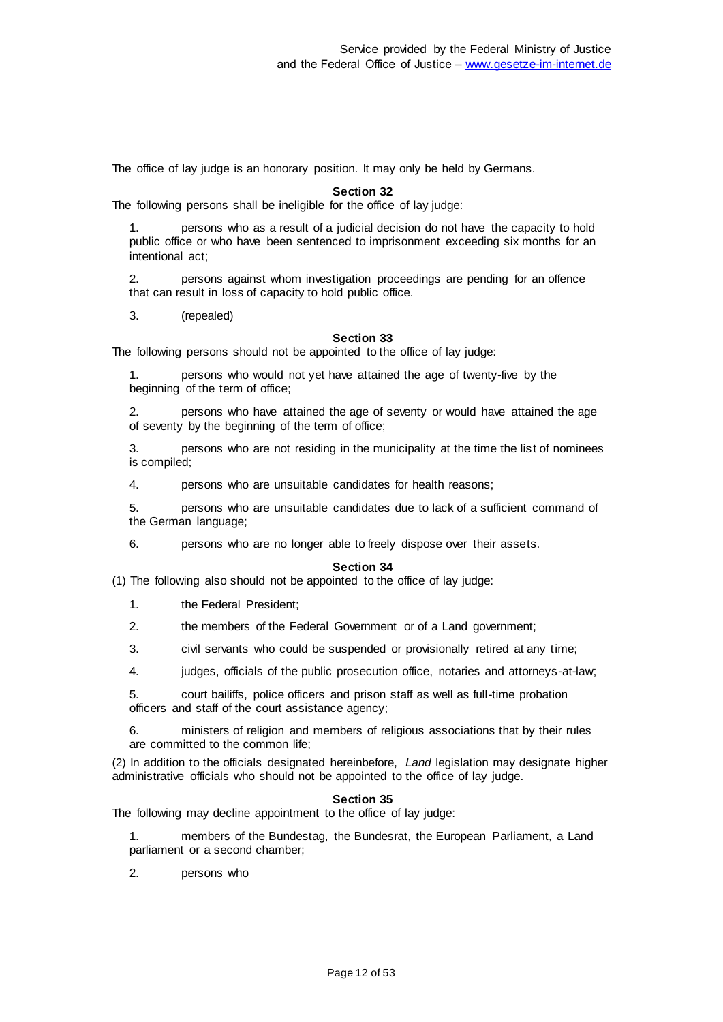The office of lay judge is an honorary position. It may only be held by Germans.

#### **Section 32**

The following persons shall be ineligible for the office of lay judge:

1. persons who as a result of a judicial decision do not have the capacity to hold public office or who have been sentenced to imprisonment exceeding six months for an intentional act;

2. persons against whom investigation proceedings are pending for an offence that can result in loss of capacity to hold public office.

3. (repealed)

#### **Section 33**

The following persons should not be appointed to the office of lay judge:

persons who would not yet have attained the age of twenty-five by the beginning of the term of office;

2. persons who have attained the age of seventy or would have attained the age of seventy by the beginning of the term of office;

3. persons who are not residing in the municipality at the time the list of nominees is compiled;

4. persons who are unsuitable candidates for health reasons;

5. persons who are unsuitable candidates due to lack of a sufficient command of the German language;

6. persons who are no longer able to freely dispose over their assets.

#### **Section 34**

(1) The following also should not be appointed to the office of lay judge:

1. the Federal President;

2. the members of the Federal Government or of a Land government;

- 3. civil servants who could be suspended or provisionally retired at any time;
- 4. judges, officials of the public prosecution office, notaries and attorneys-at-law;

5. court bailiffs, police officers and prison staff as well as full-time probation officers and staff of the court assistance agency;

6. ministers of religion and members of religious associations that by their rules are committed to the common life;

(2) In addition to the officials designated hereinbefore, *Land* legislation may designate higher administrative officials who should not be appointed to the office of lay judge.

#### **Section 35**

The following may decline appointment to the office of lay judge:

1. members of the Bundestag, the Bundesrat, the European Parliament, a Land parliament or a second chamber;

2. persons who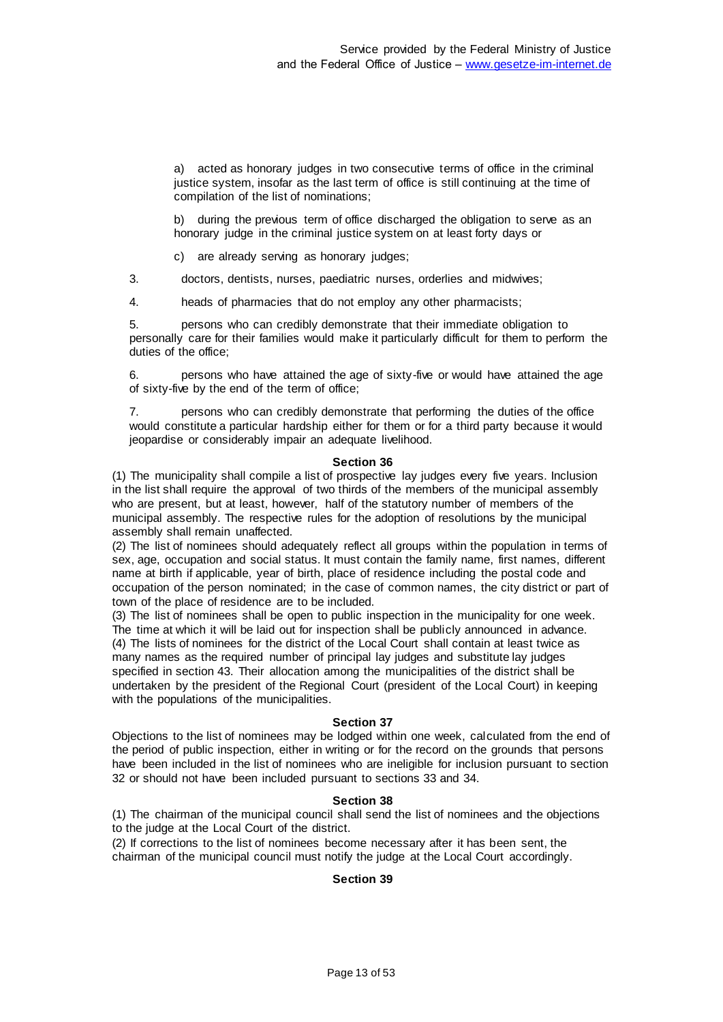a) acted as honorary judges in two consecutive terms of office in the criminal justice system, insofar as the last term of office is still continuing at the time of compilation of the list of nominations;

b) during the previous term of office discharged the obligation to serve as an honorary judge in the criminal justice system on at least forty days or

c) are already serving as honorary judges;

3. doctors, dentists, nurses, paediatric nurses, orderlies and midwives;

4. heads of pharmacies that do not employ any other pharmacists;

5. persons who can credibly demonstrate that their immediate obligation to personally care for their families would make it particularly difficult for them to perform the duties of the office;

6. persons who have attained the age of sixty-five or would have attained the age of sixty-five by the end of the term of office;

7. persons who can credibly demonstrate that performing the duties of the office would constitute a particular hardship either for them or for a third party because it would jeopardise or considerably impair an adequate livelihood.

#### **Section 36**

(1) The municipality shall compile a list of prospective lay judges every five years. Inclusion in the list shall require the approval of two thirds of the members of the municipal assembly who are present, but at least, however, half of the statutory number of members of the municipal assembly. The respective rules for the adoption of resolutions by the municipal assembly shall remain unaffected.

(2) The list of nominees should adequately reflect all groups within the population in terms of sex, age, occupation and social status. It must contain the family name, first names, different name at birth if applicable, year of birth, place of residence including the postal code and occupation of the person nominated; in the case of common names, the city district or part of town of the place of residence are to be included.

(3) The list of nominees shall be open to public inspection in the municipality for one week. The time at which it will be laid out for inspection shall be publicly announced in advance. (4) The lists of nominees for the district of the Local Court shall contain at least twice as many names as the required number of principal lay judges and substitute lay judges specified in section 43. Their allocation among the municipalities of the district shall be undertaken by the president of the Regional Court (president of the Local Court) in keeping with the populations of the municipalities.

#### **Section 37**

Objections to the list of nominees may be lodged within one week, calculated from the end of the period of public inspection, either in writing or for the record on the grounds that persons have been included in the list of nominees who are ineligible for inclusion pursuant to section 32 or should not have been included pursuant to sections 33 and 34.

### **Section 38**

(1) The chairman of the municipal council shall send the list of nominees and the objections to the judge at the Local Court of the district.

(2) If corrections to the list of nominees become necessary after it has been sent, the chairman of the municipal council must notify the judge at the Local Court accordingly.

### **Section 39**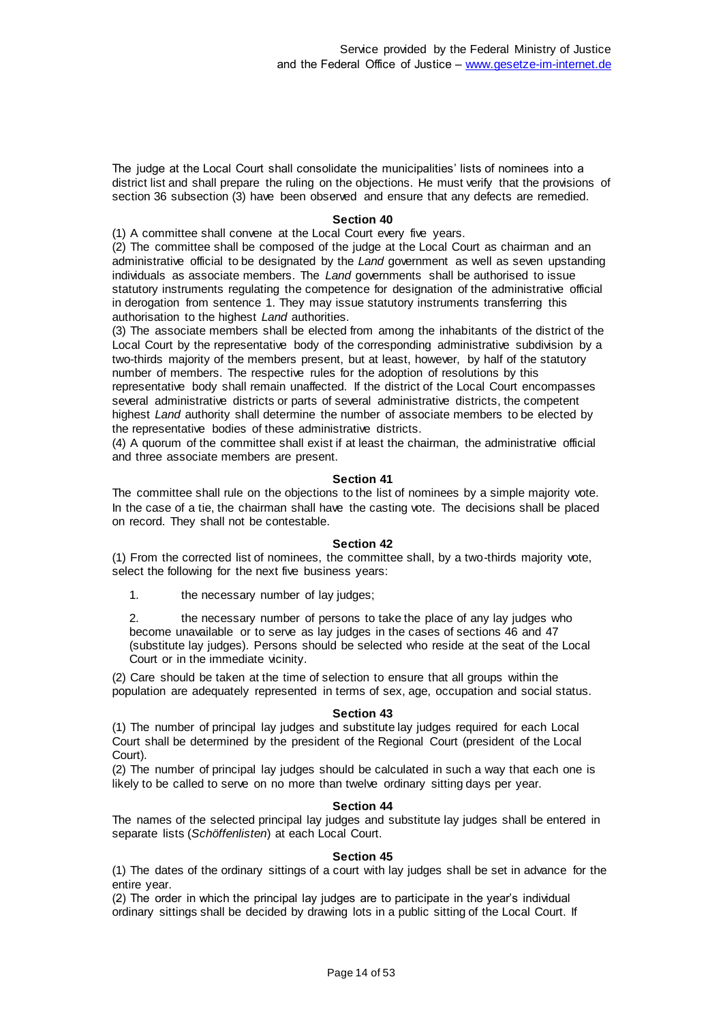The judge at the Local Court shall consolidate the municipalities' lists of nominees into a district list and shall prepare the ruling on the objections. He must verify that the provisions of section 36 subsection (3) have been observed and ensure that any defects are remedied.

### **Section 40**

(1) A committee shall convene at the Local Court every five years.

(2) The committee shall be composed of the judge at the Local Court as chairman and an administrative official to be designated by the *Land* government as well as seven upstanding individuals as associate members. The *Land* governments shall be authorised to issue statutory instruments regulating the competence for designation of the administrative official in derogation from sentence 1. They may issue statutory instruments transferring this authorisation to the highest *Land* authorities.

(3) The associate members shall be elected from among the inhabitants of the district of the Local Court by the representative body of the corresponding administrative subdivision by a two-thirds majority of the members present, but at least, however, by half of the statutory number of members. The respective rules for the adoption of resolutions by this representative body shall remain unaffected. If the district of the Local Court encompasses several administrative districts or parts of several administrative districts, the competent highest *Land* authority shall determine the number of associate members to be elected by the representative bodies of these administrative districts.

(4) A quorum of the committee shall exist if at least the chairman, the administrative official and three associate members are present.

#### **Section 41**

The committee shall rule on the objections to the list of nominees by a simple majority vote. In the case of a tie, the chairman shall have the casting vote. The decisions shall be placed on record. They shall not be contestable.

#### **Section 42**

(1) From the corrected list of nominees, the committee shall, by a two-thirds majority vote, select the following for the next five business years:

1. the necessary number of lay judges;

2. the necessary number of persons to take the place of any lay judges who become unavailable or to serve as lay judges in the cases of sections 46 and 47 (substitute lay judges). Persons should be selected who reside at the seat of the Local Court or in the immediate vicinity.

(2) Care should be taken at the time of selection to ensure that all groups within the population are adequately represented in terms of sex, age, occupation and social status.

#### **Section 43**

(1) The number of principal lay judges and substitute lay judges required for each Local Court shall be determined by the president of the Regional Court (president of the Local Court).

(2) The number of principal lay judges should be calculated in such a way that each one is likely to be called to serve on no more than twelve ordinary sitting days per year.

#### **Section 44**

The names of the selected principal lay judges and substitute lay judges shall be entered in separate lists (*Schöffenlisten*) at each Local Court.

#### **Section 45**

(1) The dates of the ordinary sittings of a court with lay judges shall be set in advance for the entire year.

(2) The order in which the principal lay judges are to participate in the year's individual ordinary sittings shall be decided by drawing lots in a public sitting of the Local Court. If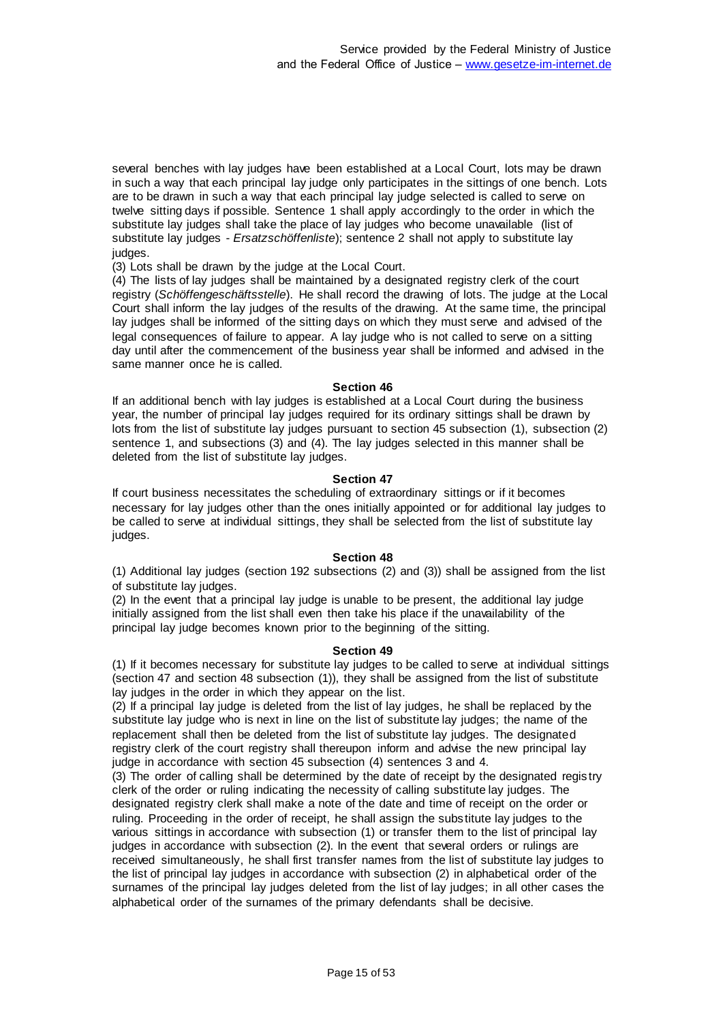several benches with lay judges have been established at a Local Court, lots may be drawn in such a way that each principal lay judge only participates in the sittings of one bench. Lots are to be drawn in such a way that each principal lay judge selected is called to serve on twelve sitting days if possible. Sentence 1 shall apply accordingly to the order in which the substitute lay judges shall take the place of lay judges who become unavailable (list of substitute lay judges - *Ersatzschöffenliste*); sentence 2 shall not apply to substitute lay judges.

(3) Lots shall be drawn by the judge at the Local Court.

(4) The lists of lay judges shall be maintained by a designated registry clerk of the court registry (*Schöffengeschäftsstelle*). He shall record the drawing of lots. The judge at the Local Court shall inform the lay judges of the results of the drawing. At the same time, the principal lay judges shall be informed of the sitting days on which they must serve and advised of the legal consequences of failure to appear. A lay judge who is not called to serve on a sitting day until after the commencement of the business year shall be informed and advised in the same manner once he is called.

#### **Section 46**

If an additional bench with lay judges is established at a Local Court during the business year, the number of principal lay judges required for its ordinary sittings shall be drawn by lots from the list of substitute lay judges pursuant to section 45 subsection (1), subsection (2) sentence 1, and subsections (3) and (4). The lay judges selected in this manner shall be deleted from the list of substitute lay judges.

#### **Section 47**

If court business necessitates the scheduling of extraordinary sittings or if it becomes necessary for lay judges other than the ones initially appointed or for additional lay judges to be called to serve at individual sittings, they shall be selected from the list of substitute lay judges.

#### **Section 48**

(1) Additional lay judges (section 192 subsections (2) and (3)) shall be assigned from the list of substitute lay judges.

(2) In the event that a principal lay judge is unable to be present, the additional lay judge initially assigned from the list shall even then take his place if the unavailability of the principal lay judge becomes known prior to the beginning of the sitting.

#### **Section 49**

(1) If it becomes necessary for substitute lay judges to be called to serve at individual sittings (section 47 and section 48 subsection (1)), they shall be assigned from the list of substitute lay judges in the order in which they appear on the list.

(2) If a principal lay judge is deleted from the list of lay judges, he shall be replaced by the substitute lay judge who is next in line on the list of substitute lay judges; the name of the replacement shall then be deleted from the list of substitute lay judges. The designated registry clerk of the court registry shall thereupon inform and advise the new principal lay judge in accordance with section 45 subsection (4) sentences 3 and 4.

(3) The order of calling shall be determined by the date of receipt by the designated regis try clerk of the order or ruling indicating the necessity of calling substitute lay judges. The designated registry clerk shall make a note of the date and time of receipt on the order or ruling. Proceeding in the order of receipt, he shall assign the substitute lay judges to the various sittings in accordance with subsection (1) or transfer them to the list of principal lay judges in accordance with subsection (2). In the event that several orders or rulings are received simultaneously, he shall first transfer names from the list of substitute lay judges to the list of principal lay judges in accordance with subsection (2) in alphabetical order of the surnames of the principal lay judges deleted from the list of lay judges; in all other cases the alphabetical order of the surnames of the primary defendants shall be decisive.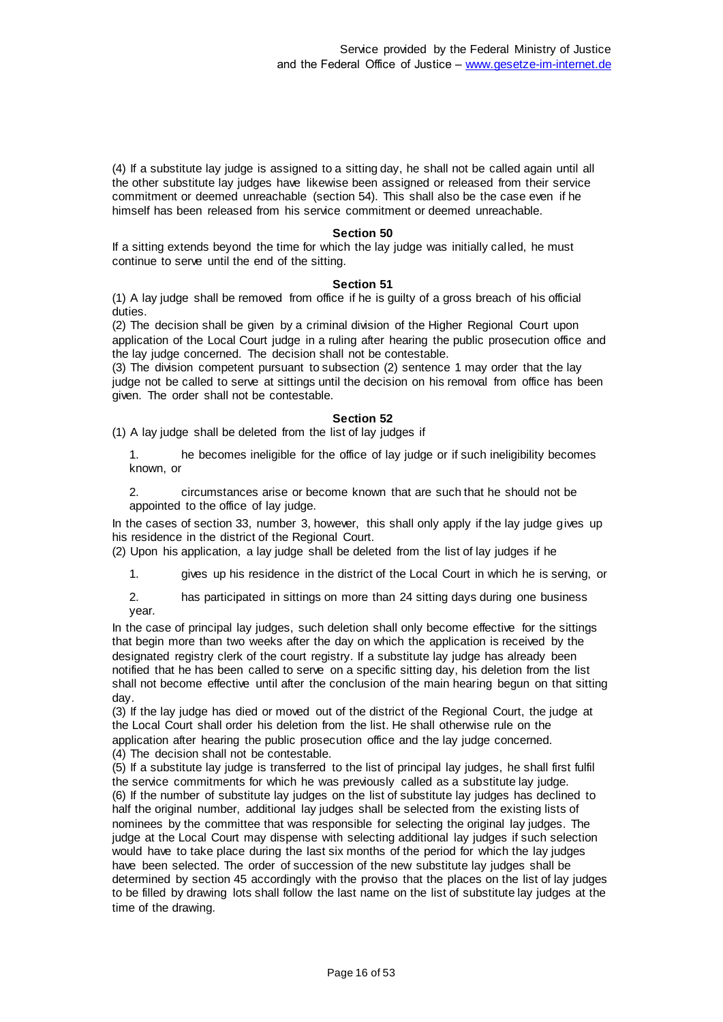(4) If a substitute lay judge is assigned to a sitting day, he shall not be called again until all the other substitute lay judges have likewise been assigned or released from their service commitment or deemed unreachable (section 54). This shall also be the case even if he himself has been released from his service commitment or deemed unreachable.

#### **Section 50**

If a sitting extends beyond the time for which the lay judge was initially called, he must continue to serve until the end of the sitting.

#### **Section 51**

(1) A lay judge shall be removed from office if he is guilty of a gross breach of his official duties.

(2) The decision shall be given by a criminal division of the Higher Regional Court upon application of the Local Court judge in a ruling after hearing the public prosecution office and the lay judge concerned. The decision shall not be contestable.

(3) The division competent pursuant to subsection (2) sentence 1 may order that the lay judge not be called to serve at sittings until the decision on his removal from office has been given. The order shall not be contestable.

#### **Section 52**

(1) A lay judge shall be deleted from the list of lay judges if

1. he becomes ineligible for the office of lay judge or if such ineligibility becomes known, or

2. circumstances arise or become known that are such that he should not be appointed to the office of lay judge.

In the cases of section 33, number 3, however, this shall only apply if the lay judge gives up his residence in the district of the Regional Court.

(2) Upon his application, a lay judge shall be deleted from the list of lay judges if he

1. gives up his residence in the district of the Local Court in which he is serving, or

2. has participated in sittings on more than 24 sitting days during one business year.

In the case of principal lay judges, such deletion shall only become effective for the sittings that begin more than two weeks after the day on which the application is received by the designated registry clerk of the court registry. If a substitute lay judge has already been notified that he has been called to serve on a specific sitting day, his deletion from the list shall not become effective until after the conclusion of the main hearing begun on that sitting day.

(3) If the lay judge has died or moved out of the district of the Regional Court, the judge at the Local Court shall order his deletion from the list. He shall otherwise rule on the application after hearing the public prosecution office and the lay judge concerned. (4) The decision shall not be contestable.

(5) If a substitute lay judge is transferred to the list of principal lay judges, he shall first fulfil the service commitments for which he was previously called as a substitute lay judge. (6) If the number of substitute lay judges on the list of substitute lay judges has declined to half the original number, additional lay judges shall be selected from the existing lists of nominees by the committee that was responsible for selecting the original lay judges. The judge at the Local Court may dispense with selecting additional lay judges if such selection would have to take place during the last six months of the period for which the lay judges have been selected. The order of succession of the new substitute lay judges shall be determined by section 45 accordingly with the proviso that the places on the list of lay judges to be filled by drawing lots shall follow the last name on the list of substitute lay judges at the time of the drawing.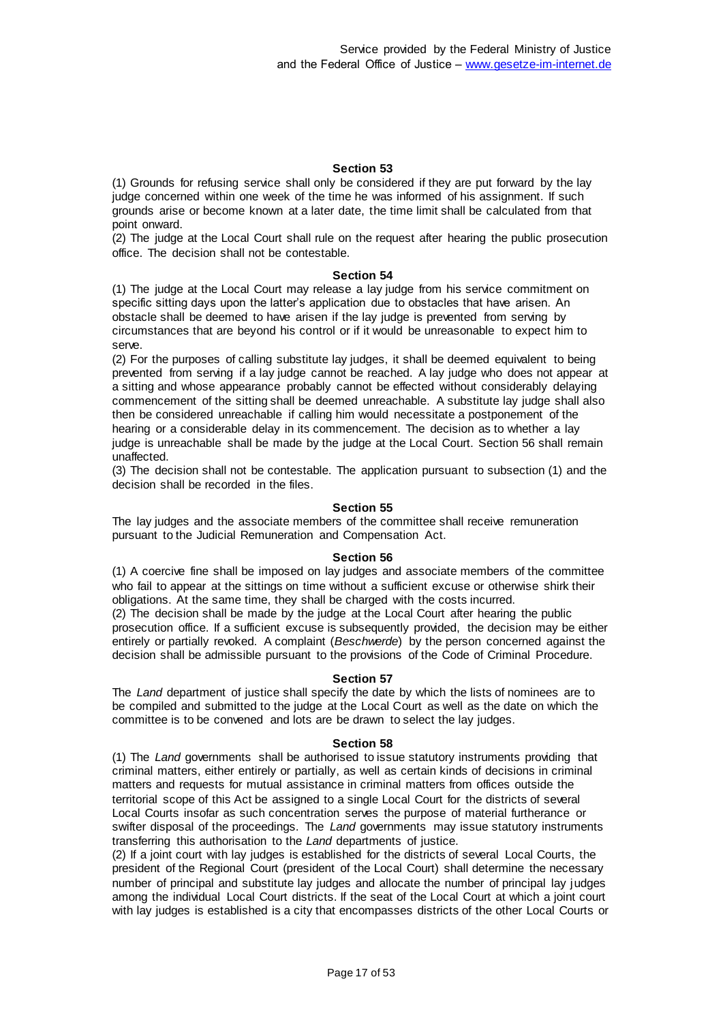(1) Grounds for refusing service shall only be considered if they are put forward by the lay judge concerned within one week of the time he was informed of his assignment. If such grounds arise or become known at a later date, the time limit shall be calculated from that point onward.

(2) The judge at the Local Court shall rule on the request after hearing the public prosecution office. The decision shall not be contestable.

#### **Section 54**

(1) The judge at the Local Court may release a lay judge from his service commitment on specific sitting days upon the latter's application due to obstacles that have arisen. An obstacle shall be deemed to have arisen if the lay judge is prevented from serving by circumstances that are beyond his control or if it would be unreasonable to expect him to serve.

(2) For the purposes of calling substitute lay judges, it shall be deemed equivalent to being prevented from serving if a lay judge cannot be reached. A lay judge who does not appear at a sitting and whose appearance probably cannot be effected without considerably delaying commencement of the sitting shall be deemed unreachable. A substitute lay judge shall also then be considered unreachable if calling him would necessitate a postponement of the hearing or a considerable delay in its commencement. The decision as to whether a lay judge is unreachable shall be made by the judge at the Local Court. Section 56 shall remain unaffected.

(3) The decision shall not be contestable. The application pursuant to subsection (1) and the decision shall be recorded in the files.

#### **Section 55**

The lay judges and the associate members of the committee shall receive remuneration pursuant to the Judicial Remuneration and Compensation Act.

#### **Section 56**

(1) A coercive fine shall be imposed on lay judges and associate members of the committee who fail to appear at the sittings on time without a sufficient excuse or otherwise shirk their obligations. At the same time, they shall be charged with the costs incurred.

(2) The decision shall be made by the judge at the Local Court after hearing the public prosecution office. If a sufficient excuse is subsequently provided, the decision may be either entirely or partially revoked. A complaint (*Beschwerde*) by the person concerned against the decision shall be admissible pursuant to the provisions of the Code of Criminal Procedure.

#### **Section 57**

The *Land* department of justice shall specify the date by which the lists of nominees are to be compiled and submitted to the judge at the Local Court as well as the date on which the committee is to be convened and lots are be drawn to select the lay judges.

### **Section 58**

(1) The *Land* governments shall be authorised to issue statutory instruments providing that criminal matters, either entirely or partially, as well as certain kinds of decisions in criminal matters and requests for mutual assistance in criminal matters from offices outside the territorial scope of this Act be assigned to a single Local Court for the districts of several Local Courts insofar as such concentration serves the purpose of material furtherance or swifter disposal of the proceedings. The *Land* governments may issue statutory instruments transferring this authorisation to the *Land* departments of justice.

(2) If a joint court with lay judges is established for the districts of several Local Courts, the president of the Regional Court (president of the Local Court) shall determine the necessary number of principal and substitute lay judges and allocate the number of principal lay judges among the individual Local Court districts. If the seat of the Local Court at which a joint court with lay judges is established is a city that encompasses districts of the other Local Courts or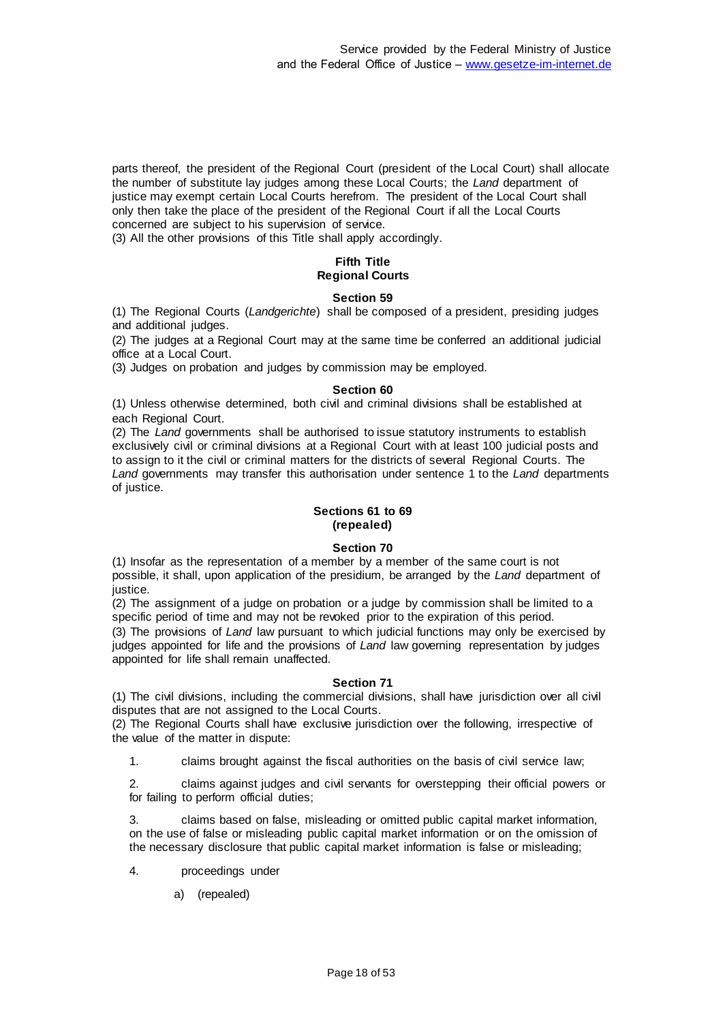parts thereof, the president of the Regional Court (president of the Local Court) shall allocate the number of substitute lay judges among these Local Courts; the *Land* department of justice may exempt certain Local Courts herefrom. The president of the Local Court shall only then take the place of the president of the Regional Court if all the Local Courts concerned are subject to his supervision of service.

(3) All the other provisions of this Title shall apply accordingly.

# **Fifth Title Regional Courts**

### **Section 59**

(1) The Regional Courts (*Landgerichte*) shall be composed of a president, presiding judges and additional judges.

(2) The judges at a Regional Court may at the same time be conferred an additional judicial office at a Local Court.

(3) Judges on probation and judges by commission may be employed.

#### **Section 60**

(1) Unless otherwise determined, both civil and criminal divisions shall be established at each Regional Court.

(2) The *Land* governments shall be authorised to issue statutory instruments to establish exclusively civil or criminal divisions at a Regional Court with at least 100 judicial posts and to assign to it the civil or criminal matters for the districts of several Regional Courts. The *Land* governments may transfer this authorisation under sentence 1 to the *Land* departments of justice.

### **Sections 61 to 69 (repealed)**

#### **Section 70**

(1) Insofar as the representation of a member by a member of the same court is not possible, it shall, upon application of the presidium, be arranged by the *Land* department of justice.

(2) The assignment of a judge on probation or a judge by commission shall be limited to a specific period of time and may not be revoked prior to the expiration of this period.

(3) The provisions of *Land* law pursuant to which judicial functions may only be exercised by judges appointed for life and the provisions of *Land* law governing representation by judges appointed for life shall remain unaffected.

#### **Section 71**

(1) The civil divisions, including the commercial divisions, shall have jurisdiction over all civil disputes that are not assigned to the Local Courts.

(2) The Regional Courts shall have exclusive jurisdiction over the following, irrespective of the value of the matter in dispute:

1. claims brought against the fiscal authorities on the basis of civil service law;

2. claims against judges and civil servants for overstepping their official powers or for failing to perform official duties;

3. claims based on false, misleading or omitted public capital market information, on the use of false or misleading public capital market information or on the omission of the necessary disclosure that public capital market information is false or misleading;

- 4. proceedings under
	- a) (repealed)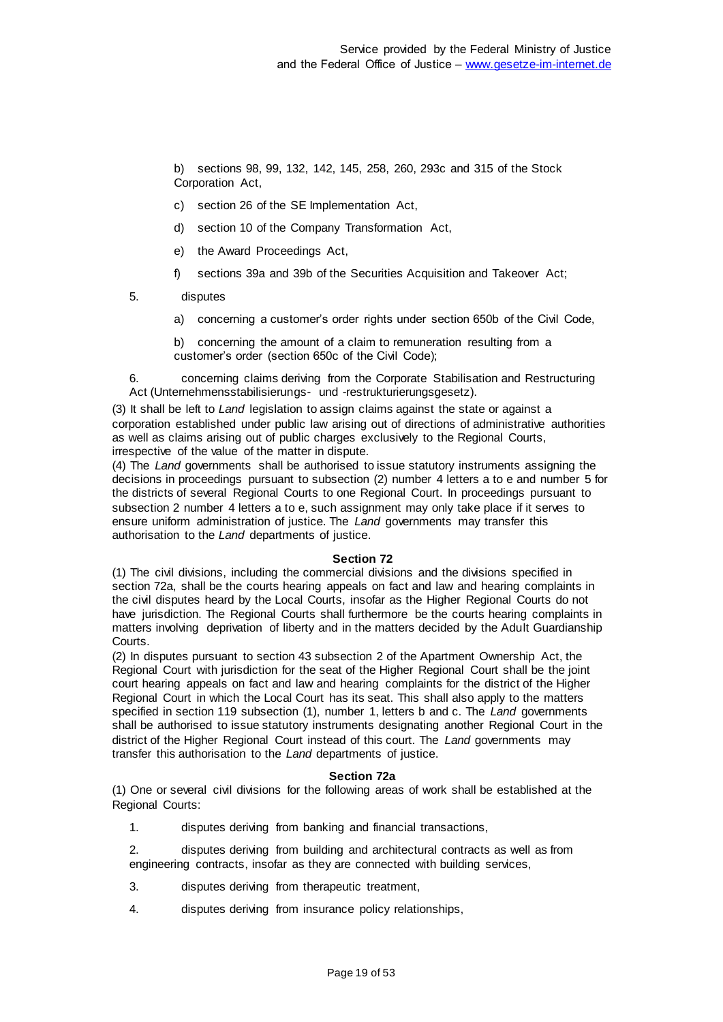b) sections 98, 99, 132, 142, 145, 258, 260, 293c and 315 of the Stock Corporation Act,

- c) section 26 of the SE Implementation Act,
- d) section 10 of the Company Transformation Act,
- e) the Award Proceedings Act,
- f) sections 39a and 39b of the Securities Acquisition and Takeover Act;
- 5. disputes
	- a) concerning a customer's order rights under section 650b of the Civil Code,

b) concerning the amount of a claim to remuneration resulting from a customer's order (section 650c of the Civil Code);

6. concerning claims deriving from the Corporate Stabilisation and Restructuring Act (Unternehmensstabilisierungs- und -restrukturierungsgesetz).

(3) It shall be left to *Land* legislation to assign claims against the state or against a corporation established under public law arising out of directions of administrative authorities as well as claims arising out of public charges exclusively to the Regional Courts, irrespective of the value of the matter in dispute.

(4) The *Land* governments shall be authorised to issue statutory instruments assigning the decisions in proceedings pursuant to subsection (2) number 4 letters a to e and number 5 for the districts of several Regional Courts to one Regional Court. In proceedings pursuant to subsection 2 number 4 letters a to e, such assignment may only take place if it serves to ensure uniform administration of justice. The *Land* governments may transfer this authorisation to the *Land* departments of justice.

### **Section 72**

(1) The civil divisions, including the commercial divisions and the divisions specified in section 72a, shall be the courts hearing appeals on fact and law and hearing complaints in the civil disputes heard by the Local Courts, insofar as the Higher Regional Courts do not have jurisdiction. The Regional Courts shall furthermore be the courts hearing complaints in matters involving deprivation of liberty and in the matters decided by the Adult Guardianship Courts.

(2) In disputes pursuant to section 43 subsection 2 of the Apartment Ownership Act, the Regional Court with jurisdiction for the seat of the Higher Regional Court shall be the joint court hearing appeals on fact and law and hearing complaints for the district of the Higher Regional Court in which the Local Court has its seat. This shall also apply to the matters specified in section 119 subsection (1), number 1, letters b and c. The *Land* governments shall be authorised to issue statutory instruments designating another Regional Court in the district of the Higher Regional Court instead of this court. The *Land* governments may transfer this authorisation to the *Land* departments of justice.

### **Section 72a**

(1) One or several civil divisions for the following areas of work shall be established at the Regional Courts:

1. disputes deriving from banking and financial transactions,

2. disputes deriving from building and architectural contracts as well as from engineering contracts, insofar as they are connected with building services,

- 3. disputes deriving from therapeutic treatment,
- 4. disputes deriving from insurance policy relationships,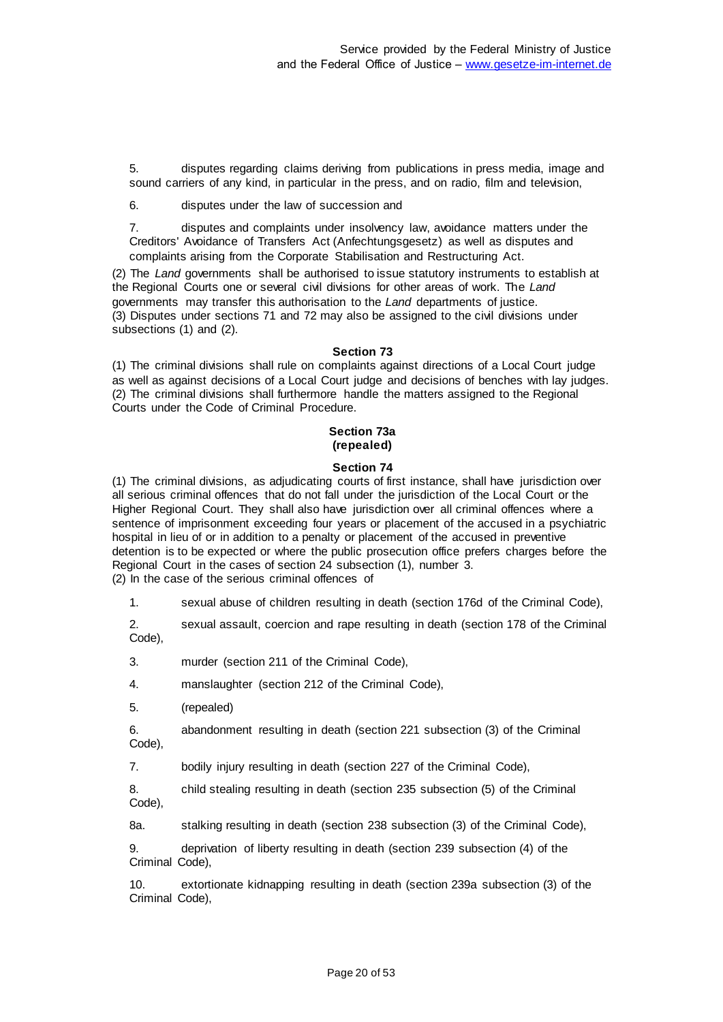5. disputes regarding claims deriving from publications in press media, image and sound carriers of any kind, in particular in the press, and on radio, film and television,

6. disputes under the law of succession and

7. disputes and complaints under insolvency law, avoidance matters under the Creditors' Avoidance of Transfers Act (Anfechtungsgesetz) as well as disputes and complaints arising from the Corporate Stabilisation and Restructuring Act.

(2) The *Land* governments shall be authorised to issue statutory instruments to establish at the Regional Courts one or several civil divisions for other areas of work. The *Land*  governments may transfer this authorisation to the *Land* departments of justice. (3) Disputes under sections 71 and 72 may also be assigned to the civil divisions under subsections (1) and (2).

#### **Section 73**

(1) The criminal divisions shall rule on complaints against directions of a Local Court judge as well as against decisions of a Local Court judge and decisions of benches with lay judges. (2) The criminal divisions shall furthermore handle the matters assigned to the Regional Courts under the Code of Criminal Procedure.

### **Section 73a (repealed)**

#### **Section 74**

(1) The criminal divisions, as adjudicating courts of first instance, shall have jurisdiction over all serious criminal offences that do not fall under the jurisdiction of the Local Court or the Higher Regional Court. They shall also have jurisdiction over all criminal offences where a sentence of imprisonment exceeding four years or placement of the accused in a psychiatric hospital in lieu of or in addition to a penalty or placement of the accused in preventive detention is to be expected or where the public prosecution office prefers charges before the Regional Court in the cases of section 24 subsection (1), number 3. (2) In the case of the serious criminal offences of

1. sexual abuse of children resulting in death (section 176d of the Criminal Code),

2. sexual assault, coercion and rape resulting in death (section 178 of the Criminal Code),

3. murder (section 211 of the Criminal Code),

4. manslaughter (section 212 of the Criminal Code),

5. (repealed)

6. abandonment resulting in death (section 221 subsection (3) of the Criminal Code),

7. bodily injury resulting in death (section 227 of the Criminal Code),

8. child stealing resulting in death (section 235 subsection (5) of the Criminal Code),

8a. stalking resulting in death (section 238 subsection (3) of the Criminal Code),

9. deprivation of liberty resulting in death (section 239 subsection (4) of the Criminal Code),

10. extortionate kidnapping resulting in death (section 239a subsection (3) of the Criminal Code),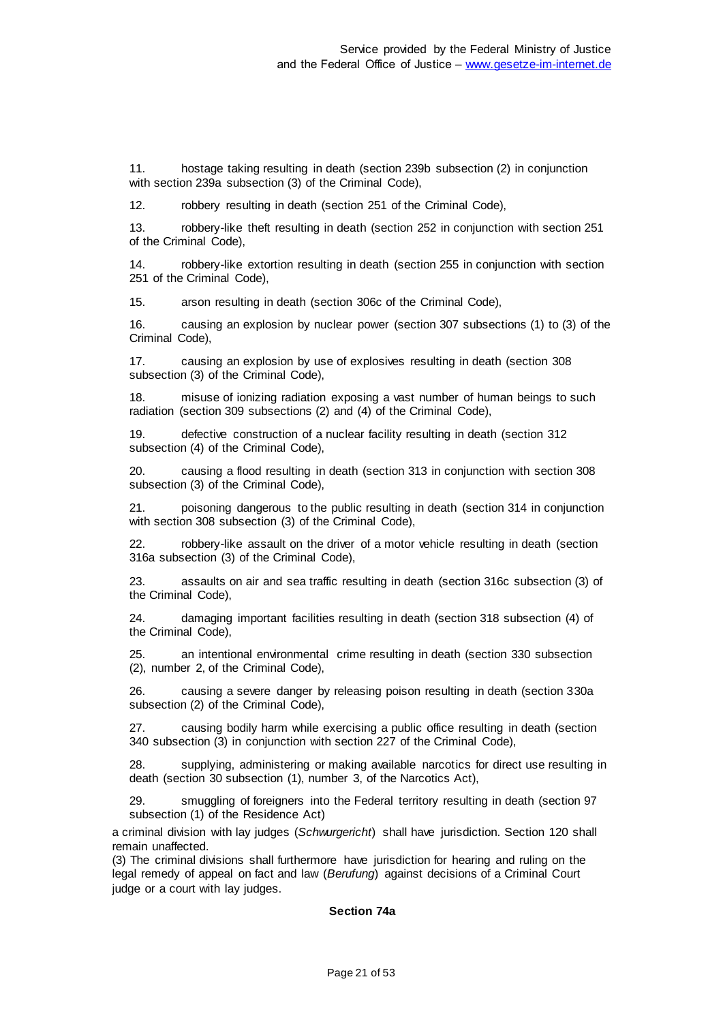11. hostage taking resulting in death (section 239b subsection (2) in conjunction with section 239a subsection (3) of the Criminal Code),

12. robbery resulting in death (section 251 of the Criminal Code),

13. robbery-like theft resulting in death (section 252 in conjunction with section 251 of the Criminal Code),

14. robbery-like extortion resulting in death (section 255 in conjunction with section 251 of the Criminal Code),

15. arson resulting in death (section 306c of the Criminal Code),

16. causing an explosion by nuclear power (section 307 subsections (1) to (3) of the Criminal Code),

17. causing an explosion by use of explosives resulting in death (section 308 subsection (3) of the Criminal Code),

18. misuse of ionizing radiation exposing a vast number of human beings to such radiation (section 309 subsections (2) and (4) of the Criminal Code),

19. defective construction of a nuclear facility resulting in death (section 312 subsection (4) of the Criminal Code),

20. causing a flood resulting in death (section 313 in conjunction with section 308 subsection (3) of the Criminal Code),

21. poisoning dangerous to the public resulting in death (section 314 in conjunction with section 308 subsection (3) of the Criminal Code),

22. robbery-like assault on the driver of a motor vehicle resulting in death (section 316a subsection (3) of the Criminal Code),

23. assaults on air and sea traffic resulting in death (section 316c subsection (3) of the Criminal Code),

24. damaging important facilities resulting in death (section 318 subsection (4) of the Criminal Code),

25. an intentional environmental crime resulting in death (section 330 subsection (2), number 2, of the Criminal Code),

26. causing a severe danger by releasing poison resulting in death (section 330a subsection (2) of the Criminal Code),

27. causing bodily harm while exercising a public office resulting in death (section 340 subsection (3) in conjunction with section 227 of the Criminal Code),

28. supplying, administering or making available narcotics for direct use resulting in death (section 30 subsection (1), number 3, of the Narcotics Act),

29. smuggling of foreigners into the Federal territory resulting in death (section 97 subsection (1) of the Residence Act)

a criminal division with lay judges (*Schwurgericht*) shall have jurisdiction. Section 120 shall remain unaffected.

(3) The criminal divisions shall furthermore have jurisdiction for hearing and ruling on the legal remedy of appeal on fact and law (*Berufung*) against decisions of a Criminal Court judge or a court with lay judges.

### **Section 74a**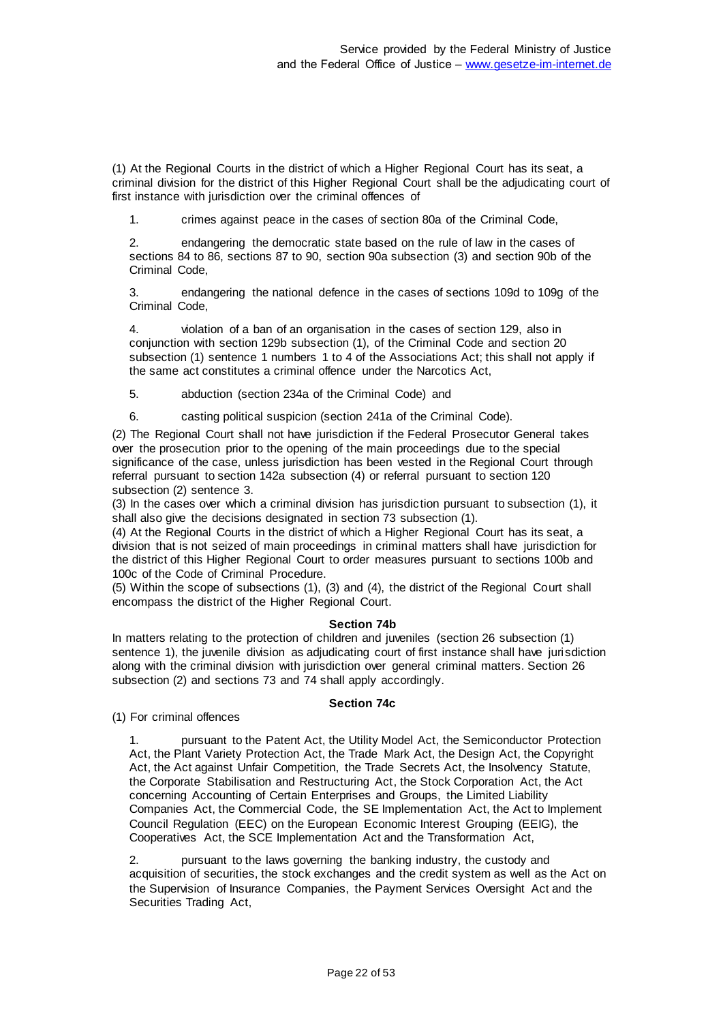(1) At the Regional Courts in the district of which a Higher Regional Court has its seat, a criminal division for the district of this Higher Regional Court shall be the adjudicating court of first instance with jurisdiction over the criminal offences of

1. crimes against peace in the cases of section 80a of the Criminal Code,

2. endangering the democratic state based on the rule of law in the cases of sections 84 to 86, sections 87 to 90, section 90a subsection (3) and section 90b of the Criminal Code,

3. endangering the national defence in the cases of sections 109d to 109g of the Criminal Code,

4. violation of a ban of an organisation in the cases of section 129, also in conjunction with section 129b subsection (1), of the Criminal Code and section 20 subsection (1) sentence 1 numbers 1 to 4 of the Associations Act; this shall not apply if the same act constitutes a criminal offence under the Narcotics Act,

5. abduction (section 234a of the Criminal Code) and

6. casting political suspicion (section 241a of the Criminal Code).

(2) The Regional Court shall not have jurisdiction if the Federal Prosecutor General takes over the prosecution prior to the opening of the main proceedings due to the special significance of the case, unless jurisdiction has been vested in the Regional Court through referral pursuant to section 142a subsection (4) or referral pursuant to section 120 subsection (2) sentence 3.

(3) In the cases over which a criminal division has jurisdiction pursuant to subsection (1), it shall also give the decisions designated in section 73 subsection (1).

(4) At the Regional Courts in the district of which a Higher Regional Court has its seat, a division that is not seized of main proceedings in criminal matters shall have jurisdiction for the district of this Higher Regional Court to order measures pursuant to sections 100b and 100c of the Code of Criminal Procedure.

(5) Within the scope of subsections (1), (3) and (4), the district of the Regional Court shall encompass the district of the Higher Regional Court.

### **Section 74b**

In matters relating to the protection of children and juveniles (section 26 subsection (1) sentence 1), the juvenile division as adjudicating court of first instance shall have jurisdiction along with the criminal division with jurisdiction over general criminal matters. Section 26 subsection (2) and sections 73 and 74 shall apply accordingly.

### **Section 74c**

(1) For criminal offences

1. pursuant to the Patent Act, the Utility Model Act, the Semiconductor Protection Act, the Plant Variety Protection Act, the Trade Mark Act, the Design Act, the Copyright Act, the Act against Unfair Competition, the Trade Secrets Act, the Insolvency Statute, the Corporate Stabilisation and Restructuring Act, the Stock Corporation Act, the Act concerning Accounting of Certain Enterprises and Groups, the Limited Liability Companies Act, the Commercial Code, the SE Implementation Act, the Act to Implement Council Regulation (EEC) on the European Economic Interest Grouping (EEIG), the Cooperatives Act, the SCE Implementation Act and the Transformation Act,

2. pursuant to the laws governing the banking industry, the custody and acquisition of securities, the stock exchanges and the credit system as well as the Act on the Supervision of Insurance Companies, the Payment Services Oversight Act and the Securities Trading Act,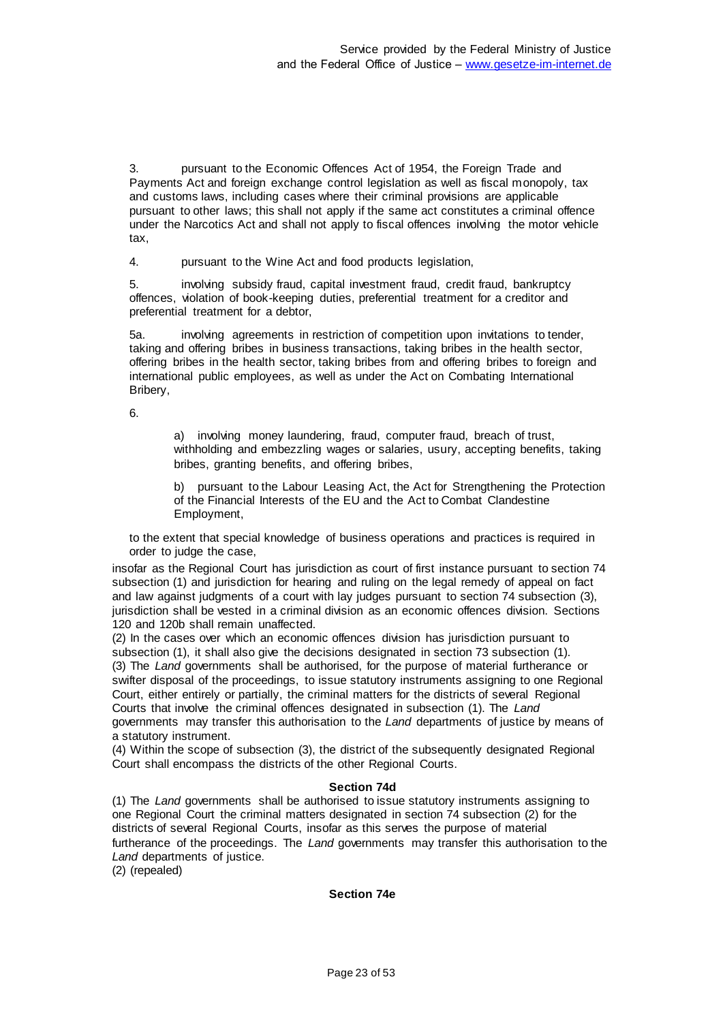3. pursuant to the Economic Offences Act of 1954, the Foreign Trade and Payments Act and foreign exchange control legislation as well as fiscal monopoly, tax and customs laws, including cases where their criminal provisions are applicable pursuant to other laws; this shall not apply if the same act constitutes a criminal offence under the Narcotics Act and shall not apply to fiscal offences involving the motor vehicle tax,

4. pursuant to the Wine Act and food products legislation,

5. involving subsidy fraud, capital investment fraud, credit fraud, bankruptcy offences, violation of book-keeping duties, preferential treatment for a creditor and preferential treatment for a debtor,

5a. involving agreements in restriction of competition upon invitations to tender, taking and offering bribes in business transactions, taking bribes in the health sector, offering bribes in the health sector, taking bribes from and offering bribes to foreign and international public employees, as well as under the Act on Combating International Bribery,

6.

a) involving money laundering, fraud, computer fraud, breach of trust, withholding and embezzling wages or salaries, usury, accepting benefits, taking bribes, granting benefits, and offering bribes,

b) pursuant to the Labour Leasing Act, the Act for Strengthening the Protection of the Financial Interests of the EU and the Act to Combat Clandestine Employment,

to the extent that special knowledge of business operations and practices is required in order to judge the case,

insofar as the Regional Court has jurisdiction as court of first instance pursuant to section 74 subsection (1) and jurisdiction for hearing and ruling on the legal remedy of appeal on fact and law against judgments of a court with lay judges pursuant to section 74 subsection (3), jurisdiction shall be vested in a criminal division as an economic offences division. Sections 120 and 120b shall remain unaffected.

(2) In the cases over which an economic offences division has jurisdiction pursuant to subsection (1), it shall also give the decisions designated in section 73 subsection (1). (3) The *Land* governments shall be authorised, for the purpose of material furtherance or swifter disposal of the proceedings, to issue statutory instruments assigning to one Regional Court, either entirely or partially, the criminal matters for the districts of several Regional Courts that involve the criminal offences designated in subsection (1). The *Land* governments may transfer this authorisation to the *Land* departments of justice by means of a statutory instrument.

(4) Within the scope of subsection (3), the district of the subsequently designated Regional Court shall encompass the districts of the other Regional Courts.

### **Section 74d**

(1) The *Land* governments shall be authorised to issue statutory instruments assigning to one Regional Court the criminal matters designated in section 74 subsection (2) for the districts of several Regional Courts, insofar as this serves the purpose of material furtherance of the proceedings. The *Land* governments may transfer this authorisation to the Land departments of justice.

(2) (repealed)

### **Section 74e**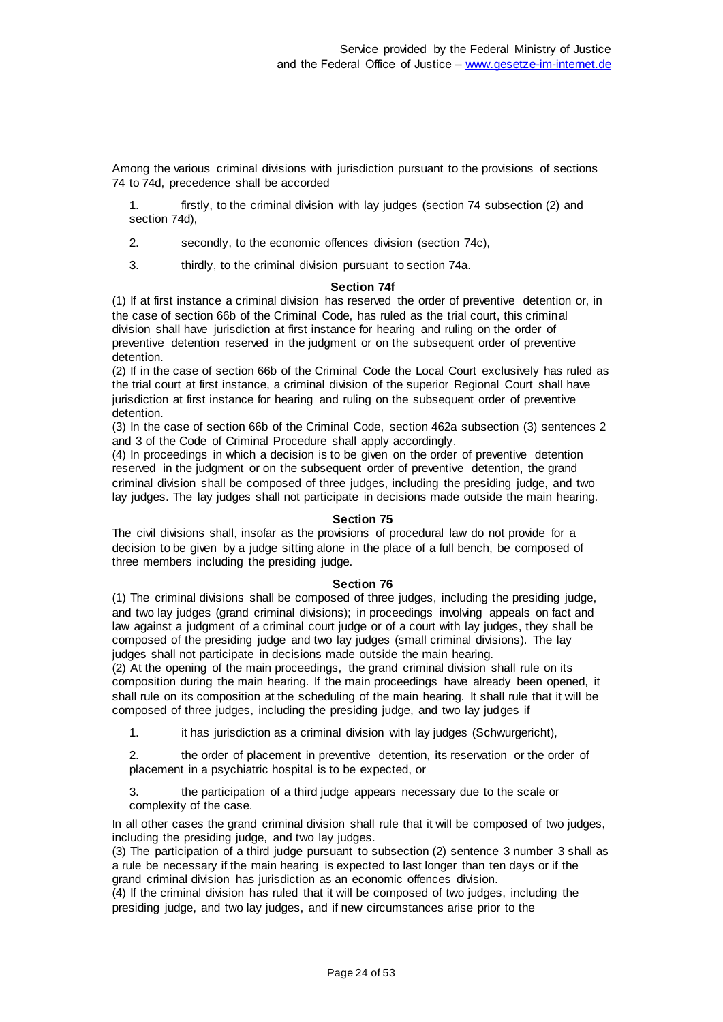Among the various criminal divisions with jurisdiction pursuant to the provisions of sections 74 to 74d, precedence shall be accorded

1. firstly, to the criminal division with lay judges (section 74 subsection (2) and section 74d),

2. secondly, to the economic offences division (section 74c),

3. thirdly, to the criminal division pursuant to section 74a.

#### **Section 74f**

(1) If at first instance a criminal division has reserved the order of preventive detention or, in the case of section 66b of the Criminal Code, has ruled as the trial court, this criminal division shall have jurisdiction at first instance for hearing and ruling on the order of preventive detention reserved in the judgment or on the subsequent order of preventive detention.

(2) If in the case of section 66b of the Criminal Code the Local Court exclusively has ruled as the trial court at first instance, a criminal division of the superior Regional Court shall have jurisdiction at first instance for hearing and ruling on the subsequent order of preventive detention.

(3) In the case of section 66b of the Criminal Code, section 462a subsection (3) sentences 2 and 3 of the Code of Criminal Procedure shall apply accordingly.

(4) In proceedings in which a decision is to be given on the order of preventive detention reserved in the judgment or on the subsequent order of preventive detention, the grand criminal division shall be composed of three judges, including the presiding judge, and two lay judges. The lay judges shall not participate in decisions made outside the main hearing.

### **Section 75**

The civil divisions shall, insofar as the provisions of procedural law do not provide for a decision to be given by a judge sitting alone in the place of a full bench, be composed of three members including the presiding judge.

#### **Section 76**

(1) The criminal divisions shall be composed of three judges, including the presiding judge, and two lay judges (grand criminal divisions); in proceedings involving appeals on fact and law against a judgment of a criminal court judge or of a court with lay judges, they shall be composed of the presiding judge and two lay judges (small criminal divisions). The lay judges shall not participate in decisions made outside the main hearing.

(2) At the opening of the main proceedings, the grand criminal division shall rule on its composition during the main hearing. If the main proceedings have already been opened, it shall rule on its composition at the scheduling of the main hearing. It shall rule that it will be composed of three judges, including the presiding judge, and two lay judges if

1. it has jurisdiction as a criminal division with lay judges (Schwurgericht),

2. the order of placement in preventive detention, its reservation or the order of placement in a psychiatric hospital is to be expected, or

3. the participation of a third judge appears necessary due to the scale or complexity of the case.

In all other cases the grand criminal division shall rule that it will be composed of two judges, including the presiding judge, and two lay judges.

(3) The participation of a third judge pursuant to subsection (2) sentence 3 number 3 shall as a rule be necessary if the main hearing is expected to last longer than ten days or if the grand criminal division has jurisdiction as an economic offences division.

(4) If the criminal division has ruled that it will be composed of two judges, including the presiding judge, and two lay judges, and if new circumstances arise prior to the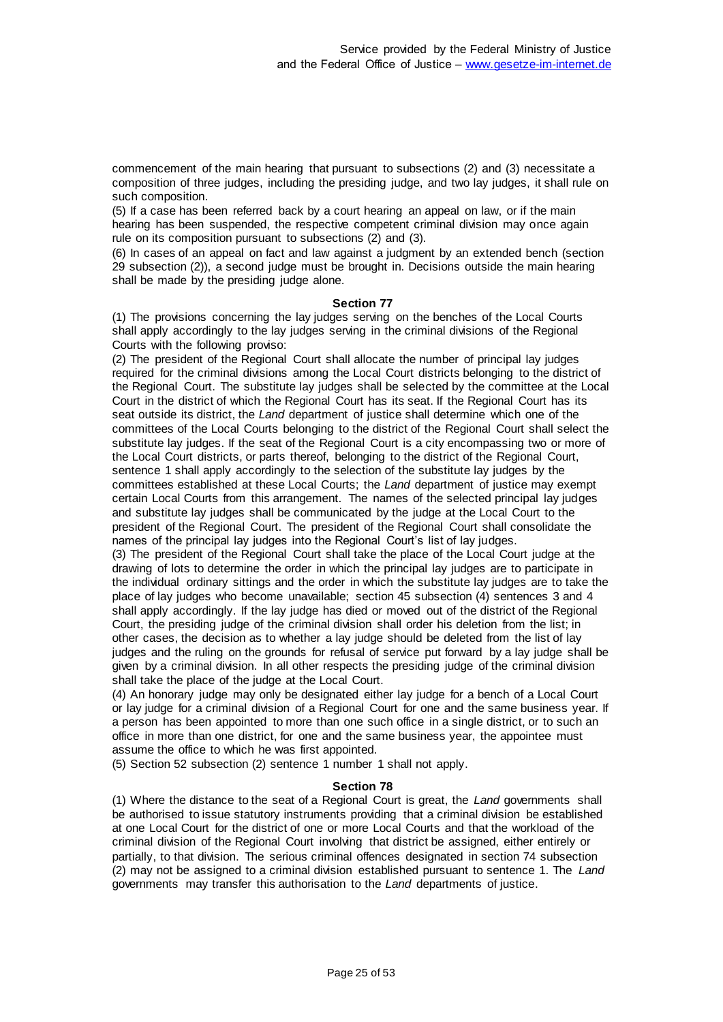commencement of the main hearing that pursuant to subsections (2) and (3) necessitate a composition of three judges, including the presiding judge, and two lay judges, it shall rule on such composition.

(5) If a case has been referred back by a court hearing an appeal on law, or if the main hearing has been suspended, the respective competent criminal division may once again rule on its composition pursuant to subsections (2) and (3).

(6) In cases of an appeal on fact and law against a judgment by an extended bench (section 29 subsection (2)), a second judge must be brought in. Decisions outside the main hearing shall be made by the presiding judge alone.

#### **Section 77**

(1) The provisions concerning the lay judges serving on the benches of the Local Courts shall apply accordingly to the lay judges serving in the criminal divisions of the Regional Courts with the following proviso:

(2) The president of the Regional Court shall allocate the number of principal lay judges required for the criminal divisions among the Local Court districts belonging to the district of the Regional Court. The substitute lay judges shall be selected by the committee at the Local Court in the district of which the Regional Court has its seat. If the Regional Court has its seat outside its district, the *Land* department of justice shall determine which one of the committees of the Local Courts belonging to the district of the Regional Court shall select the substitute lay judges. If the seat of the Regional Court is a city encompassing two or more of the Local Court districts, or parts thereof, belonging to the district of the Regional Court, sentence 1 shall apply accordingly to the selection of the substitute lay judges by the committees established at these Local Courts; the *Land* department of justice may exempt certain Local Courts from this arrangement. The names of the selected principal lay judges and substitute lay judges shall be communicated by the judge at the Local Court to the president of the Regional Court. The president of the Regional Court shall consolidate the names of the principal lay judges into the Regional Court's list of lay judges.

(3) The president of the Regional Court shall take the place of the Local Court judge at the drawing of lots to determine the order in which the principal lay judges are to participate in the individual ordinary sittings and the order in which the substitute lay judges are to take the place of lay judges who become unavailable; section 45 subsection (4) sentences 3 and 4 shall apply accordingly. If the lay judge has died or moved out of the district of the Regional Court, the presiding judge of the criminal division shall order his deletion from the list; in other cases, the decision as to whether a lay judge should be deleted from the list of lay judges and the ruling on the grounds for refusal of service put forward by a lay judge shall be given by a criminal division. In all other respects the presiding judge of the criminal division shall take the place of the judge at the Local Court.

(4) An honorary judge may only be designated either lay judge for a bench of a Local Court or lay judge for a criminal division of a Regional Court for one and the same business year. If a person has been appointed to more than one such office in a single district, or to such an office in more than one district, for one and the same business year, the appointee must assume the office to which he was first appointed.

(5) Section 52 subsection (2) sentence 1 number 1 shall not apply.

#### **Section 78**

(1) Where the distance to the seat of a Regional Court is great, the *Land* governments shall be authorised to issue statutory instruments providing that a criminal division be established at one Local Court for the district of one or more Local Courts and that the workload of the criminal division of the Regional Court involving that district be assigned, either entirely or partially, to that division. The serious criminal offences designated in section 74 subsection (2) may not be assigned to a criminal division established pursuant to sentence 1. The *Land* governments may transfer this authorisation to the *Land* departments of justice.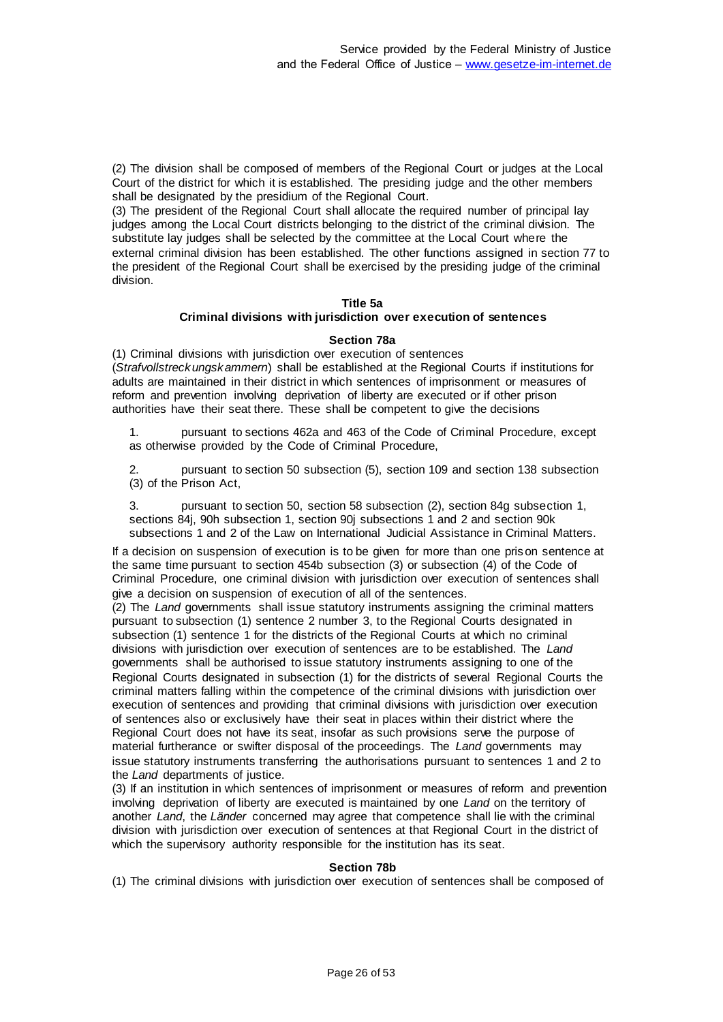(2) The division shall be composed of members of the Regional Court or judges at the Local Court of the district for which it is established. The presiding judge and the other members shall be designated by the presidium of the Regional Court.

(3) The president of the Regional Court shall allocate the required number of principal lay judges among the Local Court districts belonging to the district of the criminal division. The substitute lay judges shall be selected by the committee at the Local Court where the external criminal division has been established. The other functions assigned in section 77 to the president of the Regional Court shall be exercised by the presiding judge of the criminal division.

### **Title 5a**

### **Criminal divisions with jurisdiction over execution of sentences**

#### **Section 78a**

(1) Criminal divisions with jurisdiction over execution of sentences (*Strafvollstreckungskammern*) shall be established at the Regional Courts if institutions for adults are maintained in their district in which sentences of imprisonment or measures of reform and prevention involving deprivation of liberty are executed or if other prison authorities have their seat there. These shall be competent to give the decisions

1. pursuant to sections 462a and 463 of the Code of Criminal Procedure, except as otherwise provided by the Code of Criminal Procedure,

2. pursuant to section 50 subsection (5), section 109 and section 138 subsection (3) of the Prison Act,

3. pursuant to section 50, section 58 subsection (2), section 84g subsection 1, sections 84j, 90h subsection 1, section 90j subsections 1 and 2 and section 90k subsections 1 and 2 of the Law on International Judicial Assistance in Criminal Matters.

If a decision on suspension of execution is to be given for more than one prison sentence at the same time pursuant to section 454b subsection (3) or subsection (4) of the Code of Criminal Procedure, one criminal division with jurisdiction over execution of sentences shall give a decision on suspension of execution of all of the sentences.

(2) The *Land* governments shall issue statutory instruments assigning the criminal matters pursuant to subsection (1) sentence 2 number 3, to the Regional Courts designated in subsection (1) sentence 1 for the districts of the Regional Courts at which no criminal divisions with jurisdiction over execution of sentences are to be established. The *Land* governments shall be authorised to issue statutory instruments assigning to one of the Regional Courts designated in subsection (1) for the districts of several Regional Courts the criminal matters falling within the competence of the criminal divisions with jurisdiction over execution of sentences and providing that criminal divisions with jurisdiction over execution of sentences also or exclusively have their seat in places within their district where the Regional Court does not have its seat, insofar as such provisions serve the purpose of material furtherance or swifter disposal of the proceedings. The *Land* governments may issue statutory instruments transferring the authorisations pursuant to sentences 1 and 2 to the *Land* departments of justice.

(3) If an institution in which sentences of imprisonment or measures of reform and prevention involving deprivation of liberty are executed is maintained by one *Land* on the territory of another *Land*, the *Länder* concerned may agree that competence shall lie with the criminal division with jurisdiction over execution of sentences at that Regional Court in the district of which the supervisory authority responsible for the institution has its seat.

#### **Section 78b**

(1) The criminal divisions with jurisdiction over execution of sentences shall be composed of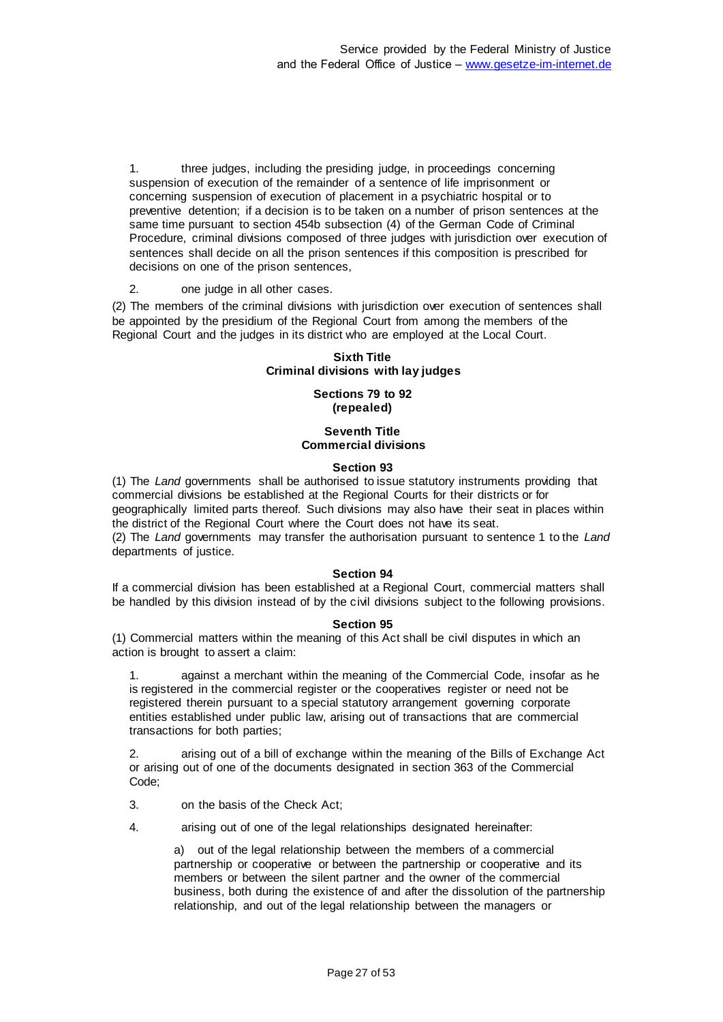1. three judges, including the presiding judge, in proceedings concerning suspension of execution of the remainder of a sentence of life imprisonment or concerning suspension of execution of placement in a psychiatric hospital or to preventive detention; if a decision is to be taken on a number of prison sentences at the same time pursuant to section 454b subsection (4) of the German Code of Criminal Procedure, criminal divisions composed of three judges with jurisdiction over execution of sentences shall decide on all the prison sentences if this composition is prescribed for decisions on one of the prison sentences,

2. one judge in all other cases.

(2) The members of the criminal divisions with jurisdiction over execution of sentences shall be appointed by the presidium of the Regional Court from among the members of the Regional Court and the judges in its district who are employed at the Local Court.

# **Sixth Title Criminal divisions with lay judges**

### **Sections 79 to 92 (repealed)**

# **Seventh Title Commercial divisions**

### **Section 93**

(1) The *Land* governments shall be authorised to issue statutory instruments providing that commercial divisions be established at the Regional Courts for their districts or for geographically limited parts thereof. Such divisions may also have their seat in places within the district of the Regional Court where the Court does not have its seat.

(2) The *Land* governments may transfer the authorisation pursuant to sentence 1 to the *Land* departments of justice.

# **Section 94**

If a commercial division has been established at a Regional Court, commercial matters shall be handled by this division instead of by the civil divisions subject to the following provisions.

### **Section 95**

(1) Commercial matters within the meaning of this Act shall be civil disputes in which an action is brought to assert a claim:

1. against a merchant within the meaning of the Commercial Code, insofar as he is registered in the commercial register or the cooperatives register or need not be registered therein pursuant to a special statutory arrangement governing corporate entities established under public law, arising out of transactions that are commercial transactions for both parties;

2. arising out of a bill of exchange within the meaning of the Bills of Exchange Act or arising out of one of the documents designated in section 363 of the Commercial Code;

3. on the basis of the Check Act;

4. arising out of one of the legal relationships designated hereinafter:

a) out of the legal relationship between the members of a commercial partnership or cooperative or between the partnership or cooperative and its members or between the silent partner and the owner of the commercial business, both during the existence of and after the dissolution of the partnership relationship, and out of the legal relationship between the managers or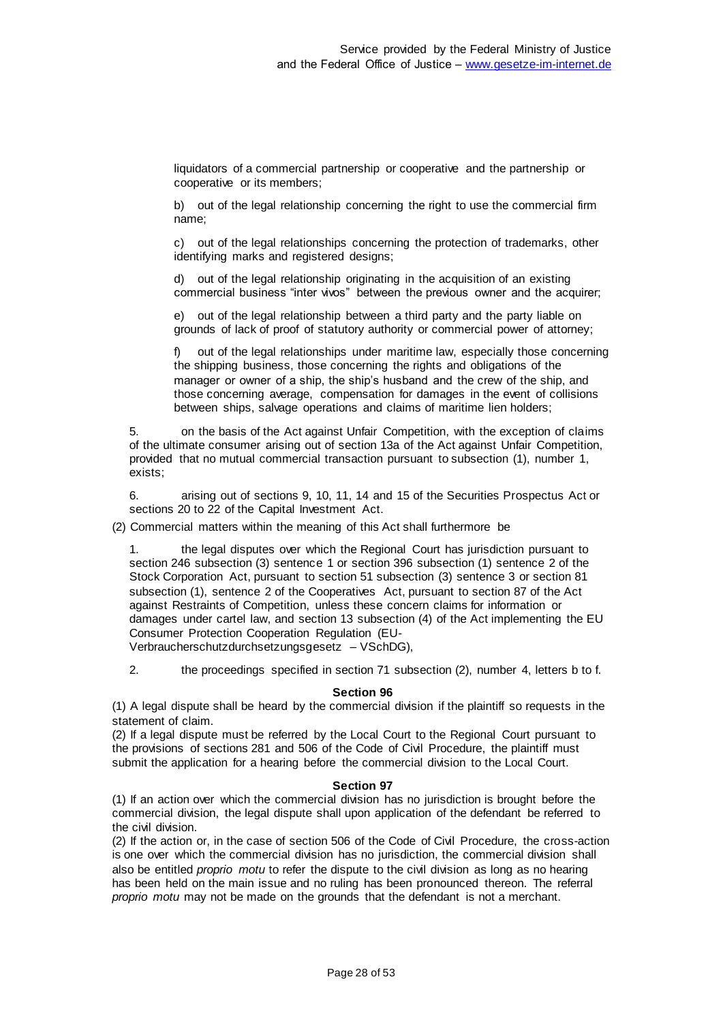liquidators of a commercial partnership or cooperative and the partnership or cooperative or its members;

b) out of the legal relationship concerning the right to use the commercial firm name;

c) out of the legal relationships concerning the protection of trademarks, other identifying marks and registered designs;

d) out of the legal relationship originating in the acquisition of an existing commercial business "inter vivos" between the previous owner and the acquirer;

e) out of the legal relationship between a third party and the party liable on grounds of lack of proof of statutory authority or commercial power of attorney;

f) out of the legal relationships under maritime law, especially those concerning the shipping business, those concerning the rights and obligations of the manager or owner of a ship, the ship's husband and the crew of the ship, and those concerning average, compensation for damages in the event of collisions between ships, salvage operations and claims of maritime lien holders;

5. on the basis of the Act against Unfair Competition, with the exception of claims of the ultimate consumer arising out of section 13a of the Act against Unfair Competition, provided that no mutual commercial transaction pursuant to subsection (1), number 1, exists;

6. arising out of sections 9, 10, 11, 14 and 15 of the Securities Prospectus Act or sections 20 to 22 of the Capital Investment Act.

(2) Commercial matters within the meaning of this Act shall furthermore be

1. the legal disputes over which the Regional Court has jurisdiction pursuant to section 246 subsection (3) sentence 1 or section 396 subsection (1) sentence 2 of the Stock Corporation Act, pursuant to section 51 subsection (3) sentence 3 or section 81 subsection (1), sentence 2 of the Cooperatives Act, pursuant to section 87 of the Act against Restraints of Competition, unless these concern claims for information or damages under cartel law, and section 13 subsection (4) of the Act implementing the EU Consumer Protection Cooperation Regulation (EU-Verbraucherschutzdurchsetzungsgesetz – VSchDG),

2. the proceedings specified in section 71 subsection (2), number 4, letters b to f.

#### **Section 96**

(1) A legal dispute shall be heard by the commercial division if the plaintiff so requests in the statement of claim.

(2) If a legal dispute must be referred by the Local Court to the Regional Court pursuant to the provisions of sections 281 and 506 of the Code of Civil Procedure, the plaintiff must submit the application for a hearing before the commercial division to the Local Court.

#### **Section 97**

(1) If an action over which the commercial division has no jurisdiction is brought before the commercial division, the legal dispute shall upon application of the defendant be referred to the civil division.

(2) If the action or, in the case of section 506 of the Code of Civil Procedure, the cross-action is one over which the commercial division has no jurisdiction, the commercial division shall also be entitled *proprio motu* to refer the dispute to the civil division as long as no hearing has been held on the main issue and no ruling has been pronounced thereon. The referral *proprio motu* may not be made on the grounds that the defendant is not a merchant.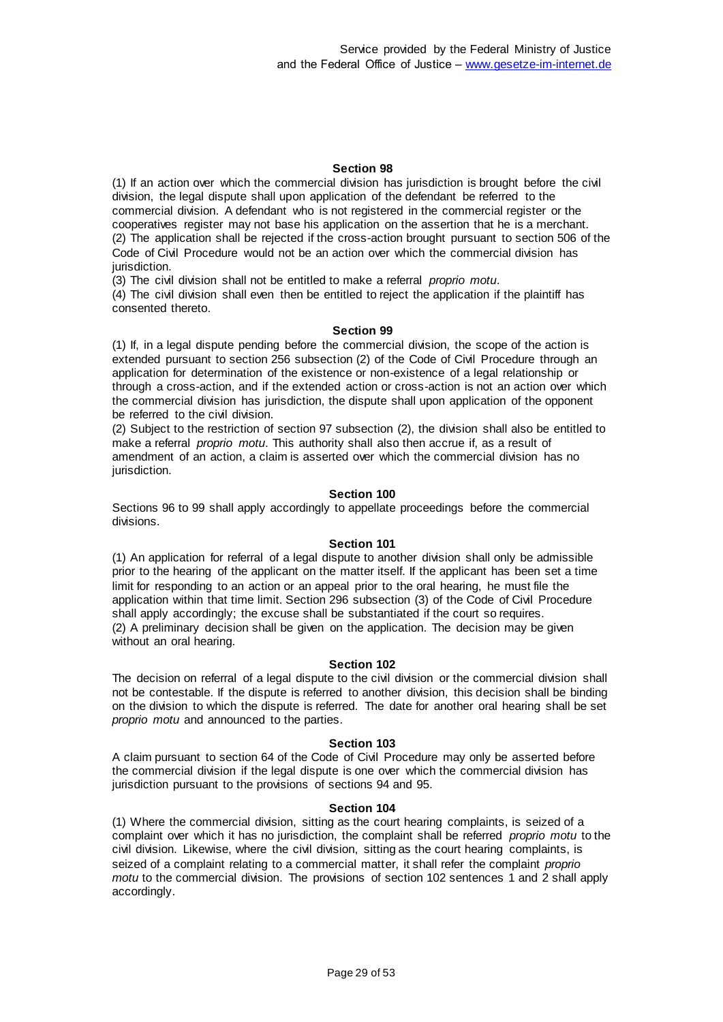(1) If an action over which the commercial division has jurisdiction is brought before the civil division, the legal dispute shall upon application of the defendant be referred to the commercial division. A defendant who is not registered in the commercial register or the cooperatives register may not base his application on the assertion that he is a merchant. (2) The application shall be rejected if the cross-action brought pursuant to section 506 of the Code of Civil Procedure would not be an action over which the commercial division has jurisdiction.

(3) The civil division shall not be entitled to make a referral *proprio motu*.

(4) The civil division shall even then be entitled to reject the application if the plaintiff has consented thereto.

### **Section 99**

(1) If, in a legal dispute pending before the commercial division, the scope of the action is extended pursuant to section 256 subsection (2) of the Code of Civil Procedure through an application for determination of the existence or non-existence of a legal relationship or through a cross-action, and if the extended action or cross-action is not an action over which the commercial division has jurisdiction, the dispute shall upon application of the opponent be referred to the civil division.

(2) Subject to the restriction of section 97 subsection (2), the division shall also be entitled to make a referral *proprio motu*. This authority shall also then accrue if, as a result of amendment of an action, a claim is asserted over which the commercial division has no jurisdiction.

#### **Section 100**

Sections 96 to 99 shall apply accordingly to appellate proceedings before the commercial divisions.

### **Section 101**

(1) An application for referral of a legal dispute to another division shall only be admissible prior to the hearing of the applicant on the matter itself. If the applicant has been set a time limit for responding to an action or an appeal prior to the oral hearing, he must file the application within that time limit. Section 296 subsection (3) of the Code of Civil Procedure shall apply accordingly; the excuse shall be substantiated if the court so requires. (2) A preliminary decision shall be given on the application. The decision may be given without an oral hearing.

#### **Section 102**

The decision on referral of a legal dispute to the civil division or the commercial division shall not be contestable. If the dispute is referred to another division, this decision shall be binding on the division to which the dispute is referred. The date for another oral hearing shall be set *proprio motu* and announced to the parties.

#### **Section 103**

A claim pursuant to section 64 of the Code of Civil Procedure may only be asserted before the commercial division if the legal dispute is one over which the commercial division has jurisdiction pursuant to the provisions of sections 94 and 95.

#### **Section 104**

(1) Where the commercial division, sitting as the court hearing complaints, is seized of a complaint over which it has no jurisdiction, the complaint shall be referred *proprio motu* to the civil division. Likewise, where the civil division, sitting as the court hearing complaints, is seized of a complaint relating to a commercial matter, it shall refer the complaint *proprio motu* to the commercial division. The provisions of section 102 sentences 1 and 2 shall apply accordingly.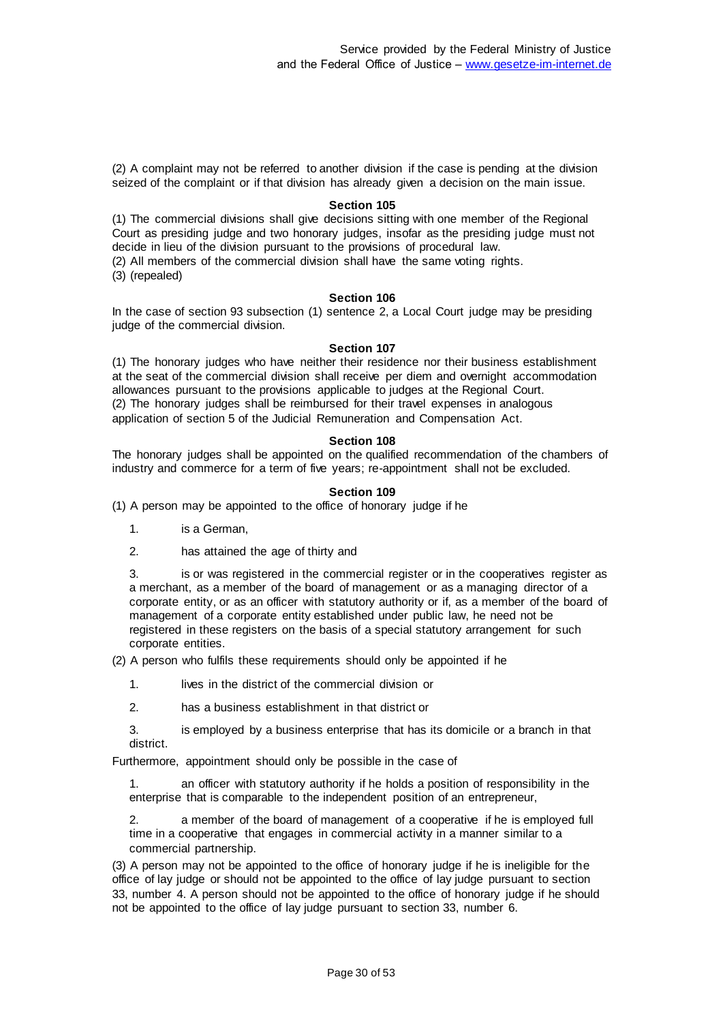(2) A complaint may not be referred to another division if the case is pending at the division seized of the complaint or if that division has already given a decision on the main issue.

#### **Section 105**

(1) The commercial divisions shall give decisions sitting with one member of the Regional Court as presiding judge and two honorary judges, insofar as the presiding judge must not decide in lieu of the division pursuant to the provisions of procedural law. (2) All members of the commercial division shall have the same voting rights.

(3) (repealed)

#### **Section 106**

In the case of section 93 subsection (1) sentence 2, a Local Court judge may be presiding judge of the commercial division.

#### **Section 107**

(1) The honorary judges who have neither their residence nor their business establishment at the seat of the commercial division shall receive per diem and overnight accommodation allowances pursuant to the provisions applicable to judges at the Regional Court. (2) The honorary judges shall be reimbursed for their travel expenses in analogous application of section 5 of the Judicial Remuneration and Compensation Act.

#### **Section 108**

The honorary judges shall be appointed on the qualified recommendation of the chambers of industry and commerce for a term of five years; re-appointment shall not be excluded.

#### **Section 109**

(1) A person may be appointed to the office of honorary judge if he

- 1. is a German,
- 2. has attained the age of thirty and

3. is or was registered in the commercial register or in the cooperatives register as a merchant, as a member of the board of management or as a managing director of a corporate entity, or as an officer with statutory authority or if, as a member of the board of management of a corporate entity established under public law, he need not be registered in these registers on the basis of a special statutory arrangement for such corporate entities.

(2) A person who fulfils these requirements should only be appointed if he

- 1. lives in the district of the commercial division or
- 2. has a business establishment in that district or

3. is employed by a business enterprise that has its domicile or a branch in that district.

Furthermore, appointment should only be possible in the case of

1. an officer with statutory authority if he holds a position of responsibility in the enterprise that is comparable to the independent position of an entrepreneur,

2. a member of the board of management of a cooperative if he is employed full time in a cooperative that engages in commercial activity in a manner similar to a commercial partnership.

(3) A person may not be appointed to the office of honorary judge if he is ineligible for the office of lay judge or should not be appointed to the office of lay judge pursuant to section 33, number 4. A person should not be appointed to the office of honorary judge if he should not be appointed to the office of lay judge pursuant to section 33, number 6.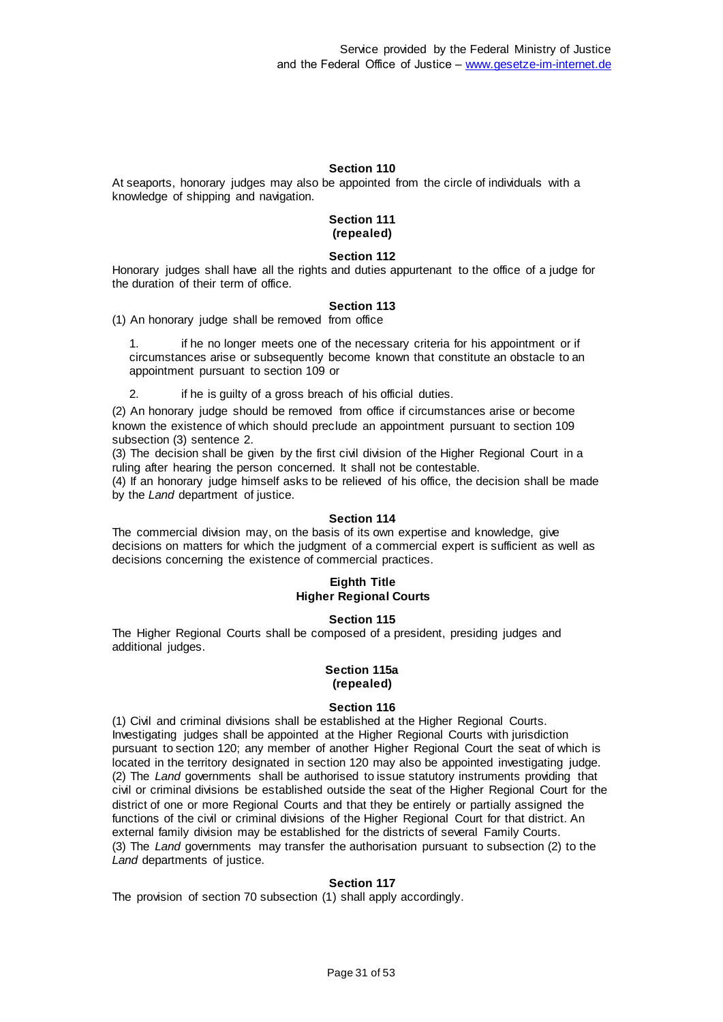At seaports, honorary judges may also be appointed from the circle of individuals with a knowledge of shipping and navigation.

#### **Section 111 (repealed)**

### **Section 112**

Honorary judges shall have all the rights and duties appurtenant to the office of a judge for the duration of their term of office.

### **Section 113**

(1) An honorary judge shall be removed from office

if he no longer meets one of the necessary criteria for his appointment or if circumstances arise or subsequently become known that constitute an obstacle to an appointment pursuant to section 109 or

2. if he is quilty of a gross breach of his official duties.

(2) An honorary judge should be removed from office if circumstances arise or become known the existence of which should preclude an appointment pursuant to section 109 subsection (3) sentence 2.

(3) The decision shall be given by the first civil division of the Higher Regional Court in a ruling after hearing the person concerned. It shall not be contestable.

(4) If an honorary judge himself asks to be relieved of his office, the decision shall be made by the *Land* department of justice.

### **Section 114**

The commercial division may, on the basis of its own expertise and knowledge, give decisions on matters for which the judgment of a commercial expert is sufficient as well as decisions concerning the existence of commercial practices.

#### **Eighth Title Higher Regional Courts**

### **Section 115**

The Higher Regional Courts shall be composed of a president, presiding judges and additional judges.

#### **Section 115a (repealed)**

### **Section 116**

(1) Civil and criminal divisions shall be established at the Higher Regional Courts. Investigating judges shall be appointed at the Higher Regional Courts with jurisdiction pursuant to section 120; any member of another Higher Regional Court the seat of which is located in the territory designated in section 120 may also be appointed investigating judge. (2) The *Land* governments shall be authorised to issue statutory instruments providing that civil or criminal divisions be established outside the seat of the Higher Regional Court for the district of one or more Regional Courts and that they be entirely or partially assigned the functions of the civil or criminal divisions of the Higher Regional Court for that district. An external family division may be established for the districts of several Family Courts. (3) The *Land* governments may transfer the authorisation pursuant to subsection (2) to the *Land* departments of justice.

### **Section 117**

The provision of section 70 subsection (1) shall apply accordingly.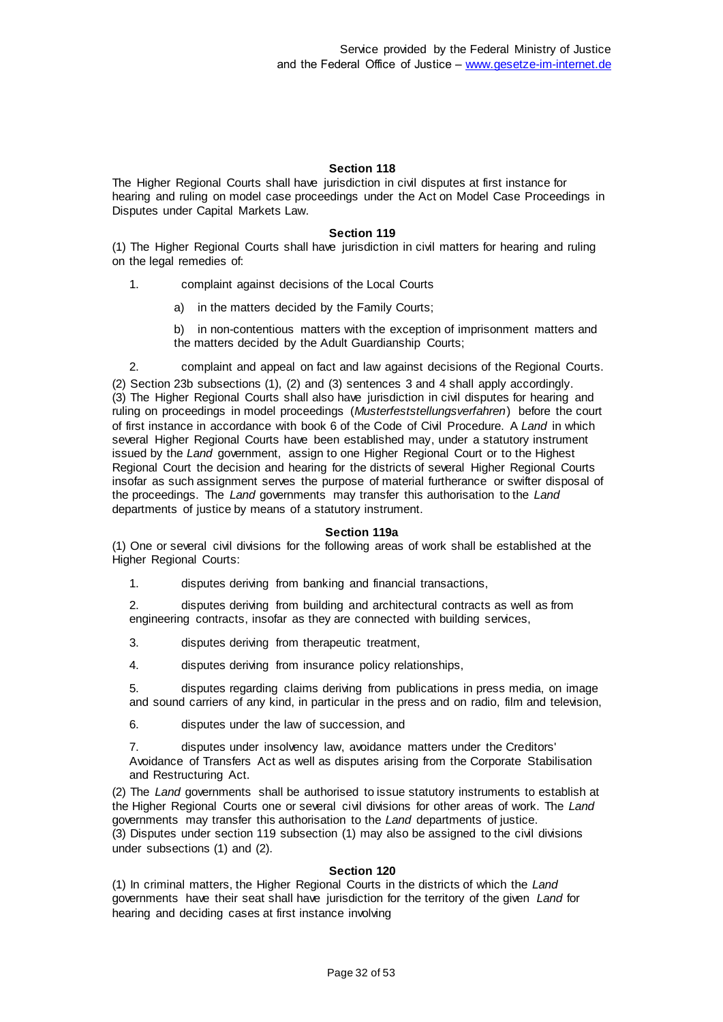The Higher Regional Courts shall have jurisdiction in civil disputes at first instance for hearing and ruling on model case proceedings under the Act on Model Case Proceedings in Disputes under Capital Markets Law.

### **Section 119**

(1) The Higher Regional Courts shall have jurisdiction in civil matters for hearing and ruling on the legal remedies of:

1. complaint against decisions of the Local Courts

- a) in the matters decided by the Family Courts;
- b) in non-contentious matters with the exception of imprisonment matters and the matters decided by the Adult Guardianship Courts;

2. complaint and appeal on fact and law against decisions of the Regional Courts.

(2) Section 23b subsections (1), (2) and (3) sentences 3 and 4 shall apply accordingly. (3) The Higher Regional Courts shall also have jurisdiction in civil disputes for hearing and ruling on proceedings in model proceedings (*Musterfeststellungsverfahren*) before the court of first instance in accordance with book 6 of the Code of Civil Procedure. A *Land* in which several Higher Regional Courts have been established may, under a statutory instrument issued by the *Land* government, assign to one Higher Regional Court or to the Highest Regional Court the decision and hearing for the districts of several Higher Regional Courts insofar as such assignment serves the purpose of material furtherance or swifter disposal of the proceedings. The *Land* governments may transfer this authorisation to the *Land* departments of justice by means of a statutory instrument.

### **Section 119a**

(1) One or several civil divisions for the following areas of work shall be established at the Higher Regional Courts:

1. disputes deriving from banking and financial transactions,

2. disputes deriving from building and architectural contracts as well as from engineering contracts, insofar as they are connected with building services,

- 3. disputes deriving from therapeutic treatment,
- 4. disputes deriving from insurance policy relationships,

5. disputes regarding claims deriving from publications in press media, on image and sound carriers of any kind, in particular in the press and on radio, film and television,

6. disputes under the law of succession, and

7. disputes under insolvency law, avoidance matters under the Creditors' Avoidance of Transfers Act as well as disputes arising from the Corporate Stabilisation and Restructuring Act.

(2) The *Land* governments shall be authorised to issue statutory instruments to establish at the Higher Regional Courts one or several civil divisions for other areas of work. The *Land* governments may transfer this authorisation to the *Land* departments of justice. (3) Disputes under section 119 subsection (1) may also be assigned to the civil divisions under subsections (1) and (2).

### **Section 120**

(1) In criminal matters, the Higher Regional Courts in the districts of which the *Land* governments have their seat shall have jurisdiction for the territory of the given *Land* for hearing and deciding cases at first instance involving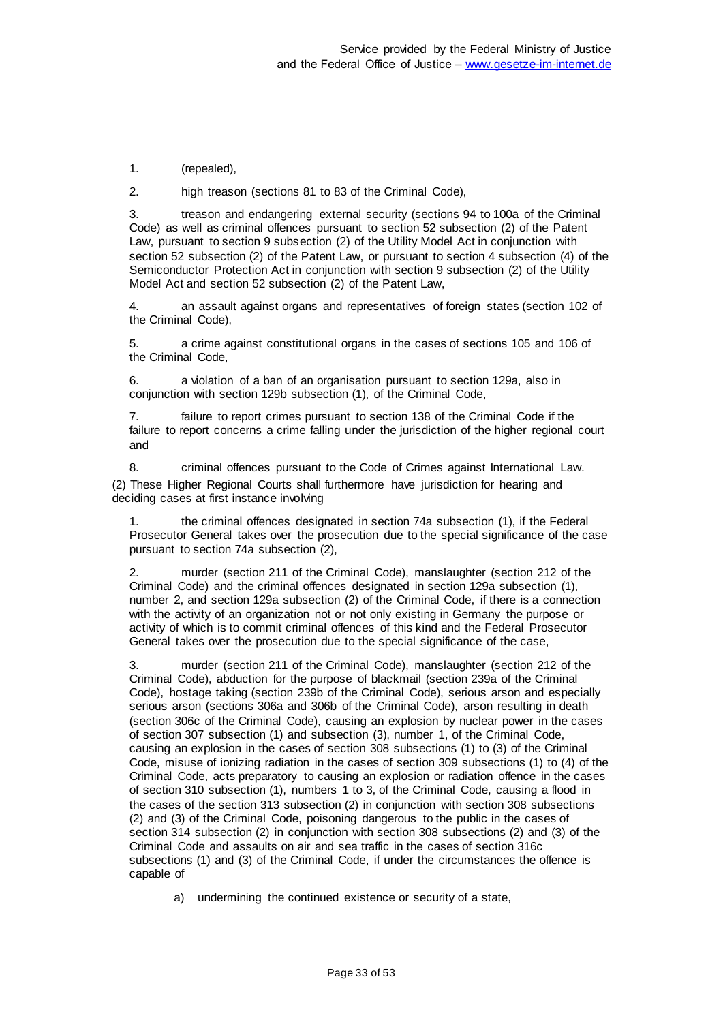1. (repealed),

2. high treason (sections 81 to 83 of the Criminal Code),

3. treason and endangering external security (sections 94 to 100a of the Criminal Code) as well as criminal offences pursuant to section 52 subsection (2) of the Patent Law, pursuant to section 9 subsection (2) of the Utility Model Act in conjunction with section 52 subsection (2) of the Patent Law, or pursuant to section 4 subsection (4) of the Semiconductor Protection Act in conjunction with section 9 subsection (2) of the Utility Model Act and section 52 subsection (2) of the Patent Law,

4. an assault against organs and representatives of foreign states (section 102 of the Criminal Code),

5. a crime against constitutional organs in the cases of sections 105 and 106 of the Criminal Code,

6. a violation of a ban of an organisation pursuant to section 129a, also in conjunction with section 129b subsection (1), of the Criminal Code,

7. failure to report crimes pursuant to section 138 of the Criminal Code if the failure to report concerns a crime falling under the jurisdiction of the higher regional court and

8. criminal offences pursuant to the Code of Crimes against International Law. (2) These Higher Regional Courts shall furthermore have jurisdiction for hearing and deciding cases at first instance involving

1. the criminal offences designated in section 74a subsection (1), if the Federal Prosecutor General takes over the prosecution due to the special significance of the case pursuant to section 74a subsection (2),

2. murder (section 211 of the Criminal Code), manslaughter (section 212 of the Criminal Code) and the criminal offences designated in section 129a subsection (1), number 2, and section 129a subsection (2) of the Criminal Code, if there is a connection with the activity of an organization not or not only existing in Germany the purpose or activity of which is to commit criminal offences of this kind and the Federal Prosecutor General takes over the prosecution due to the special significance of the case,

3. murder (section 211 of the Criminal Code), manslaughter (section 212 of the Criminal Code), abduction for the purpose of blackmail (section 239a of the Criminal Code), hostage taking (section 239b of the Criminal Code), serious arson and especially serious arson (sections 306a and 306b of the Criminal Code), arson resulting in death (section 306c of the Criminal Code), causing an explosion by nuclear power in the cases of section 307 subsection (1) and subsection (3), number 1, of the Criminal Code, causing an explosion in the cases of section 308 subsections (1) to (3) of the Criminal Code, misuse of ionizing radiation in the cases of section 309 subsections (1) to (4) of the Criminal Code, acts preparatory to causing an explosion or radiation offence in the cases of section 310 subsection (1), numbers 1 to 3, of the Criminal Code, causing a flood in the cases of the section 313 subsection (2) in conjunction with section 308 subsections (2) and (3) of the Criminal Code, poisoning dangerous to the public in the cases of section 314 subsection (2) in conjunction with section 308 subsections (2) and (3) of the Criminal Code and assaults on air and sea traffic in the cases of section 316c subsections (1) and (3) of the Criminal Code, if under the circumstances the offence is capable of

a) undermining the continued existence or security of a state,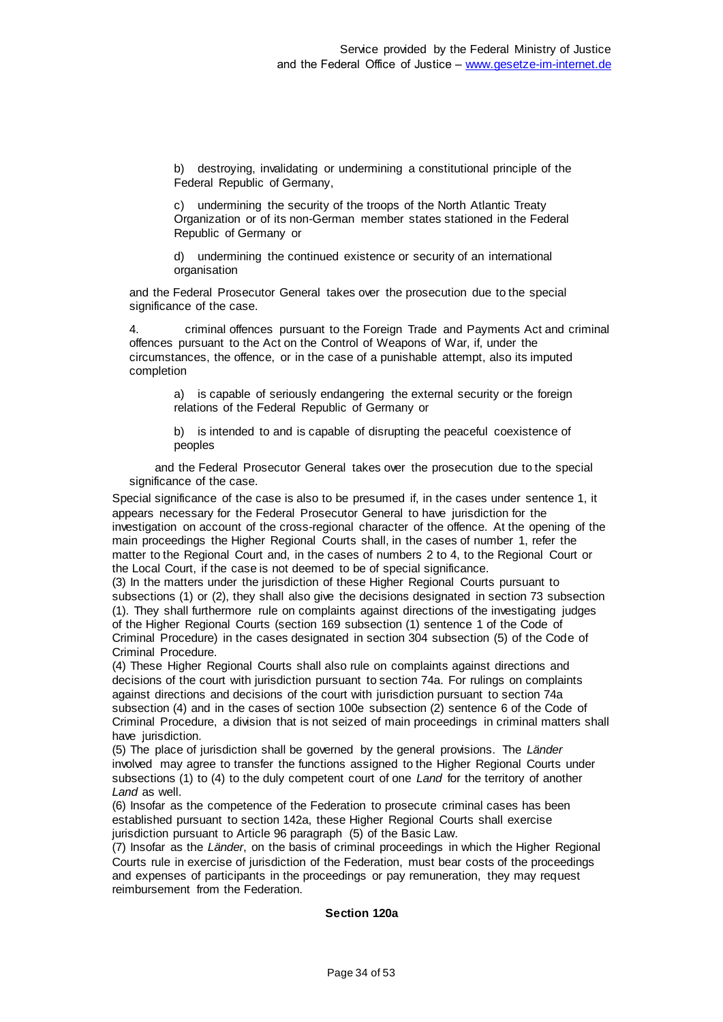b) destroying, invalidating or undermining a constitutional principle of the Federal Republic of Germany,

c) undermining the security of the troops of the North Atlantic Treaty Organization or of its non-German member states stationed in the Federal Republic of Germany or

d) undermining the continued existence or security of an international organisation

and the Federal Prosecutor General takes over the prosecution due to the special significance of the case.

4. criminal offences pursuant to the Foreign Trade and Payments Act and criminal offences pursuant to the Act on the Control of Weapons of War, if, under the circumstances, the offence, or in the case of a punishable attempt, also its imputed completion

a) is capable of seriously endangering the external security or the foreign relations of the Federal Republic of Germany or

b) is intended to and is capable of disrupting the peaceful coexistence of peoples

and the Federal Prosecutor General takes over the prosecution due to the special significance of the case.

Special significance of the case is also to be presumed if, in the cases under sentence 1, it appears necessary for the Federal Prosecutor General to have jurisdiction for the investigation on account of the cross-regional character of the offence. At the opening of the main proceedings the Higher Regional Courts shall, in the cases of number 1, refer the matter to the Regional Court and, in the cases of numbers 2 to 4, to the Regional Court or the Local Court, if the case is not deemed to be of special significance.

(3) In the matters under the jurisdiction of these Higher Regional Courts pursuant to subsections (1) or (2), they shall also give the decisions designated in section 73 subsection (1). They shall furthermore rule on complaints against directions of the investigating judges of the Higher Regional Courts (section 169 subsection (1) sentence 1 of the Code of Criminal Procedure) in the cases designated in section 304 subsection (5) of the Code of Criminal Procedure.

(4) These Higher Regional Courts shall also rule on complaints against directions and decisions of the court with jurisdiction pursuant to section 74a. For rulings on complaints against directions and decisions of the court with jurisdiction pursuant to section 74a subsection (4) and in the cases of section 100e subsection (2) sentence 6 of the Code of Criminal Procedure, a division that is not seized of main proceedings in criminal matters shall have jurisdiction.

(5) The place of jurisdiction shall be governed by the general provisions. The *Länder* involved may agree to transfer the functions assigned to the Higher Regional Courts under subsections (1) to (4) to the duly competent court of one *Land* for the territory of another *Land* as well.

(6) Insofar as the competence of the Federation to prosecute criminal cases has been established pursuant to section 142a, these Higher Regional Courts shall exercise jurisdiction pursuant to Article 96 paragraph (5) of the Basic Law.

(7) Insofar as the *Länder*, on the basis of criminal proceedings in which the Higher Regional Courts rule in exercise of jurisdiction of the Federation, must bear costs of the proceedings and expenses of participants in the proceedings or pay remuneration, they may request reimbursement from the Federation.

### **Section 120a**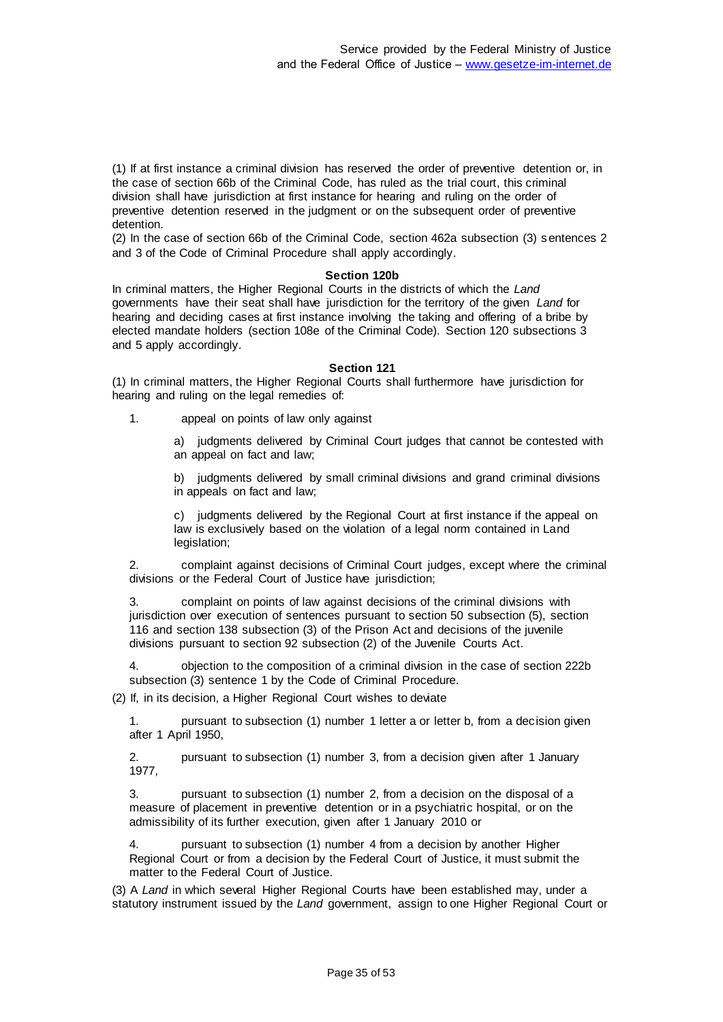(1) If at first instance a criminal division has reserved the order of preventive detention or, in the case of section 66b of the Criminal Code, has ruled as the trial court, this criminal division shall have jurisdiction at first instance for hearing and ruling on the order of preventive detention reserved in the judgment or on the subsequent order of preventive detention.

(2) In the case of section 66b of the Criminal Code, section 462a subsection (3) sentences 2 and 3 of the Code of Criminal Procedure shall apply accordingly.

#### **Section 120b**

In criminal matters, the Higher Regional Courts in the districts of which the *Land* governments have their seat shall have jurisdiction for the territory of the given *Land* for hearing and deciding cases at first instance involving the taking and offering of a bribe by elected mandate holders (section 108e of the Criminal Code). Section 120 subsections 3 and 5 apply accordingly.

#### **Section 121**

(1) In criminal matters, the Higher Regional Courts shall furthermore have jurisdiction for hearing and ruling on the legal remedies of:

1. appeal on points of law only against

a) judgments delivered by Criminal Court judges that cannot be contested with an appeal on fact and law;

b) judgments delivered by small criminal divisions and grand criminal divisions in appeals on fact and law;

c) judgments delivered by the Regional Court at first instance if the appeal on law is exclusively based on the violation of a legal norm contained in Land legislation;

2. complaint against decisions of Criminal Court judges, except where the criminal divisions or the Federal Court of Justice have jurisdiction;

3. complaint on points of law against decisions of the criminal divisions with jurisdiction over execution of sentences pursuant to section 50 subsection (5), section 116 and section 138 subsection (3) of the Prison Act and decisions of the juvenile divisions pursuant to section 92 subsection (2) of the Juvenile Courts Act.

4. objection to the composition of a criminal division in the case of section 222b subsection (3) sentence 1 by the Code of Criminal Procedure.

(2) If, in its decision, a Higher Regional Court wishes to deviate

1. pursuant to subsection (1) number 1 letter a or letter b, from a decision given after 1 April 1950,

2. pursuant to subsection (1) number 3, from a decision given after 1 January 1977,

3. pursuant to subsection (1) number 2, from a decision on the disposal of a measure of placement in preventive detention or in a psychiatric hospital, or on the admissibility of its further execution, given after 1 January 2010 or

4. pursuant to subsection (1) number 4 from a decision by another Higher Regional Court or from a decision by the Federal Court of Justice, it must submit the matter to the Federal Court of Justice.

(3) A *Land* in which several Higher Regional Courts have been established may, under a statutory instrument issued by the *Land* government, assign to one Higher Regional Court or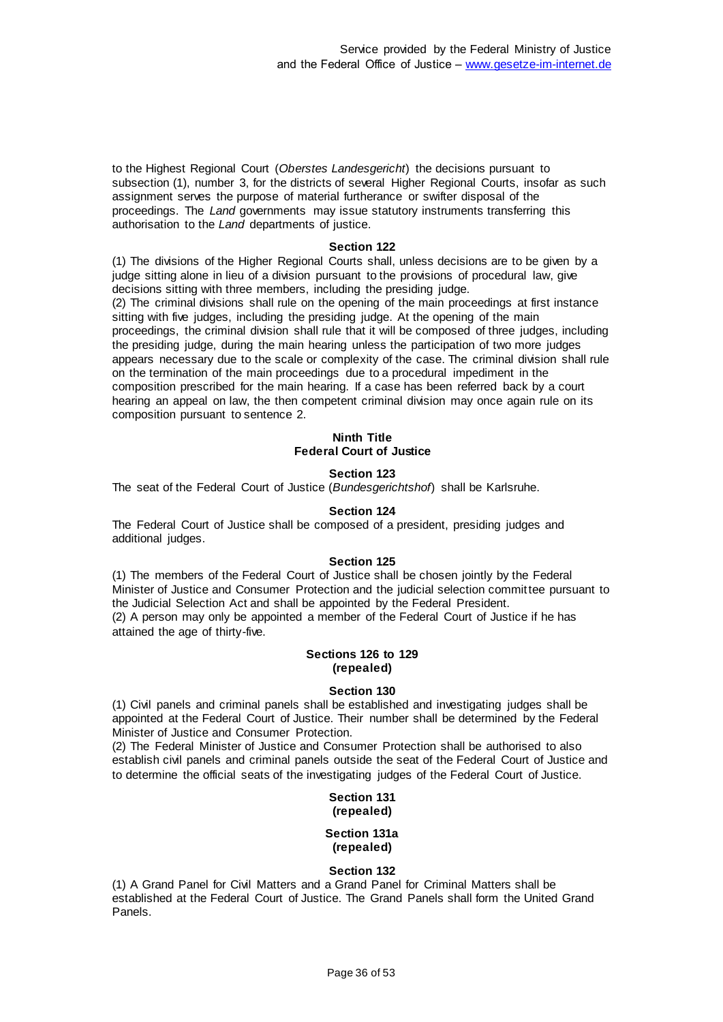to the Highest Regional Court (*Oberstes Landesgericht*) the decisions pursuant to subsection (1), number 3, for the districts of several Higher Regional Courts, insofar as such assignment serves the purpose of material furtherance or swifter disposal of the proceedings. The *Land* governments may issue statutory instruments transferring this authorisation to the *Land* departments of justice.

### **Section 122**

(1) The divisions of the Higher Regional Courts shall, unless decisions are to be given by a judge sitting alone in lieu of a division pursuant to the provisions of procedural law, give decisions sitting with three members, including the presiding judge.

(2) The criminal divisions shall rule on the opening of the main proceedings at first instance sitting with five judges, including the presiding judge. At the opening of the main proceedings, the criminal division shall rule that it will be composed of three judges, including the presiding judge, during the main hearing unless the participation of two more judges appears necessary due to the scale or complexity of the case. The criminal division shall rule on the termination of the main proceedings due to a procedural impediment in the composition prescribed for the main hearing. If a case has been referred back by a court hearing an appeal on law, the then competent criminal division may once again rule on its composition pursuant to sentence 2.

### **Ninth Title Federal Court of Justice**

### **Section 123**

The seat of the Federal Court of Justice (*Bundesgerichtshof*) shall be Karlsruhe.

### **Section 124**

The Federal Court of Justice shall be composed of a president, presiding judges and additional judges.

### **Section 125**

(1) The members of the Federal Court of Justice shall be chosen jointly by the Federal Minister of Justice and Consumer Protection and the judicial selection committee pursuant to the Judicial Selection Act and shall be appointed by the Federal President. (2) A person may only be appointed a member of the Federal Court of Justice if he has attained the age of thirty-five.

#### **Sections 126 to 129 (repealed)**

#### **Section 130**

(1) Civil panels and criminal panels shall be established and investigating judges shall be appointed at the Federal Court of Justice. Their number shall be determined by the Federal Minister of Justice and Consumer Protection.

(2) The Federal Minister of Justice and Consumer Protection shall be authorised to also establish civil panels and criminal panels outside the seat of the Federal Court of Justice and to determine the official seats of the investigating judges of the Federal Court of Justice.

#### **Section 131 (repealed)**

#### **Section 131a (repealed)**

#### **Section 132**

(1) A Grand Panel for Civil Matters and a Grand Panel for Criminal Matters shall be established at the Federal Court of Justice. The Grand Panels shall form the United Grand Panels.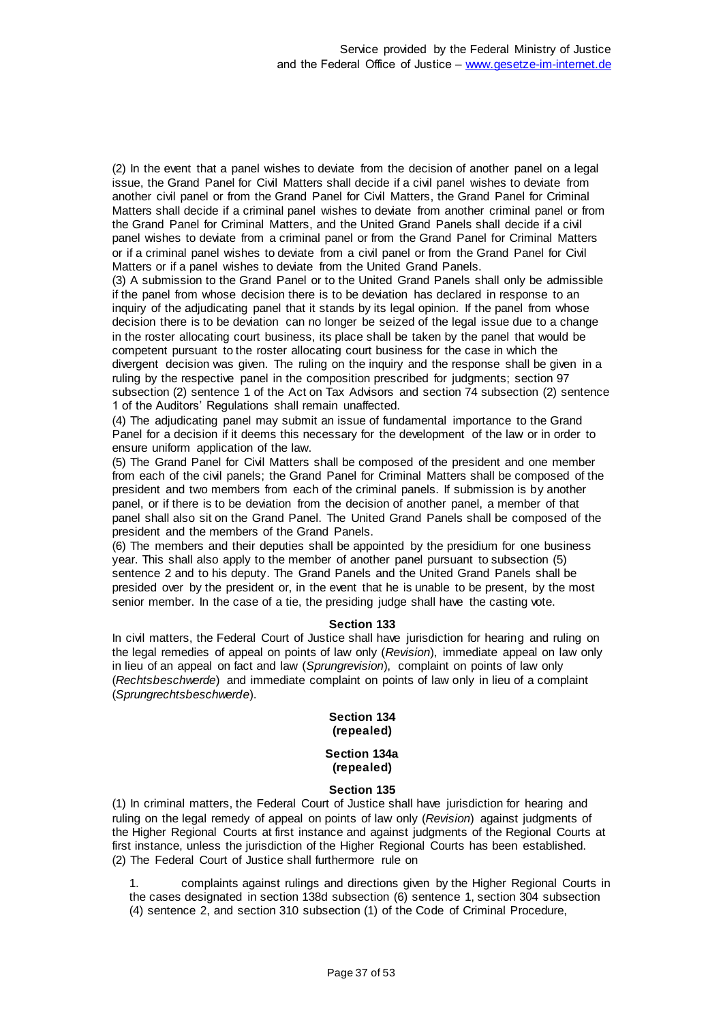(2) In the event that a panel wishes to deviate from the decision of another panel on a legal issue, the Grand Panel for Civil Matters shall decide if a civil panel wishes to deviate from another civil panel or from the Grand Panel for Civil Matters, the Grand Panel for Criminal Matters shall decide if a criminal panel wishes to deviate from another criminal panel or from the Grand Panel for Criminal Matters, and the United Grand Panels shall decide if a civil panel wishes to deviate from a criminal panel or from the Grand Panel for Criminal Matters or if a criminal panel wishes to deviate from a civil panel or from the Grand Panel for Civil Matters or if a panel wishes to deviate from the United Grand Panels.

(3) A submission to the Grand Panel or to the United Grand Panels shall only be admissible if the panel from whose decision there is to be deviation has declared in response to an inquiry of the adjudicating panel that it stands by its legal opinion. If the panel from whose decision there is to be deviation can no longer be seized of the legal issue due to a change in the roster allocating court business, its place shall be taken by the panel that would be competent pursuant to the roster allocating court business for the case in which the divergent decision was given. The ruling on the inquiry and the response shall be given in a ruling by the respective panel in the composition prescribed for judgments; section 97 subsection (2) sentence 1 of the Act on Tax Advisors and section 74 subsection (2) sentence 1 of the Auditors' Regulations shall remain unaffected.

(4) The adjudicating panel may submit an issue of fundamental importance to the Grand Panel for a decision if it deems this necessary for the development of the law or in order to ensure uniform application of the law.

(5) The Grand Panel for Civil Matters shall be composed of the president and one member from each of the civil panels; the Grand Panel for Criminal Matters shall be composed of the president and two members from each of the criminal panels. If submission is by another panel, or if there is to be deviation from the decision of another panel, a member of that panel shall also sit on the Grand Panel. The United Grand Panels shall be composed of the president and the members of the Grand Panels.

(6) The members and their deputies shall be appointed by the presidium for one business year. This shall also apply to the member of another panel pursuant to subsection (5) sentence 2 and to his deputy. The Grand Panels and the United Grand Panels shall be presided over by the president or, in the event that he is unable to be present, by the most senior member. In the case of a tie, the presiding judge shall have the casting vote.

# **Section 133**

In civil matters, the Federal Court of Justice shall have jurisdiction for hearing and ruling on the legal remedies of appeal on points of law only (*Revision*), immediate appeal on law only in lieu of an appeal on fact and law (*Sprungrevision*), complaint on points of law only (*Rechtsbeschwerde*) and immediate complaint on points of law only in lieu of a complaint (*Sprungrechtsbeschwerde*).

### **Section 134 (repealed)**

#### **Section 134a (repealed)**

### **Section 135**

(1) In criminal matters, the Federal Court of Justice shall have jurisdiction for hearing and ruling on the legal remedy of appeal on points of law only (*Revision*) against judgments of the Higher Regional Courts at first instance and against judgments of the Regional Courts at first instance, unless the jurisdiction of the Higher Regional Courts has been established. (2) The Federal Court of Justice shall furthermore rule on

1. complaints against rulings and directions given by the Higher Regional Courts in the cases designated in section 138d subsection (6) sentence 1, section 304 subsection (4) sentence 2, and section 310 subsection (1) of the Code of Criminal Procedure,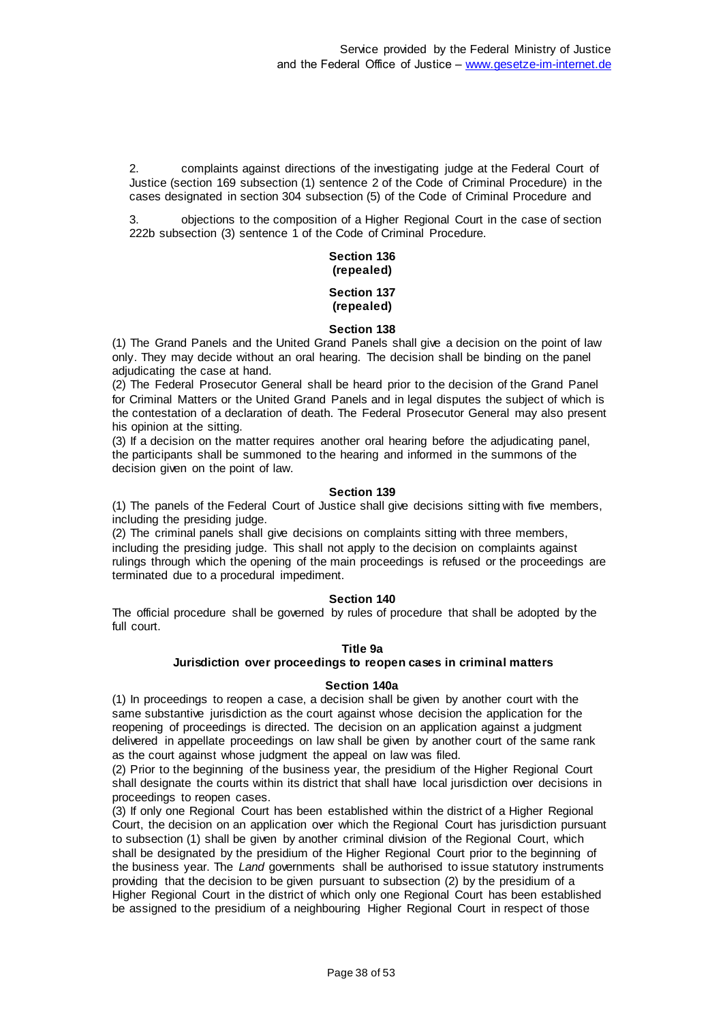2. complaints against directions of the investigating judge at the Federal Court of Justice (section 169 subsection (1) sentence 2 of the Code of Criminal Procedure) in the cases designated in section 304 subsection (5) of the Code of Criminal Procedure and

3. objections to the composition of a Higher Regional Court in the case of section 222b subsection (3) sentence 1 of the Code of Criminal Procedure.

### **Section 136 (repealed)**

#### **Section 137 (repealed)**

# **Section 138**

(1) The Grand Panels and the United Grand Panels shall give a decision on the point of law only. They may decide without an oral hearing. The decision shall be binding on the panel adiudicating the case at hand.

(2) The Federal Prosecutor General shall be heard prior to the decision of the Grand Panel for Criminal Matters or the United Grand Panels and in legal disputes the subject of which is the contestation of a declaration of death. The Federal Prosecutor General may also present his opinion at the sitting.

(3) If a decision on the matter requires another oral hearing before the adjudicating panel, the participants shall be summoned to the hearing and informed in the summons of the decision given on the point of law.

### **Section 139**

(1) The panels of the Federal Court of Justice shall give decisions sitting with five members, including the presiding judge.

(2) The criminal panels shall give decisions on complaints sitting with three members, including the presiding judge. This shall not apply to the decision on complaints against rulings through which the opening of the main proceedings is refused or the proceedings are terminated due to a procedural impediment.

# **Section 140**

The official procedure shall be governed by rules of procedure that shall be adopted by the full court.

### **Title 9a**

### **Jurisdiction over proceedings to reopen cases in criminal matters**

### **Section 140a**

(1) In proceedings to reopen a case, a decision shall be given by another court with the same substantive jurisdiction as the court against whose decision the application for the reopening of proceedings is directed. The decision on an application against a judgment delivered in appellate proceedings on law shall be given by another court of the same rank as the court against whose judgment the appeal on law was filed.

(2) Prior to the beginning of the business year, the presidium of the Higher Regional Court shall designate the courts within its district that shall have local jurisdiction over decisions in proceedings to reopen cases.

(3) If only one Regional Court has been established within the district of a Higher Regional Court, the decision on an application over which the Regional Court has jurisdiction pursuant to subsection (1) shall be given by another criminal division of the Regional Court, which shall be designated by the presidium of the Higher Regional Court prior to the beginning of the business year. The *Land* governments shall be authorised to issue statutory instruments providing that the decision to be given pursuant to subsection (2) by the presidium of a Higher Regional Court in the district of which only one Regional Court has been established be assigned to the presidium of a neighbouring Higher Regional Court in respect of those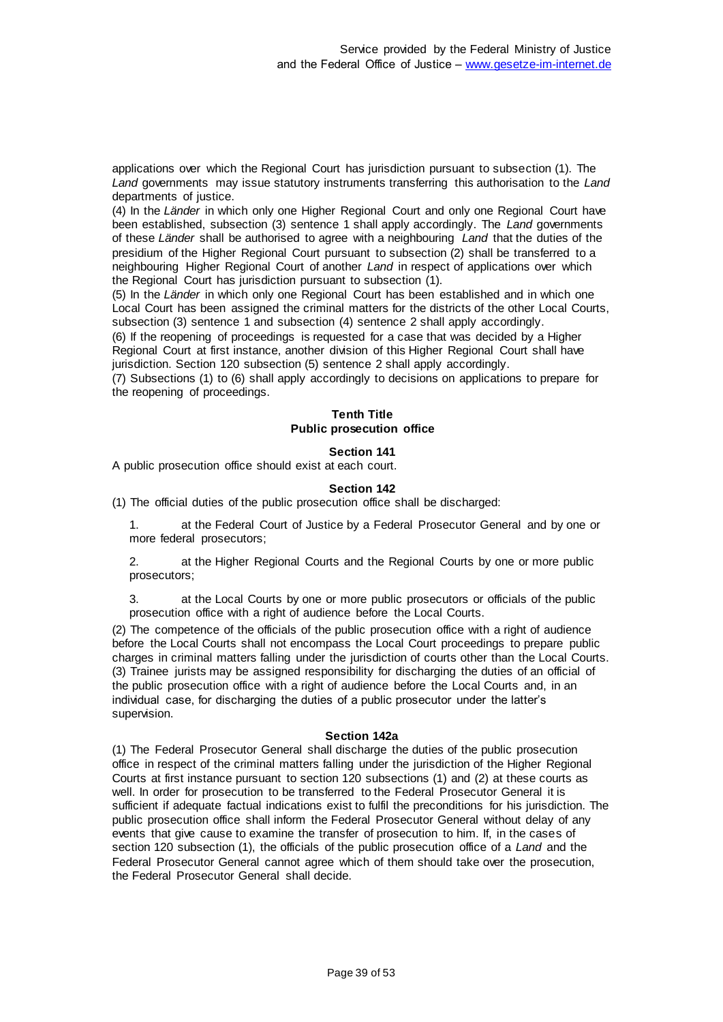applications over which the Regional Court has jurisdiction pursuant to subsection (1). The *Land* governments may issue statutory instruments transferring this authorisation to the *Land* departments of justice.

(4) In the *Länder* in which only one Higher Regional Court and only one Regional Court have been established, subsection (3) sentence 1 shall apply accordingly. The *Land* governments of these *Länder* shall be authorised to agree with a neighbouring *Land* that the duties of the presidium of the Higher Regional Court pursuant to subsection (2) shall be transferred to a neighbouring Higher Regional Court of another *Land* in respect of applications over which the Regional Court has jurisdiction pursuant to subsection (1).

(5) In the *Länder* in which only one Regional Court has been established and in which one Local Court has been assigned the criminal matters for the districts of the other Local Courts, subsection (3) sentence 1 and subsection (4) sentence 2 shall apply accordingly.

(6) If the reopening of proceedings is requested for a case that was decided by a Higher Regional Court at first instance, another division of this Higher Regional Court shall have jurisdiction. Section 120 subsection (5) sentence 2 shall apply accordingly.

(7) Subsections (1) to (6) shall apply accordingly to decisions on applications to prepare for the reopening of proceedings.

#### **Tenth Title Public prosecution office**

### **Section 141**

A public prosecution office should exist at each court.

#### **Section 142**

(1) The official duties of the public prosecution office shall be discharged:

1. at the Federal Court of Justice by a Federal Prosecutor General and by one or more federal prosecutors;

at the Higher Regional Courts and the Regional Courts by one or more public prosecutors;

at the Local Courts by one or more public prosecutors or officials of the public prosecution office with a right of audience before the Local Courts.

(2) The competence of the officials of the public prosecution office with a right of audience before the Local Courts shall not encompass the Local Court proceedings to prepare public charges in criminal matters falling under the jurisdiction of courts other than the Local Courts. (3) Trainee jurists may be assigned responsibility for discharging the duties of an official of the public prosecution office with a right of audience before the Local Courts and, in an individual case, for discharging the duties of a public prosecutor under the latter's supervision.

#### **Section 142a**

(1) The Federal Prosecutor General shall discharge the duties of the public prosecution office in respect of the criminal matters falling under the jurisdiction of the Higher Regional Courts at first instance pursuant to section 120 subsections (1) and (2) at these courts as well. In order for prosecution to be transferred to the Federal Prosecutor General it is sufficient if adequate factual indications exist to fulfil the preconditions for his jurisdiction. The public prosecution office shall inform the Federal Prosecutor General without delay of any events that give cause to examine the transfer of prosecution to him. If, in the cases of section 120 subsection (1), the officials of the public prosecution office of a *Land* and the Federal Prosecutor General cannot agree which of them should take over the prosecution, the Federal Prosecutor General shall decide.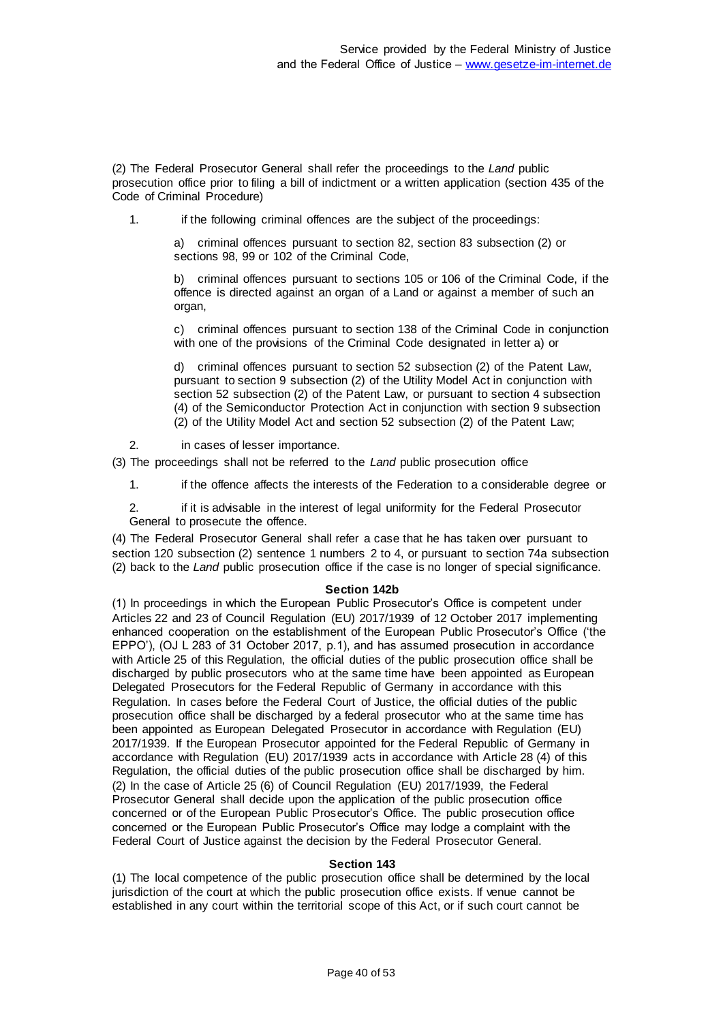(2) The Federal Prosecutor General shall refer the proceedings to the *Land* public prosecution office prior to filing a bill of indictment or a written application (section 435 of the Code of Criminal Procedure)

1. if the following criminal offences are the subject of the proceedings:

a) criminal offences pursuant to section 82, section 83 subsection (2) or sections 98, 99 or 102 of the Criminal Code,

b) criminal offences pursuant to sections 105 or 106 of the Criminal Code, if the offence is directed against an organ of a Land or against a member of such an organ,

c) criminal offences pursuant to section 138 of the Criminal Code in conjunction with one of the provisions of the Criminal Code designated in letter a) or

d) criminal offences pursuant to section 52 subsection (2) of the Patent Law, pursuant to section 9 subsection (2) of the Utility Model Act in conjunction with section 52 subsection (2) of the Patent Law, or pursuant to section 4 subsection (4) of the Semiconductor Protection Act in conjunction with section 9 subsection (2) of the Utility Model Act and section 52 subsection (2) of the Patent Law;

2. in cases of lesser importance.

(3) The proceedings shall not be referred to the *Land* public prosecution office

1. if the offence affects the interests of the Federation to a considerable degree or

2. if it is advisable in the interest of legal uniformity for the Federal Prosecutor General to prosecute the offence.

(4) The Federal Prosecutor General shall refer a case that he has taken over pursuant to section 120 subsection (2) sentence 1 numbers 2 to 4, or pursuant to section 74a subsection (2) back to the *Land* public prosecution office if the case is no longer of special significance.

#### **Section 142b**

(1) In proceedings in which the European Public Prosecutor's Office is competent under Articles 22 and 23 of Council Regulation (EU) 2017/1939 of 12 October 2017 implementing enhanced cooperation on the establishment of the European Public Prosecutor's Office ('the EPPO'), (OJ L 283 of 31 October 2017, p.1), and has assumed prosecution in accordance with Article 25 of this Regulation, the official duties of the public prosecution office shall be discharged by public prosecutors who at the same time have been appointed as European Delegated Prosecutors for the Federal Republic of Germany in accordance with this Regulation. In cases before the Federal Court of Justice, the official duties of the public prosecution office shall be discharged by a federal prosecutor who at the same time has been appointed as European Delegated Prosecutor in accordance with Regulation (EU) 2017/1939. If the European Prosecutor appointed for the Federal Republic of Germany in accordance with Regulation (EU) 2017/1939 acts in accordance with Article 28 (4) of this Regulation, the official duties of the public prosecution office shall be discharged by him. (2) In the case of Article 25 (6) of Council Regulation (EU) 2017/1939, the Federal Prosecutor General shall decide upon the application of the public prosecution office concerned or of the European Public Prosecutor's Office. The public prosecution office concerned or the European Public Prosecutor's Office may lodge a complaint with the Federal Court of Justice against the decision by the Federal Prosecutor General.

#### **Section 143**

(1) The local competence of the public prosecution office shall be determined by the local jurisdiction of the court at which the public prosecution office exists. If venue cannot be established in any court within the territorial scope of this Act, or if such court cannot be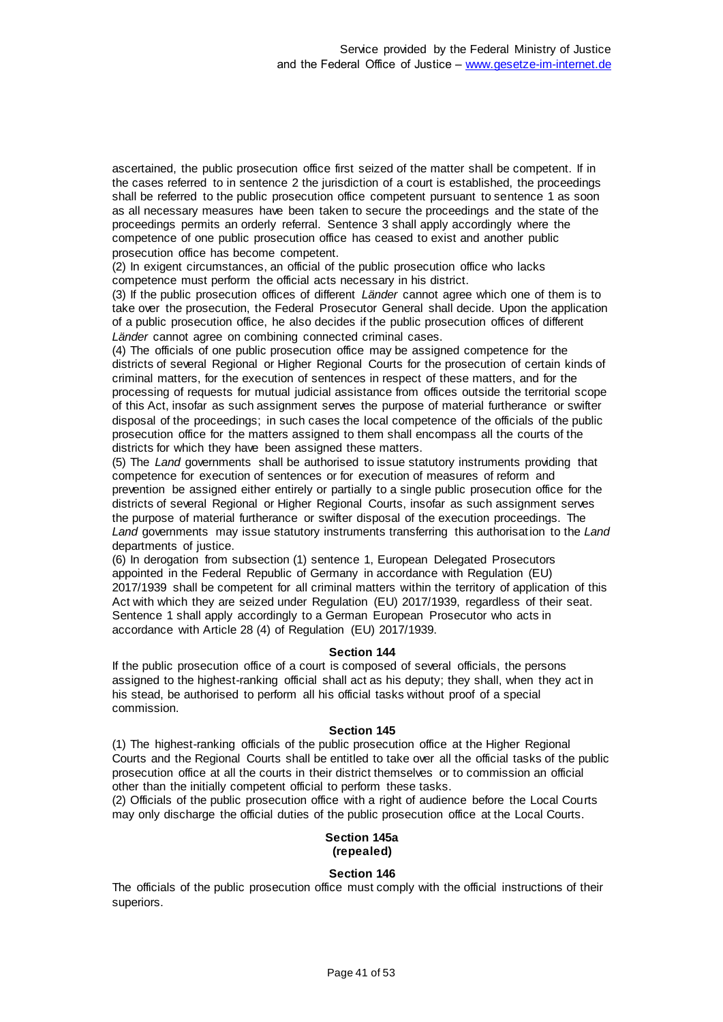ascertained, the public prosecution office first seized of the matter shall be competent. If in the cases referred to in sentence 2 the jurisdiction of a court is established, the proceedings shall be referred to the public prosecution office competent pursuant to sentence 1 as soon as all necessary measures have been taken to secure the proceedings and the state of the proceedings permits an orderly referral. Sentence 3 shall apply accordingly where the competence of one public prosecution office has ceased to exist and another public prosecution office has become competent.

(2) In exigent circumstances, an official of the public prosecution office who lacks competence must perform the official acts necessary in his district.

(3) If the public prosecution offices of different *Länder* cannot agree which one of them is to take over the prosecution, the Federal Prosecutor General shall decide. Upon the application of a public prosecution office, he also decides if the public prosecution offices of different *Länder* cannot agree on combining connected criminal cases.

(4) The officials of one public prosecution office may be assigned competence for the districts of several Regional or Higher Regional Courts for the prosecution of certain kinds of criminal matters, for the execution of sentences in respect of these matters, and for the processing of requests for mutual judicial assistance from offices outside the territorial scope of this Act, insofar as such assignment serves the purpose of material furtherance or swifter disposal of the proceedings; in such cases the local competence of the officials of the public prosecution office for the matters assigned to them shall encompass all the courts of the districts for which they have been assigned these matters.

(5) The *Land* governments shall be authorised to issue statutory instruments providing that competence for execution of sentences or for execution of measures of reform and prevention be assigned either entirely or partially to a single public prosecution office for the districts of several Regional or Higher Regional Courts, insofar as such assignment serves the purpose of material furtherance or swifter disposal of the execution proceedings. The *Land* governments may issue statutory instruments transferring this authorisation to the *Land* departments of justice.

(6) In derogation from subsection (1) sentence 1, European Delegated Prosecutors appointed in the Federal Republic of Germany in accordance with Regulation (EU) 2017/1939 shall be competent for all criminal matters within the territory of application of this Act with which they are seized under Regulation (EU) 2017/1939, regardless of their seat. Sentence 1 shall apply accordingly to a German European Prosecutor who acts in accordance with Article 28 (4) of Regulation (EU) 2017/1939.

### **Section 144**

If the public prosecution office of a court is composed of several officials, the persons assigned to the highest-ranking official shall act as his deputy; they shall, when they act in his stead, be authorised to perform all his official tasks without proof of a special commission.

### **Section 145**

(1) The highest-ranking officials of the public prosecution office at the Higher Regional Courts and the Regional Courts shall be entitled to take over all the official tasks of the public prosecution office at all the courts in their district themselves or to commission an official other than the initially competent official to perform these tasks.

(2) Officials of the public prosecution office with a right of audience before the Local Courts may only discharge the official duties of the public prosecution office at the Local Courts.

#### **Section 145a (repealed)**

### **Section 146**

The officials of the public prosecution office must comply with the official instructions of their superiors.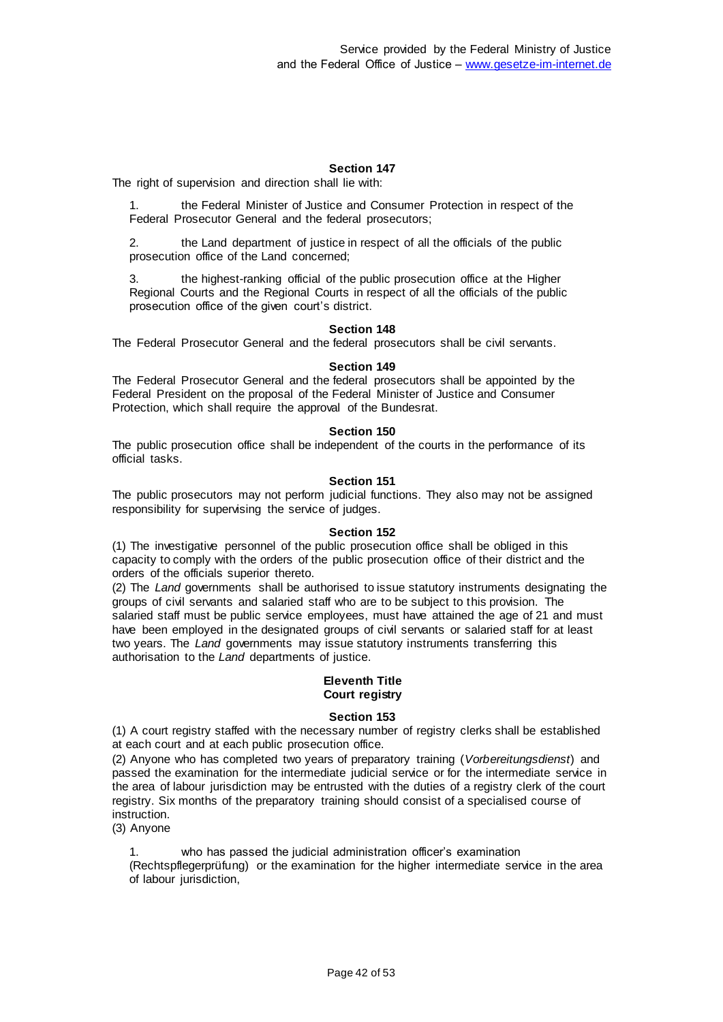The right of supervision and direction shall lie with:

1. the Federal Minister of Justice and Consumer Protection in respect of the Federal Prosecutor General and the federal prosecutors;

2. the Land department of justice in respect of all the officials of the public prosecution office of the Land concerned;

the highest-ranking official of the public prosecution office at the Higher Regional Courts and the Regional Courts in respect of all the officials of the public prosecution office of the given court's district.

### **Section 148**

The Federal Prosecutor General and the federal prosecutors shall be civil servants.

### **Section 149**

The Federal Prosecutor General and the federal prosecutors shall be appointed by the Federal President on the proposal of the Federal Minister of Justice and Consumer Protection, which shall require the approval of the Bundesrat.

### **Section 150**

The public prosecution office shall be independent of the courts in the performance of its official tasks.

### **Section 151**

The public prosecutors may not perform judicial functions. They also may not be assigned responsibility for supervising the service of judges.

### **Section 152**

(1) The investigative personnel of the public prosecution office shall be obliged in this capacity to comply with the orders of the public prosecution office of their district and the orders of the officials superior thereto.

(2) The *Land* governments shall be authorised to issue statutory instruments designating the groups of civil servants and salaried staff who are to be subject to this provision. The salaried staff must be public service employees, must have attained the age of 21 and must have been employed in the designated groups of civil servants or salaried staff for at least two years. The *Land* governments may issue statutory instruments transferring this authorisation to the *Land* departments of justice.

#### **Eleventh Title Court registry**

### **Section 153**

(1) A court registry staffed with the necessary number of registry clerks shall be established at each court and at each public prosecution office.

(2) Anyone who has completed two years of preparatory training (*Vorbereitungsdienst*) and passed the examination for the intermediate judicial service or for the intermediate service in the area of labour jurisdiction may be entrusted with the duties of a registry clerk of the court registry. Six months of the preparatory training should consist of a specialised course of instruction.

(3) Anyone

1. who has passed the judicial administration officer's examination (Rechtspflegerprüfung) or the examination for the higher intermediate service in the area of labour jurisdiction,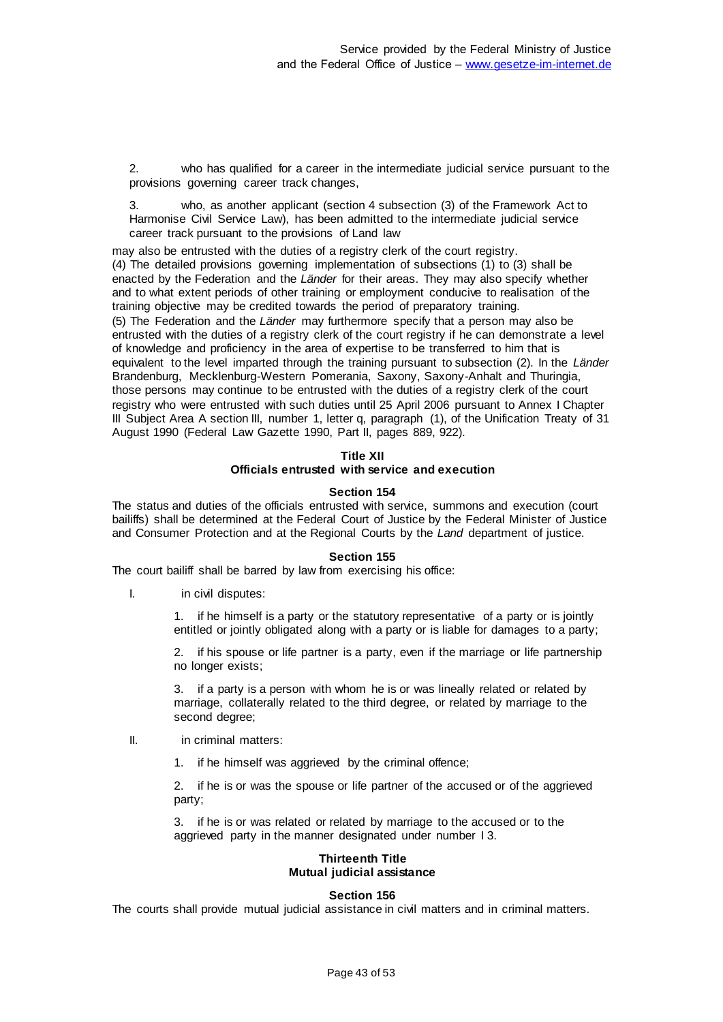2. who has qualified for a career in the intermediate judicial service pursuant to the provisions governing career track changes,

3. who, as another applicant (section 4 subsection (3) of the Framework Act to Harmonise Civil Service Law), has been admitted to the intermediate judicial service career track pursuant to the provisions of Land law

may also be entrusted with the duties of a registry clerk of the court registry. (4) The detailed provisions governing implementation of subsections (1) to (3) shall be enacted by the Federation and the *Länder* for their areas. They may also specify whether and to what extent periods of other training or employment conducive to realisation of the training objective may be credited towards the period of preparatory training. (5) The Federation and the *Länder* may furthermore specify that a person may also be entrusted with the duties of a registry clerk of the court registry if he can demonstrate a level of knowledge and proficiency in the area of expertise to be transferred to him that is equivalent to the level imparted through the training pursuant to subsection (2). In the *Länder* Brandenburg, Mecklenburg-Western Pomerania, Saxony, Saxony-Anhalt and Thuringia, those persons may continue to be entrusted with the duties of a registry clerk of the court registry who were entrusted with such duties until 25 April 2006 pursuant to Annex I Chapter III Subject Area A section III, number 1, letter q, paragraph (1), of the Unification Treaty of 31 August 1990 (Federal Law Gazette 1990, Part II, pages 889, 922).

### **Title XII**

#### **Officials entrusted with service and execution**

#### **Section 154**

The status and duties of the officials entrusted with service, summons and execution (court bailiffs) shall be determined at the Federal Court of Justice by the Federal Minister of Justice and Consumer Protection and at the Regional Courts by the *Land* department of justice.

#### **Section 155**

The court bailiff shall be barred by law from exercising his office:

I. in civil disputes:

1. if he himself is a party or the statutory representative of a party or is jointly entitled or jointly obligated along with a party or is liable for damages to a party;

2. if his spouse or life partner is a party, even if the marriage or life partnership no longer exists;

3. if a party is a person with whom he is or was lineally related or related by marriage, collaterally related to the third degree, or related by marriage to the second degree;

- II. in criminal matters:
	- 1. if he himself was aggrieved by the criminal offence;

2. if he is or was the spouse or life partner of the accused or of the aggrieved party;

3. if he is or was related or related by marriage to the accused or to the aggrieved party in the manner designated under number I 3.

### **Thirteenth Title Mutual judicial assistance**

### **Section 156**

The courts shall provide mutual judicial assistance in civil matters and in criminal matters.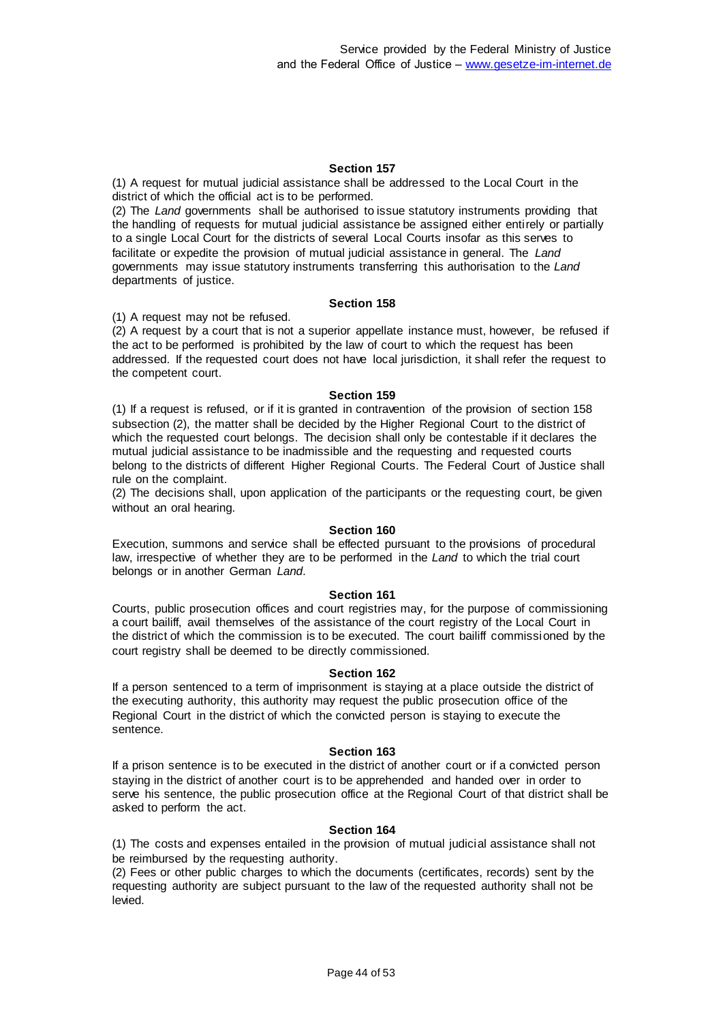(1) A request for mutual judicial assistance shall be addressed to the Local Court in the district of which the official act is to be performed.

(2) The *Land* governments shall be authorised to issue statutory instruments providing that the handling of requests for mutual judicial assistance be assigned either entirely or partially to a single Local Court for the districts of several Local Courts insofar as this serves to facilitate or expedite the provision of mutual judicial assistance in general. The *Land* governments may issue statutory instruments transferring this authorisation to the *Land* departments of justice.

#### **Section 158**

(1) A request may not be refused.

(2) A request by a court that is not a superior appellate instance must, however, be refused if the act to be performed is prohibited by the law of court to which the request has been addressed. If the requested court does not have local jurisdiction, it shall refer the request to the competent court.

#### **Section 159**

(1) If a request is refused, or if it is granted in contravention of the provision of section 158 subsection (2), the matter shall be decided by the Higher Regional Court to the district of which the requested court belongs. The decision shall only be contestable if it declares the mutual judicial assistance to be inadmissible and the requesting and requested courts belong to the districts of different Higher Regional Courts. The Federal Court of Justice shall rule on the complaint.

(2) The decisions shall, upon application of the participants or the requesting court, be given without an oral hearing.

#### **Section 160**

Execution, summons and service shall be effected pursuant to the provisions of procedural law, irrespective of whether they are to be performed in the *Land* to which the trial court belongs or in another German *Land*.

#### **Section 161**

Courts, public prosecution offices and court registries may, for the purpose of commissioning a court bailiff, avail themselves of the assistance of the court registry of the Local Court in the district of which the commission is to be executed. The court bailiff commissioned by the court registry shall be deemed to be directly commissioned.

#### **Section 162**

If a person sentenced to a term of imprisonment is staying at a place outside the district of the executing authority, this authority may request the public prosecution office of the Regional Court in the district of which the convicted person is staying to execute the sentence.

#### **Section 163**

If a prison sentence is to be executed in the district of another court or if a convicted person staying in the district of another court is to be apprehended and handed over in order to serve his sentence, the public prosecution office at the Regional Court of that district shall be asked to perform the act.

#### **Section 164**

(1) The costs and expenses entailed in the provision of mutual judicial assistance shall not be reimbursed by the requesting authority.

(2) Fees or other public charges to which the documents (certificates, records) sent by the requesting authority are subject pursuant to the law of the requested authority shall not be levied.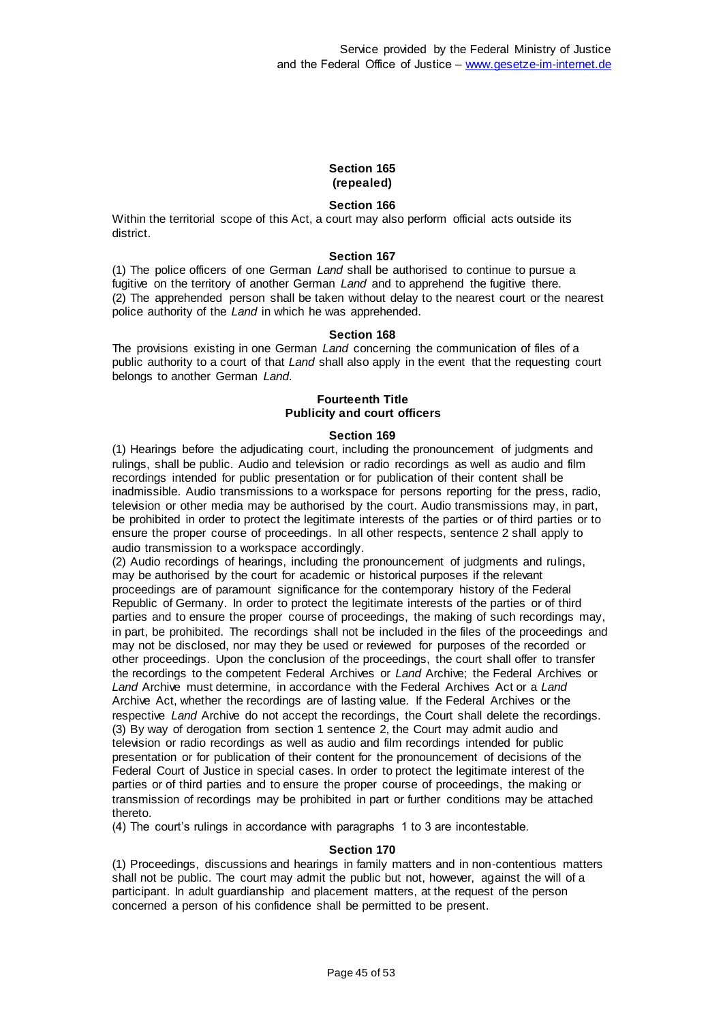### **Section 165 (repealed)**

### **Section 166**

Within the territorial scope of this Act, a court may also perform official acts outside its district.

#### **Section 167**

(1) The police officers of one German *Land* shall be authorised to continue to pursue a fugitive on the territory of another German *Land* and to apprehend the fugitive there. (2) The apprehended person shall be taken without delay to the nearest court or the nearest police authority of the *Land* in which he was apprehended.

#### **Section 168**

The provisions existing in one German *Land* concerning the communication of files of a public authority to a court of that *Land* shall also apply in the event that the requesting court belongs to another German *Land*.

### **Fourteenth Title Publicity and court officers**

#### **Section 169**

(1) Hearings before the adjudicating court, including the pronouncement of judgments and rulings, shall be public. Audio and television or radio recordings as well as audio and film recordings intended for public presentation or for publication of their content shall be inadmissible. Audio transmissions to a workspace for persons reporting for the press, radio, television or other media may be authorised by the court. Audio transmissions may, in part, be prohibited in order to protect the legitimate interests of the parties or of third parties or to ensure the proper course of proceedings. In all other respects, sentence 2 shall apply to audio transmission to a workspace accordingly.

(2) Audio recordings of hearings, including the pronouncement of judgments and rulings, may be authorised by the court for academic or historical purposes if the relevant proceedings are of paramount significance for the contemporary history of the Federal Republic of Germany. In order to protect the legitimate interests of the parties or of third parties and to ensure the proper course of proceedings, the making of such recordings may, in part, be prohibited. The recordings shall not be included in the files of the proceedings and may not be disclosed, nor may they be used or reviewed for purposes of the recorded or other proceedings. Upon the conclusion of the proceedings, the court shall offer to transfer the recordings to the competent Federal Archives or *Land* Archive; the Federal Archives or *Land* Archive must determine, in accordance with the Federal Archives Act or a *Land* Archive Act, whether the recordings are of lasting value. If the Federal Archives or the respective *Land* Archive do not accept the recordings, the Court shall delete the recordings. (3) By way of derogation from section 1 sentence 2, the Court may admit audio and television or radio recordings as well as audio and film recordings intended for public presentation or for publication of their content for the pronouncement of decisions of the Federal Court of Justice in special cases. In order to protect the legitimate interest of the parties or of third parties and to ensure the proper course of proceedings, the making or transmission of recordings may be prohibited in part or further conditions may be attached thereto.

(4) The court's rulings in accordance with paragraphs 1 to 3 are incontestable.

#### **Section 170**

(1) Proceedings, discussions and hearings in family matters and in non-contentious matters shall not be public. The court may admit the public but not, however, against the will of a participant. In adult guardianship and placement matters, at the request of the person concerned a person of his confidence shall be permitted to be present.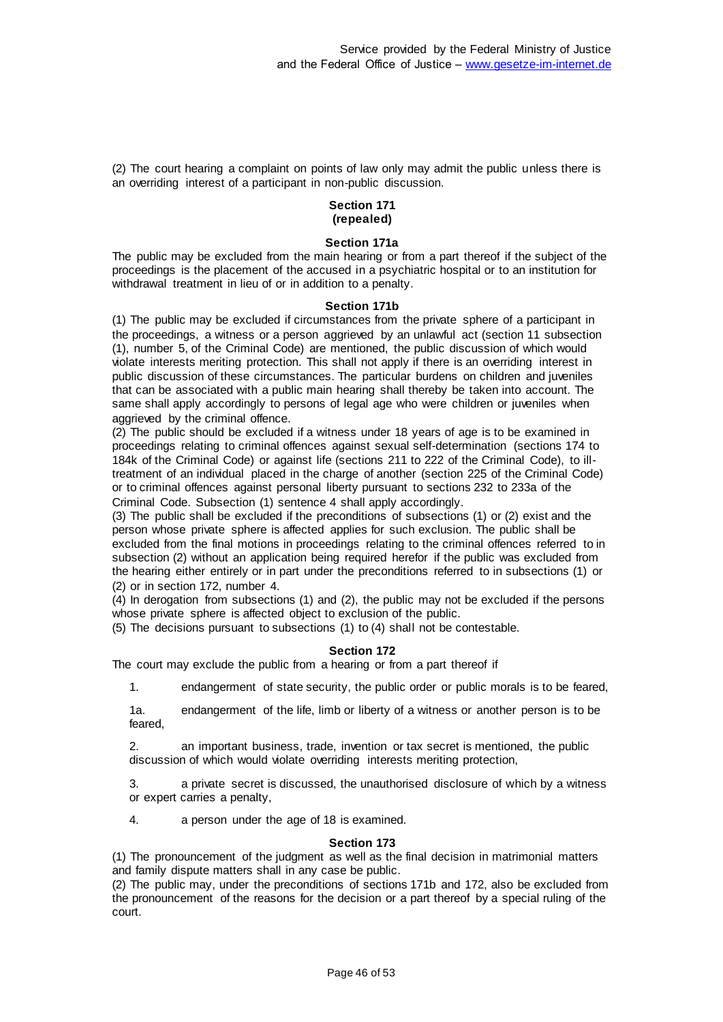(2) The court hearing a complaint on points of law only may admit the public unless there is an overriding interest of a participant in non-public discussion.

### **Section 171 (repealed)**

### **Section 171a**

The public may be excluded from the main hearing or from a part thereof if the subject of the proceedings is the placement of the accused in a psychiatric hospital or to an institution for withdrawal treatment in lieu of or in addition to a penalty.

### **Section 171b**

(1) The public may be excluded if circumstances from the private sphere of a participant in the proceedings, a witness or a person aggrieved by an unlawful act (section 11 subsection (1), number 5, of the Criminal Code) are mentioned, the public discussion of which would violate interests meriting protection. This shall not apply if there is an overriding interest in public discussion of these circumstances. The particular burdens on children and juveniles that can be associated with a public main hearing shall thereby be taken into account. The same shall apply accordingly to persons of legal age who were children or juveniles when aggrieved by the criminal offence.

(2) The public should be excluded if a witness under 18 years of age is to be examined in proceedings relating to criminal offences against sexual self-determination (sections 174 to 184k of the Criminal Code) or against life (sections 211 to 222 of the Criminal Code), to illtreatment of an individual placed in the charge of another (section 225 of the Criminal Code) or to criminal offences against personal liberty pursuant to sections 232 to 233a of the Criminal Code. Subsection (1) sentence 4 shall apply accordingly.

(3) The public shall be excluded if the preconditions of subsections (1) or (2) exist and the person whose private sphere is affected applies for such exclusion. The public shall be excluded from the final motions in proceedings relating to the criminal offences referred to in subsection (2) without an application being required herefor if the public was excluded from the hearing either entirely or in part under the preconditions referred to in subsections (1) or (2) or in section 172, number 4.

(4) In derogation from subsections (1) and (2), the public may not be excluded if the persons whose private sphere is affected object to exclusion of the public.

(5) The decisions pursuant to subsections (1) to (4) shall not be contestable.

### **Section 172**

The court may exclude the public from a hearing or from a part thereof if

1. endangerment of state security, the public order or public morals is to be feared,

1a. endangerment of the life, limb or liberty of a witness or another person is to be feared,

2. an important business, trade, invention or tax secret is mentioned, the public discussion of which would violate overriding interests meriting protection,

3. a private secret is discussed, the unauthorised disclosure of which by a witness or expert carries a penalty,

4. a person under the age of 18 is examined.

### **Section 173**

(1) The pronouncement of the judgment as well as the final decision in matrimonial matters and family dispute matters shall in any case be public.

(2) The public may, under the preconditions of sections 171b and 172, also be excluded from the pronouncement of the reasons for the decision or a part thereof by a special ruling of the court.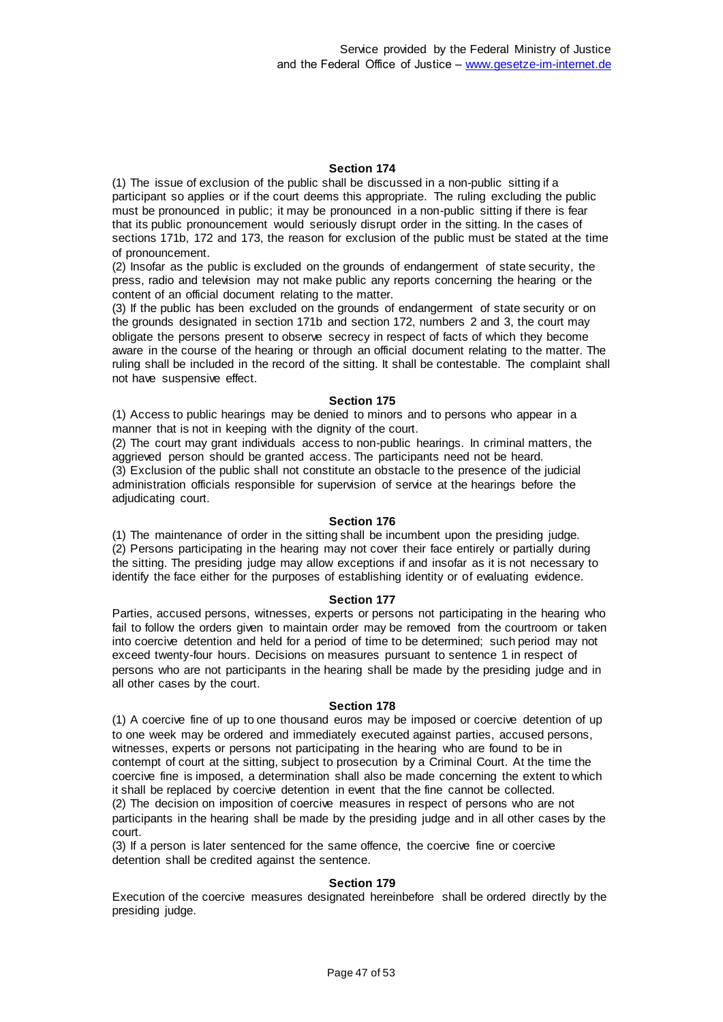(1) The issue of exclusion of the public shall be discussed in a non-public sitting if a participant so applies or if the court deems this appropriate. The ruling excluding the public must be pronounced in public; it may be pronounced in a non-public sitting if there is fear that its public pronouncement would seriously disrupt order in the sitting. In the cases of sections 171b, 172 and 173, the reason for exclusion of the public must be stated at the time of pronouncement.

(2) Insofar as the public is excluded on the grounds of endangerment of state security, the press, radio and television may not make public any reports concerning the hearing or the content of an official document relating to the matter.

(3) If the public has been excluded on the grounds of endangerment of state security or on the grounds designated in section 171b and section 172, numbers 2 and 3, the court may obligate the persons present to observe secrecy in respect of facts of which they become aware in the course of the hearing or through an official document relating to the matter. The ruling shall be included in the record of the sitting. It shall be contestable. The complaint shall not have suspensive effect.

#### **Section 175**

(1) Access to public hearings may be denied to minors and to persons who appear in a manner that is not in keeping with the dignity of the court.

(2) The court may grant individuals access to non-public hearings. In criminal matters, the aggrieved person should be granted access. The participants need not be heard. (3) Exclusion of the public shall not constitute an obstacle to the presence of the judicial administration officials responsible for supervision of service at the hearings before the adjudicating court.

#### **Section 176**

(1) The maintenance of order in the sitting shall be incumbent upon the presiding judge. (2) Persons participating in the hearing may not cover their face entirely or partially during the sitting. The presiding judge may allow exceptions if and insofar as it is not necessary to identify the face either for the purposes of establishing identity or of evaluating evidence.

#### **Section 177**

Parties, accused persons, witnesses, experts or persons not participating in the hearing who fail to follow the orders given to maintain order may be removed from the courtroom or taken into coercive detention and held for a period of time to be determined; such period may not exceed twenty-four hours. Decisions on measures pursuant to sentence 1 in respect of persons who are not participants in the hearing shall be made by the presiding judge and in all other cases by the court.

#### **Section 178**

(1) A coercive fine of up to one thousand euros may be imposed or coercive detention of up to one week may be ordered and immediately executed against parties, accused persons, witnesses, experts or persons not participating in the hearing who are found to be in contempt of court at the sitting, subject to prosecution by a Criminal Court. At the time the coercive fine is imposed, a determination shall also be made concerning the extent to which it shall be replaced by coercive detention in event that the fine cannot be collected. (2) The decision on imposition of coercive measures in respect of persons who are not participants in the hearing shall be made by the presiding judge and in all other cases by the court.

(3) If a person is later sentenced for the same offence, the coercive fine or coercive detention shall be credited against the sentence.

### **Section 179**

Execution of the coercive measures designated hereinbefore shall be ordered directly by the presiding judge.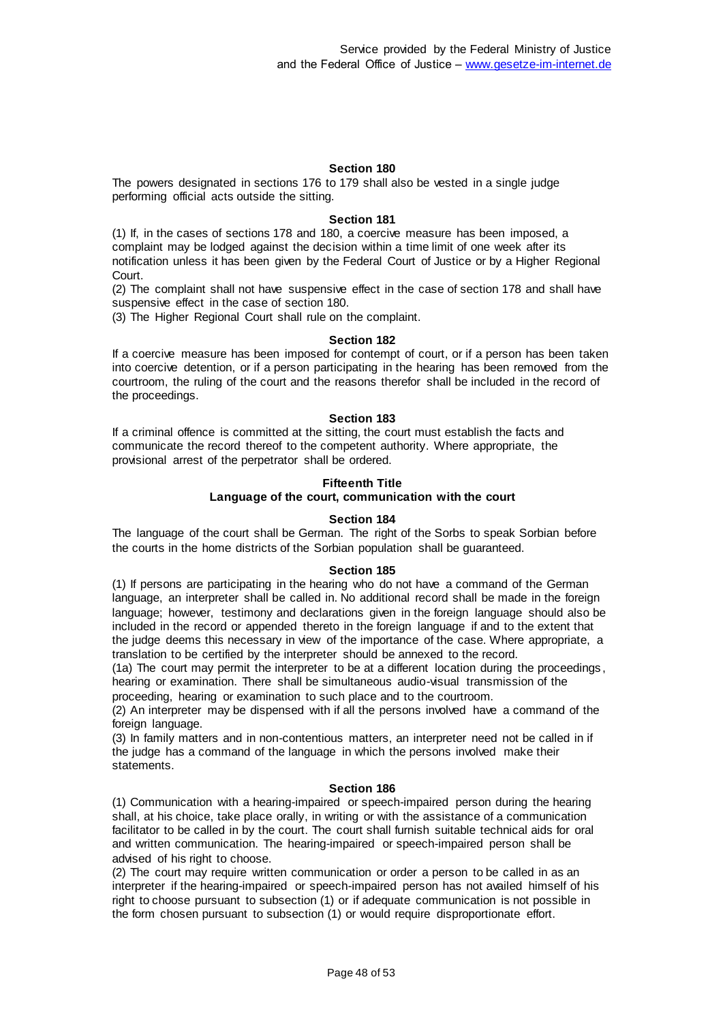The powers designated in sections 176 to 179 shall also be vested in a single judge performing official acts outside the sitting.

#### **Section 181**

(1) If, in the cases of sections 178 and 180, a coercive measure has been imposed, a complaint may be lodged against the decision within a time limit of one week after its notification unless it has been given by the Federal Court of Justice or by a Higher Regional Court.

(2) The complaint shall not have suspensive effect in the case of section 178 and shall have suspensive effect in the case of section 180.

(3) The Higher Regional Court shall rule on the complaint.

#### **Section 182**

If a coercive measure has been imposed for contempt of court, or if a person has been taken into coercive detention, or if a person participating in the hearing has been removed from the courtroom, the ruling of the court and the reasons therefor shall be included in the record of the proceedings.

#### **Section 183**

If a criminal offence is committed at the sitting, the court must establish the facts and communicate the record thereof to the competent authority. Where appropriate, the provisional arrest of the perpetrator shall be ordered.

### **Fifteenth Title**

### **Language of the court, communication with the court**

#### **Section 184**

The language of the court shall be German. The right of the Sorbs to speak Sorbian before the courts in the home districts of the Sorbian population shall be guaranteed.

#### **Section 185**

(1) If persons are participating in the hearing who do not have a command of the German language, an interpreter shall be called in. No additional record shall be made in the foreign language; however, testimony and declarations given in the foreign language should also be included in the record or appended thereto in the foreign language if and to the extent that the judge deems this necessary in view of the importance of the case. Where appropriate, a translation to be certified by the interpreter should be annexed to the record.

(1a) The court may permit the interpreter to be at a different location during the proceedings , hearing or examination. There shall be simultaneous audio-visual transmission of the proceeding, hearing or examination to such place and to the courtroom.

(2) An interpreter may be dispensed with if all the persons involved have a command of the foreign language.

(3) In family matters and in non-contentious matters, an interpreter need not be called in if the judge has a command of the language in which the persons involved make their statements.

#### **Section 186**

(1) Communication with a hearing-impaired or speech-impaired person during the hearing shall, at his choice, take place orally, in writing or with the assistance of a communication facilitator to be called in by the court. The court shall furnish suitable technical aids for oral and written communication. The hearing-impaired or speech-impaired person shall be advised of his right to choose.

(2) The court may require written communication or order a person to be called in as an interpreter if the hearing-impaired or speech-impaired person has not availed himself of his right to choose pursuant to subsection (1) or if adequate communication is not possible in the form chosen pursuant to subsection (1) or would require disproportionate effort.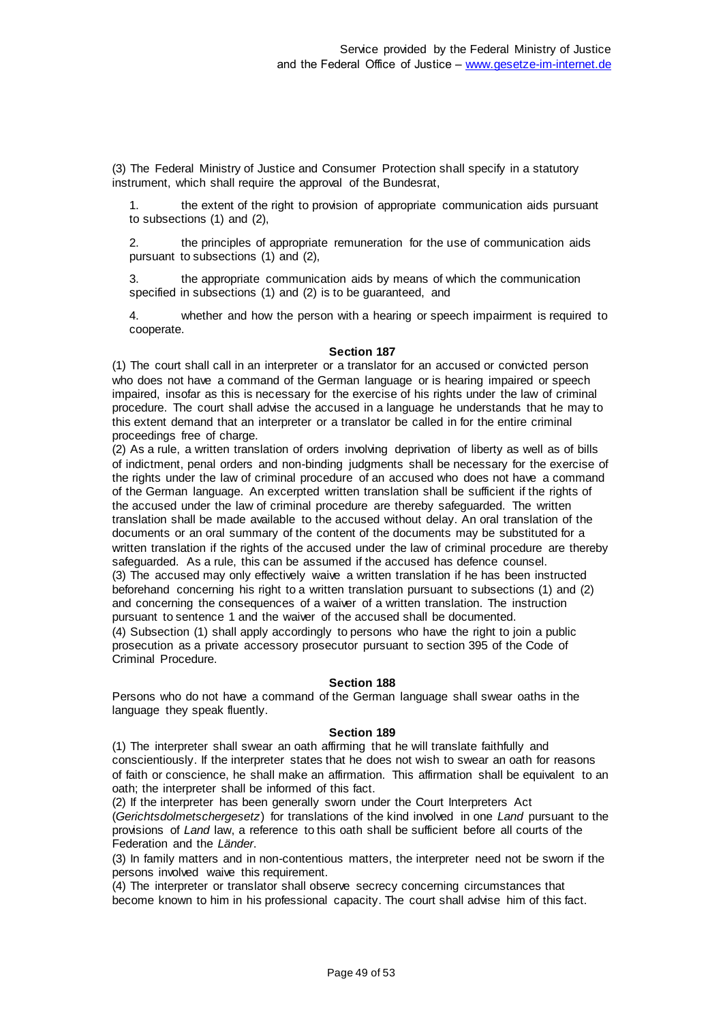(3) The Federal Ministry of Justice and Consumer Protection shall specify in a statutory instrument, which shall require the approval of the Bundesrat,

1. the extent of the right to provision of appropriate communication aids pursuant to subsections (1) and (2),

2. the principles of appropriate remuneration for the use of communication aids pursuant to subsections (1) and (2),

3. the appropriate communication aids by means of which the communication specified in subsections (1) and (2) is to be guaranteed, and

4. whether and how the person with a hearing or speech impairment is required to cooperate.

### **Section 187**

(1) The court shall call in an interpreter or a translator for an accused or convicted person who does not have a command of the German language or is hearing impaired or speech impaired, insofar as this is necessary for the exercise of his rights under the law of criminal procedure. The court shall advise the accused in a language he understands that he may to this extent demand that an interpreter or a translator be called in for the entire criminal proceedings free of charge.

(2) As a rule, a written translation of orders involving deprivation of liberty as well as of bills of indictment, penal orders and non-binding judgments shall be necessary for the exercise of the rights under the law of criminal procedure of an accused who does not have a command of the German language. An excerpted written translation shall be sufficient if the rights of the accused under the law of criminal procedure are thereby safeguarded. The written translation shall be made available to the accused without delay. An oral translation of the documents or an oral summary of the content of the documents may be substituted for a written translation if the rights of the accused under the law of criminal procedure are thereby safeguarded. As a rule, this can be assumed if the accused has defence counsel. (3) The accused may only effectively waive a written translation if he has been instructed beforehand concerning his right to a written translation pursuant to subsections (1) and (2) and concerning the consequences of a waiver of a written translation. The instruction pursuant to sentence 1 and the waiver of the accused shall be documented. (4) Subsection (1) shall apply accordingly to persons who have the right to join a public prosecution as a private accessory prosecutor pursuant to section 395 of the Code of Criminal Procedure.

### **Section 188**

Persons who do not have a command of the German language shall swear oaths in the language they speak fluently.

### **Section 189**

(1) The interpreter shall swear an oath affirming that he will translate faithfully and conscientiously. If the interpreter states that he does not wish to swear an oath for reasons of faith or conscience, he shall make an affirmation. This affirmation shall be equivalent to an oath; the interpreter shall be informed of this fact.

(2) If the interpreter has been generally sworn under the Court Interpreters Act (*Gerichtsdolmetschergesetz*) for translations of the kind involved in one *Land* pursuant to the provisions of *Land* law, a reference to this oath shall be sufficient before all courts of the Federation and the *Länder*.

(3) In family matters and in non-contentious matters, the interpreter need not be sworn if the persons involved waive this requirement.

(4) The interpreter or translator shall observe secrecy concerning circumstances that become known to him in his professional capacity. The court shall advise him of this fact.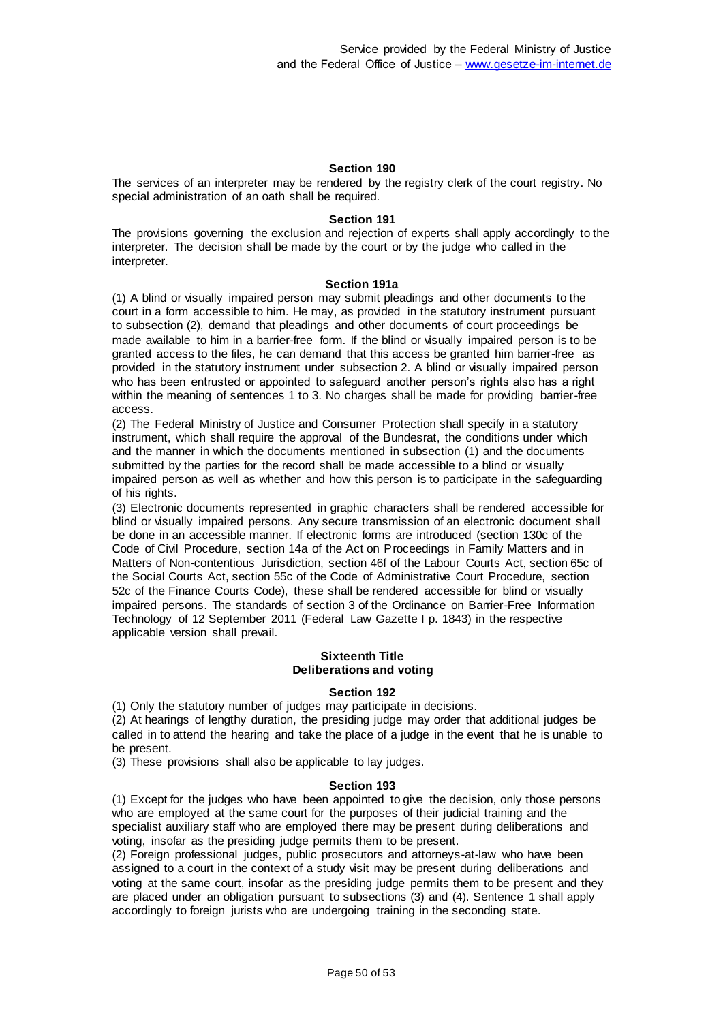The services of an interpreter may be rendered by the registry clerk of the court registry. No special administration of an oath shall be required.

#### **Section 191**

The provisions governing the exclusion and rejection of experts shall apply accordingly to the interpreter. The decision shall be made by the court or by the judge who called in the interpreter.

#### **Section 191a**

(1) A blind or visually impaired person may submit pleadings and other documents to the court in a form accessible to him. He may, as provided in the statutory instrument pursuant to subsection (2), demand that pleadings and other documents of court proceedings be made available to him in a barrier-free form. If the blind or visually impaired person is to be granted access to the files, he can demand that this access be granted him barrier-free as provided in the statutory instrument under subsection 2. A blind or visually impaired person who has been entrusted or appointed to safeguard another person's rights also has a right within the meaning of sentences 1 to 3. No charges shall be made for providing barrier-free access.

(2) The Federal Ministry of Justice and Consumer Protection shall specify in a statutory instrument, which shall require the approval of the Bundesrat, the conditions under which and the manner in which the documents mentioned in subsection (1) and the documents submitted by the parties for the record shall be made accessible to a blind or visually impaired person as well as whether and how this person is to participate in the safeguarding of his rights.

(3) Electronic documents represented in graphic characters shall be rendered accessible for blind or visually impaired persons. Any secure transmission of an electronic document shall be done in an accessible manner. If electronic forms are introduced (section 130c of the Code of Civil Procedure, section 14a of the Act on Proceedings in Family Matters and in Matters of Non-contentious Jurisdiction, section 46f of the Labour Courts Act, section 65c of the Social Courts Act, section 55c of the Code of Administrative Court Procedure, section 52c of the Finance Courts Code), these shall be rendered accessible for blind or visually impaired persons. The standards of section 3 of the Ordinance on Barrier-Free Information Technology of 12 September 2011 (Federal Law Gazette I p. 1843) in the respective applicable version shall prevail.

#### **Sixteenth Title Deliberations and voting**

#### **Section 192**

(1) Only the statutory number of judges may participate in decisions.

(2) At hearings of lengthy duration, the presiding judge may order that additional judges be called in to attend the hearing and take the place of a judge in the event that he is unable to be present.

(3) These provisions shall also be applicable to lay judges.

#### **Section 193**

(1) Except for the judges who have been appointed to give the decision, only those persons who are employed at the same court for the purposes of their judicial training and the specialist auxiliary staff who are employed there may be present during deliberations and voting, insofar as the presiding judge permits them to be present.

(2) Foreign professional judges, public prosecutors and attorneys-at-law who have been assigned to a court in the context of a study visit may be present during deliberations and voting at the same court, insofar as the presiding judge permits them to be present and they are placed under an obligation pursuant to subsections (3) and (4). Sentence 1 shall apply accordingly to foreign jurists who are undergoing training in the seconding state.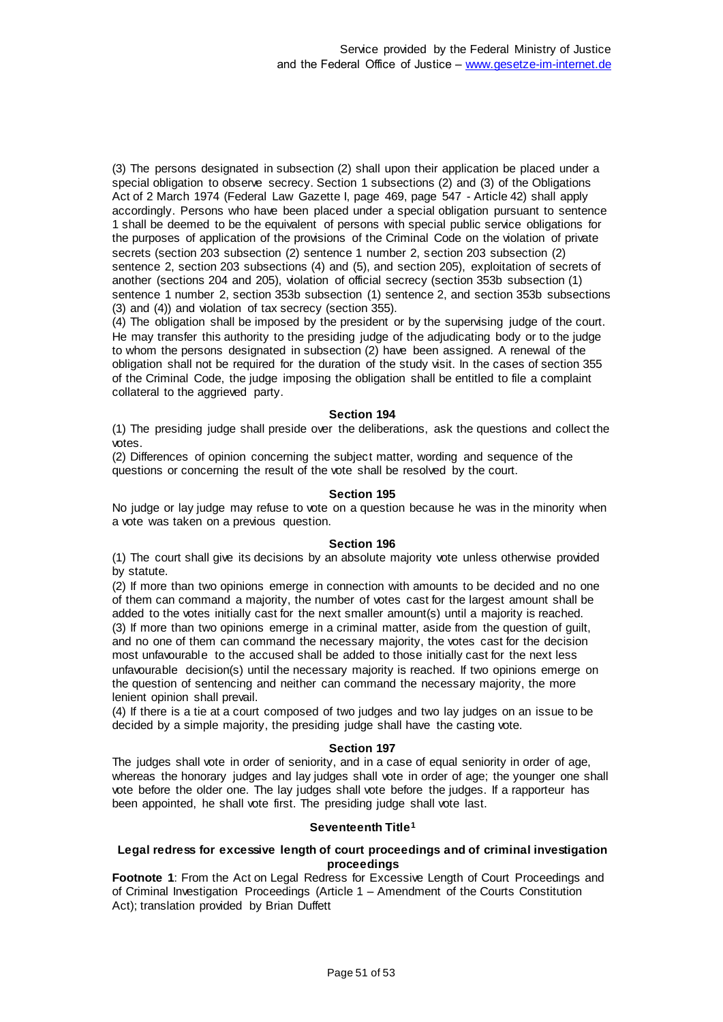(3) The persons designated in subsection (2) shall upon their application be placed under a special obligation to observe secrecy. Section 1 subsections (2) and (3) of the Obligations Act of 2 March 1974 (Federal Law Gazette I, page 469, page 547 - Article 42) shall apply accordingly. Persons who have been placed under a special obligation pursuant to sentence 1 shall be deemed to be the equivalent of persons with special public service obligations for the purposes of application of the provisions of the Criminal Code on the violation of private secrets (section 203 subsection (2) sentence 1 number 2, section 203 subsection (2) sentence 2, section 203 subsections (4) and (5), and section 205), exploitation of secrets of another (sections 204 and 205), violation of official secrecy (section 353b subsection (1) sentence 1 number 2, section 353b subsection (1) sentence 2, and section 353b subsections (3) and (4)) and violation of tax secrecy (section 355).

(4) The obligation shall be imposed by the president or by the supervising judge of the court. He may transfer this authority to the presiding judge of the adjudicating body or to the judge to whom the persons designated in subsection (2) have been assigned. A renewal of the obligation shall not be required for the duration of the study visit. In the cases of section 355 of the Criminal Code, the judge imposing the obligation shall be entitled to file a complaint collateral to the aggrieved party.

### **Section 194**

(1) The presiding judge shall preside over the deliberations, ask the questions and collect the votes.

(2) Differences of opinion concerning the subject matter, wording and sequence of the questions or concerning the result of the vote shall be resolved by the court.

#### **Section 195**

No judge or lay judge may refuse to vote on a question because he was in the minority when a vote was taken on a previous question.

#### **Section 196**

(1) The court shall give its decisions by an absolute majority vote unless otherwise provided by statute.

(2) If more than two opinions emerge in connection with amounts to be decided and no one of them can command a majority, the number of votes cast for the largest amount shall be added to the votes initially cast for the next smaller amount(s) until a majority is reached. (3) If more than two opinions emerge in a criminal matter, aside from the question of guilt, and no one of them can command the necessary majority, the votes cast for the decision most unfavourable to the accused shall be added to those initially cast for the next less unfavourable decision(s) until the necessary majority is reached. If two opinions emerge on the question of sentencing and neither can command the necessary majority, the more lenient opinion shall prevail.

(4) If there is a tie at a court composed of two judges and two lay judges on an issue to be decided by a simple majority, the presiding judge shall have the casting vote.

#### **Section 197**

The judges shall vote in order of seniority, and in a case of equal seniority in order of age, whereas the honorary judges and lay judges shall vote in order of age; the younger one shall vote before the older one. The lay judges shall vote before the judges. If a rapporteur has been appointed, he shall vote first. The presiding judge shall vote last.

#### **Seventeenth Title<sup>1</sup>**

#### **Legal redress for excessive length of court proceedings and of criminal investigation proceedings**

**Footnote 1**: From the Act on Legal Redress for Excessive Length of Court Proceedings and of Criminal Investigation Proceedings (Article 1 – Amendment of the Courts Constitution Act); translation provided by Brian Duffett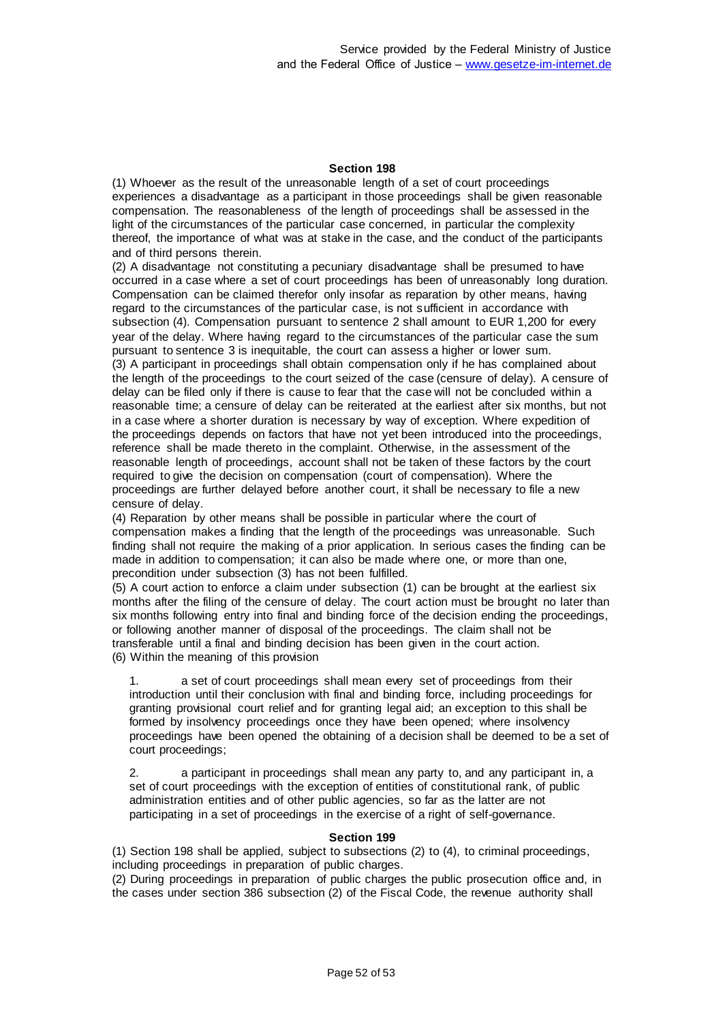(1) Whoever as the result of the unreasonable length of a set of court proceedings experiences a disadvantage as a participant in those proceedings shall be given reasonable compensation. The reasonableness of the length of proceedings shall be assessed in the light of the circumstances of the particular case concerned, in particular the complexity thereof, the importance of what was at stake in the case, and the conduct of the participants and of third persons therein.

(2) A disadvantage not constituting a pecuniary disadvantage shall be presumed to have occurred in a case where a set of court proceedings has been of unreasonably long duration. Compensation can be claimed therefor only insofar as reparation by other means, having regard to the circumstances of the particular case, is not sufficient in accordance with subsection (4). Compensation pursuant to sentence 2 shall amount to EUR 1,200 for every year of the delay. Where having regard to the circumstances of the particular case the sum pursuant to sentence 3 is inequitable, the court can assess a higher or lower sum. (3) A participant in proceedings shall obtain compensation only if he has complained about the length of the proceedings to the court seized of the case (censure of delay). A censure of delay can be filed only if there is cause to fear that the case will not be concluded within a reasonable time; a censure of delay can be reiterated at the earliest after six months, but not in a case where a shorter duration is necessary by way of exception. Where expedition of the proceedings depends on factors that have not yet been introduced into the proceedings, reference shall be made thereto in the complaint. Otherwise, in the assessment of the reasonable length of proceedings, account shall not be taken of these factors by the court required to give the decision on compensation (court of compensation). Where the proceedings are further delayed before another court, it shall be necessary to file a new censure of delay.

(4) Reparation by other means shall be possible in particular where the court of compensation makes a finding that the length of the proceedings was unreasonable. Such finding shall not require the making of a prior application. In serious cases the finding can be made in addition to compensation; it can also be made where one, or more than one, precondition under subsection (3) has not been fulfilled.

(5) A court action to enforce a claim under subsection (1) can be brought at the earliest six months after the filing of the censure of delay. The court action must be brought no later than six months following entry into final and binding force of the decision ending the proceedings, or following another manner of disposal of the proceedings. The claim shall not be transferable until a final and binding decision has been given in the court action. (6) Within the meaning of this provision

1. a set of court proceedings shall mean every set of proceedings from their introduction until their conclusion with final and binding force, including proceedings for granting provisional court relief and for granting legal aid; an exception to this shall be formed by insolvency proceedings once they have been opened; where insolvency proceedings have been opened the obtaining of a decision shall be deemed to be a set of court proceedings;

2. a participant in proceedings shall mean any party to, and any participant in, a set of court proceedings with the exception of entities of constitutional rank, of public administration entities and of other public agencies, so far as the latter are not participating in a set of proceedings in the exercise of a right of self-governance.

#### **Section 199**

(1) Section 198 shall be applied, subject to subsections (2) to (4), to criminal proceedings, including proceedings in preparation of public charges.

(2) During proceedings in preparation of public charges the public prosecution office and, in the cases under section 386 subsection (2) of the Fiscal Code, the revenue authority shall